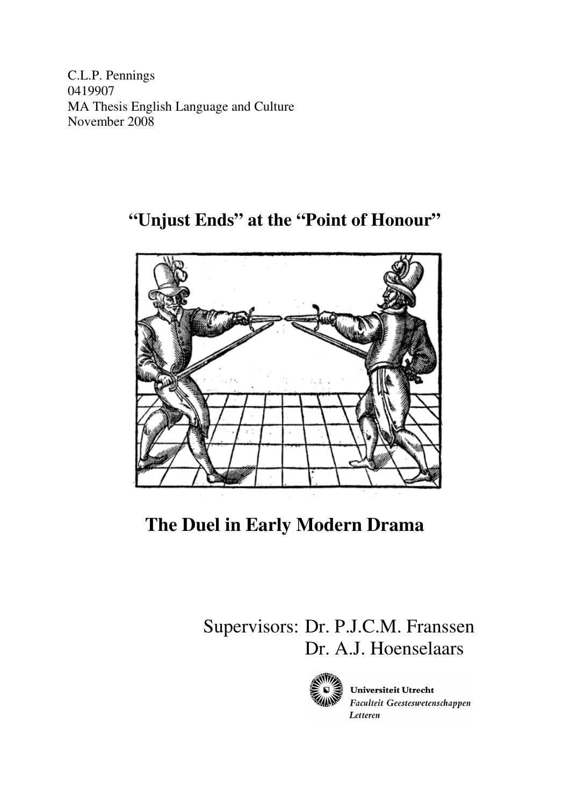C.L.P. Pennings 0419907 MA Thesis English Language and Culture November 2008

**"Unjust Ends" at the "Point of Honour"** 



**The Duel in Early Modern Drama** 

 Supervisors: Dr. P.J.C.M. Franssen Dr. A.J. Hoenselaars



Universiteit Utrecht Faculteit Geesteswetenschappen Letteren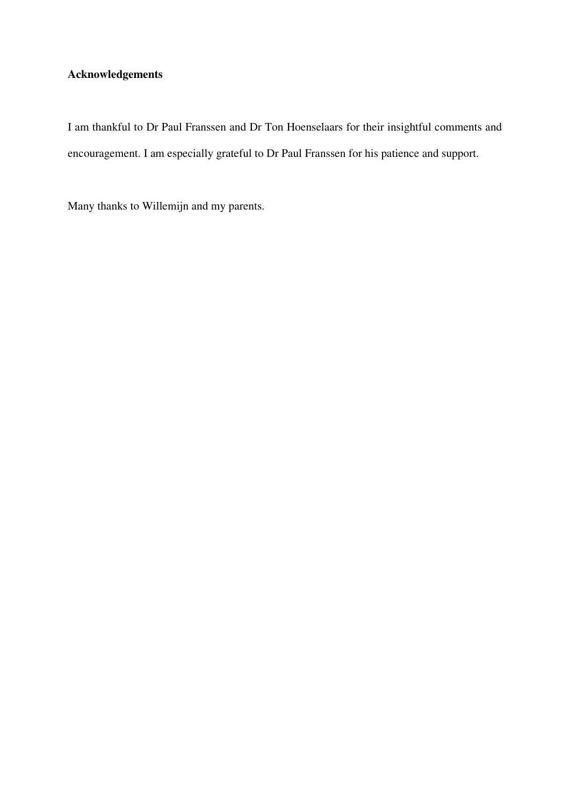# **Acknowledgements**

I am thankful to Dr Paul Franssen and Dr Ton Hoenselaars for their insightful comments and encouragement. I am especially grateful to Dr Paul Franssen for his patience and support.

Many thanks to Willemijn and my parents.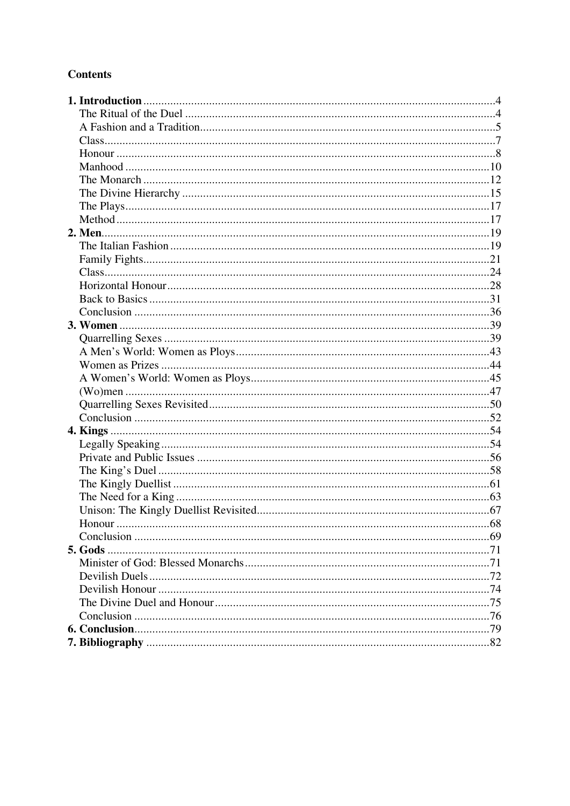# **Contents**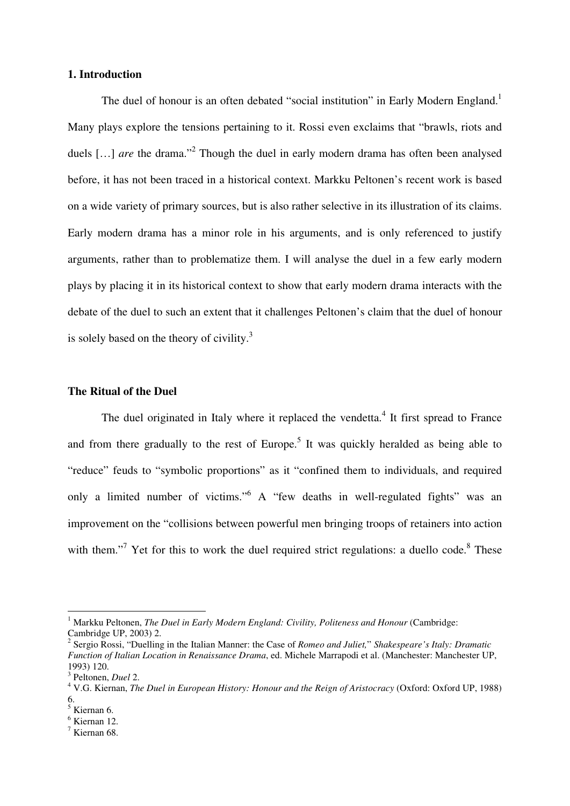# **1. Introduction**

The duel of honour is an often debated "social institution" in Early Modern England.<sup>1</sup> Many plays explore the tensions pertaining to it. Rossi even exclaims that "brawls, riots and duels [...] *are* the drama."<sup>2</sup> Though the duel in early modern drama has often been analysed before, it has not been traced in a historical context. Markku Peltonen's recent work is based on a wide variety of primary sources, but is also rather selective in its illustration of its claims. Early modern drama has a minor role in his arguments, and is only referenced to justify arguments, rather than to problematize them. I will analyse the duel in a few early modern plays by placing it in its historical context to show that early modern drama interacts with the debate of the duel to such an extent that it challenges Peltonen's claim that the duel of honour is solely based on the theory of civility. $3$ 

## **The Ritual of the Duel**

The duel originated in Italy where it replaced the vendetta.<sup>4</sup> It first spread to France and from there gradually to the rest of Europe.<sup>5</sup> It was quickly heralded as being able to "reduce" feuds to "symbolic proportions" as it "confined them to individuals, and required only a limited number of victims."<sup>6</sup> A "few deaths in well-regulated fights" was an improvement on the "collisions between powerful men bringing troops of retainers into action with them."<sup>7</sup> Yet for this to work the duel required strict regulations: a duello code.<sup>8</sup> These

<sup>&</sup>lt;sup>1</sup> Markku Peltonen, *The Duel in Early Modern England: Civility, Politeness and Honour* (Cambridge: Cambridge UP, 2003) 2.

<sup>2</sup> Sergio Rossi, "Duelling in the Italian Manner: the Case of *Romeo and Juliet,*" *Shakespeare's Italy: Dramatic Function of Italian Location in Renaissance Drama*, ed. Michele Marrapodi et al. (Manchester: Manchester UP, 1993) 120.

<sup>3</sup> Peltonen, *Duel* 2.

<sup>4</sup> V.G. Kiernan, *The Duel in European History: Honour and the Reign of Aristocracy* (Oxford: Oxford UP, 1988) 6.

<sup>5</sup> Kiernan 6.

<sup>6</sup> Kiernan 12.

<sup>7</sup> Kiernan 68.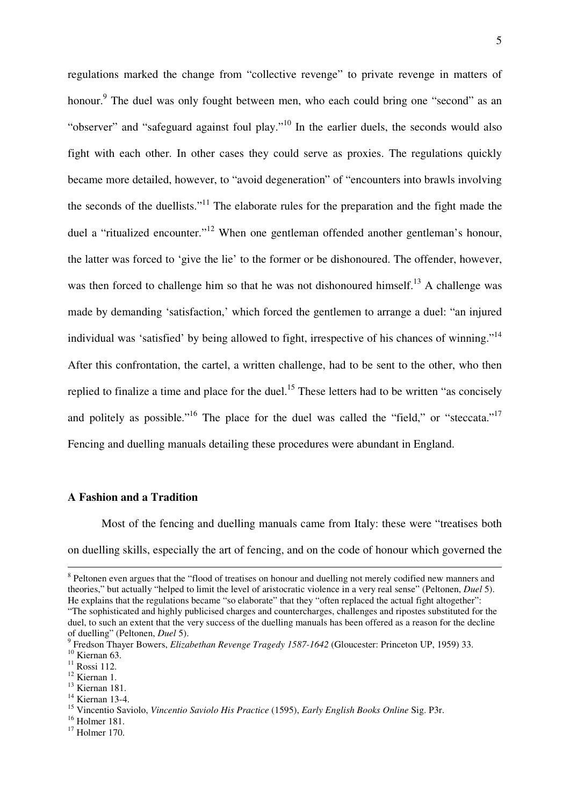regulations marked the change from "collective revenge" to private revenge in matters of honour.<sup>9</sup> The duel was only fought between men, who each could bring one "second" as an "observer" and "safeguard against foul play."<sup>10</sup> In the earlier duels, the seconds would also fight with each other. In other cases they could serve as proxies. The regulations quickly became more detailed, however, to "avoid degeneration" of "encounters into brawls involving the seconds of the duellists."<sup>11</sup> The elaborate rules for the preparation and the fight made the duel a "ritualized encounter."<sup>12</sup> When one gentleman offended another gentleman's honour, the latter was forced to 'give the lie' to the former or be dishonoured. The offender, however, was then forced to challenge him so that he was not dishonoured himself.<sup>13</sup> A challenge was made by demanding 'satisfaction,' which forced the gentlemen to arrange a duel: "an injured individual was 'satisfied' by being allowed to fight, irrespective of his chances of winning."<sup>14</sup> After this confrontation, the cartel, a written challenge, had to be sent to the other, who then replied to finalize a time and place for the duel.<sup>15</sup> These letters had to be written "as concisely and politely as possible."<sup>16</sup> The place for the duel was called the "field," or "steccata."<sup>17</sup> Fencing and duelling manuals detailing these procedures were abundant in England.

## **A Fashion and a Tradition**

 Most of the fencing and duelling manuals came from Italy: these were "treatises both on duelling skills, especially the art of fencing, and on the code of honour which governed the

 $\overline{a}$ 

<sup>14</sup> Kiernan 13-4.

<sup>&</sup>lt;sup>8</sup> Peltonen even argues that the "flood of treatises on honour and duelling not merely codified new manners and theories," but actually "helped to limit the level of aristocratic violence in a very real sense" (Peltonen, *Duel* 5). He explains that the regulations became "so elaborate" that they "often replaced the actual fight altogether": "The sophisticated and highly publicised charges and countercharges, challenges and ripostes substituted for the duel, to such an extent that the very success of the duelling manuals has been offered as a reason for the decline of duelling" (Peltonen, *Duel* 5).

<sup>9</sup> Fredson Thayer Bowers, *Elizabethan Revenge Tragedy 1587-1642* (Gloucester: Princeton UP, 1959) 33.  $10$  Kiernan 63.

 $11$  Rossi 112.

<sup>&</sup>lt;sup>12</sup> Kiernan 1.

<sup>13</sup> Kiernan 181.

<sup>15</sup> Vincentio Saviolo, *Vincentio Saviolo His Practice* (1595), *Early English Books Online* Sig. P3r.

<sup>16</sup> Holmer 181.

 $17$  Holmer 170.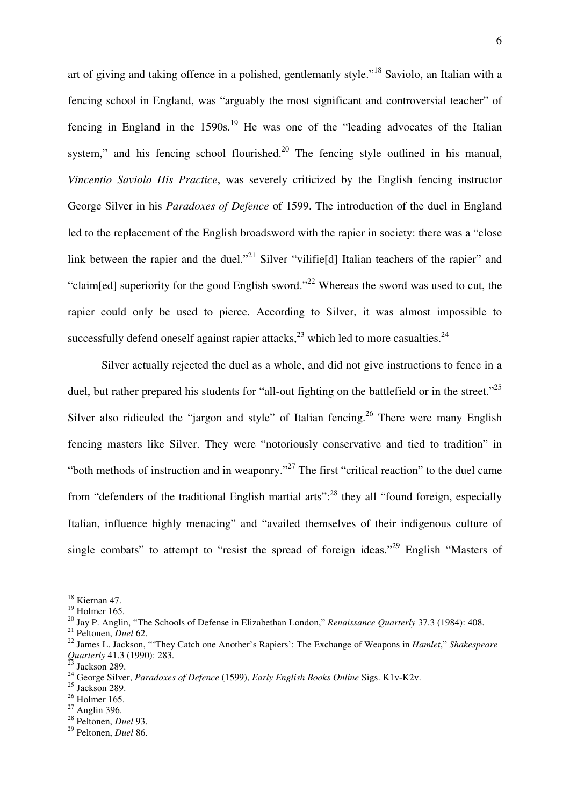art of giving and taking offence in a polished, gentlemanly style."<sup>18</sup> Saviolo, an Italian with a fencing school in England, was "arguably the most significant and controversial teacher" of fencing in England in the  $1590s<sup>19</sup>$  He was one of the "leading advocates of the Italian system," and his fencing school flourished.<sup>20</sup> The fencing style outlined in his manual, *Vincentio Saviolo His Practice*, was severely criticized by the English fencing instructor George Silver in his *Paradoxes of Defence* of 1599. The introduction of the duel in England led to the replacement of the English broadsword with the rapier in society: there was a "close link between the rapier and the duel."<sup>21</sup> Silver "vilifie<sup>[d]</sup> Italian teachers of the rapier" and "claim[ed] superiority for the good English sword."<sup>22</sup> Whereas the sword was used to cut, the rapier could only be used to pierce. According to Silver, it was almost impossible to successfully defend oneself against rapier attacks, $^{23}$  which led to more casualties.<sup>24</sup>

 Silver actually rejected the duel as a whole, and did not give instructions to fence in a duel, but rather prepared his students for "all-out fighting on the battlefield or in the street."<sup>25</sup> Silver also ridiculed the "jargon and style" of Italian fencing.<sup>26</sup> There were many English fencing masters like Silver. They were "notoriously conservative and tied to tradition" in "both methods of instruction and in weaponry."<sup>27</sup> The first "critical reaction" to the duel came from "defenders of the traditional English martial arts":<sup>28</sup> they all "found foreign, especially Italian, influence highly menacing" and "availed themselves of their indigenous culture of single combats" to attempt to "resist the spread of foreign ideas."<sup>29</sup> English "Masters of

 $18$  Kiernan 47.

 $19$  Holmer 165.

<sup>20</sup> Jay P. Anglin, "The Schools of Defense in Elizabethan London," *Renaissance Quarterly* 37.3 (1984): 408.

<sup>21</sup> Peltonen, *Duel* 62.

<sup>22</sup> James L. Jackson, "'They Catch one Another's Rapiers': The Exchange of Weapons in *Hamlet*," *Shakespeare Quarterly* 41.3 (1990): 283.

Jackson 289.

<sup>24</sup> George Silver, *Paradoxes of Defence* (1599), *Early English Books Online* Sigs. K1v-K2v.

 $25$  Jackson 289.

 $26$  Holmer 165.

 $27$  Anglin 396.

<sup>28</sup> Peltonen, *Duel* 93.

<sup>29</sup> Peltonen, *Duel* 86.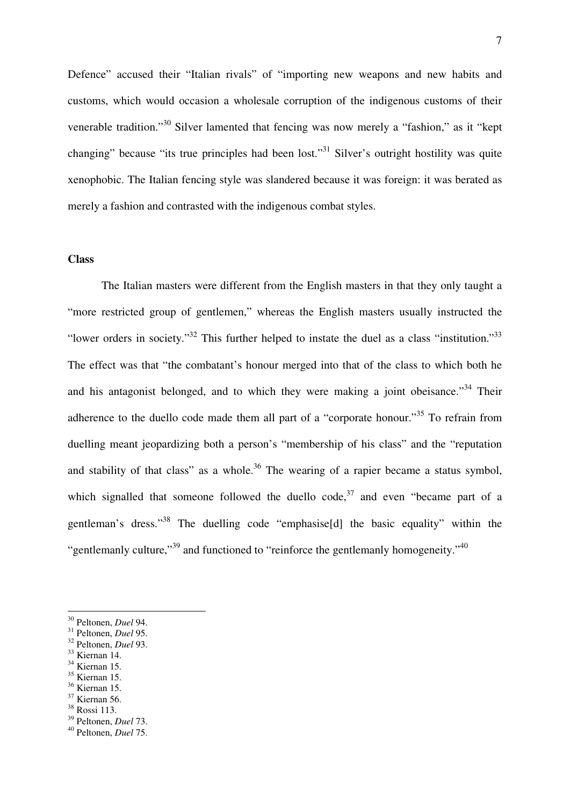Defence" accused their "Italian rivals" of "importing new weapons and new habits and customs, which would occasion a wholesale corruption of the indigenous customs of their venerable tradition."<sup>30</sup> Silver lamented that fencing was now merely a "fashion," as it "kept changing" because "its true principles had been lost."<sup>31</sup> Silver's outright hostility was quite xenophobic. The Italian fencing style was slandered because it was foreign: it was berated as merely a fashion and contrasted with the indigenous combat styles.

# **Class**

 The Italian masters were different from the English masters in that they only taught a "more restricted group of gentlemen," whereas the English masters usually instructed the "lower orders in society."<sup>32</sup> This further helped to instate the duel as a class "institution."<sup>33</sup> The effect was that "the combatant's honour merged into that of the class to which both he and his antagonist belonged, and to which they were making a joint obeisance.<sup>34</sup> Their adherence to the duello code made them all part of a "corporate honour."<sup>35</sup> To refrain from duelling meant jeopardizing both a person's "membership of his class" and the "reputation and stability of that class" as a whole.<sup>36</sup> The wearing of a rapier became a status symbol, which signalled that someone followed the duello code,  $37$  and even "became part of a gentleman's dress."<sup>38</sup> The duelling code "emphasise[d] the basic equality" within the "gentlemanly culture,"<sup>39</sup> and functioned to "reinforce the gentlemanly homogeneity."<sup>40</sup>

- <sup>34</sup> Kiernan 15.
- <sup>35</sup> Kiernan 15.
- <sup>36</sup> Kiernan 15.
- <sup>37</sup> Kiernan 56.
- <sup>38</sup> Rossi 113.
- <sup>39</sup> Peltonen, *Duel* 73.

<sup>30</sup> Peltonen, *Duel* 94.

<sup>31</sup> Peltonen, *Duel* 95.

<sup>32</sup> Peltonen, *Duel* 93.

<sup>33</sup> Kiernan 14.

<sup>40</sup> Peltonen, *Duel* 75.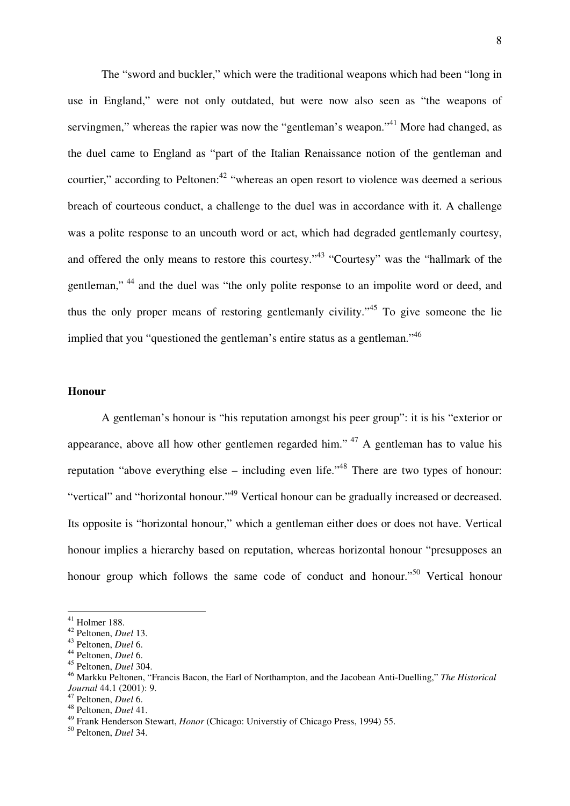The "sword and buckler," which were the traditional weapons which had been "long in use in England," were not only outdated, but were now also seen as "the weapons of servingmen," whereas the rapier was now the "gentleman's weapon."<sup>41</sup> More had changed, as the duel came to England as "part of the Italian Renaissance notion of the gentleman and courtier," according to Peltonen: $^{42}$  "whereas an open resort to violence was deemed a serious breach of courteous conduct, a challenge to the duel was in accordance with it. A challenge was a polite response to an uncouth word or act, which had degraded gentlemanly courtesy, and offered the only means to restore this courtesy."<sup>43</sup> "Courtesy" was the "hallmark of the gentleman,"<sup>44</sup> and the duel was "the only polite response to an impolite word or deed, and thus the only proper means of restoring gentlemanly civility."<sup>45</sup> To give someone the lie implied that you "questioned the gentleman's entire status as a gentleman."<sup>46</sup>

#### **Honour**

 A gentleman's honour is "his reputation amongst his peer group": it is his "exterior or appearance, above all how other gentlemen regarded him."<sup>47</sup> A gentleman has to value his reputation "above everything else – including even life."<sup>48</sup> There are two types of honour: "vertical" and "horizontal honour."<sup>49</sup> Vertical honour can be gradually increased or decreased. Its opposite is "horizontal honour," which a gentleman either does or does not have. Vertical honour implies a hierarchy based on reputation, whereas horizontal honour "presupposes an honour group which follows the same code of conduct and honour.<sup>50</sup> Vertical honour

 $41$  Holmer 188.

<sup>42</sup> Peltonen, *Duel* 13.

<sup>43</sup> Peltonen, *Duel* 6.

<sup>44</sup> Peltonen, *Duel* 6.

<sup>45</sup> Peltonen, *Duel* 304.

<sup>46</sup> Markku Peltonen, "Francis Bacon, the Earl of Northampton, and the Jacobean Anti-Duelling," *The Historical Journal* 44.1 (2001): 9.

<sup>47</sup> Peltonen, *Duel* 6.

<sup>48</sup> Peltonen, *Duel* 41.

<sup>49</sup> Frank Henderson Stewart, *Honor* (Chicago: Universtiy of Chicago Press, 1994) 55.

<sup>50</sup> Peltonen, *Duel* 34.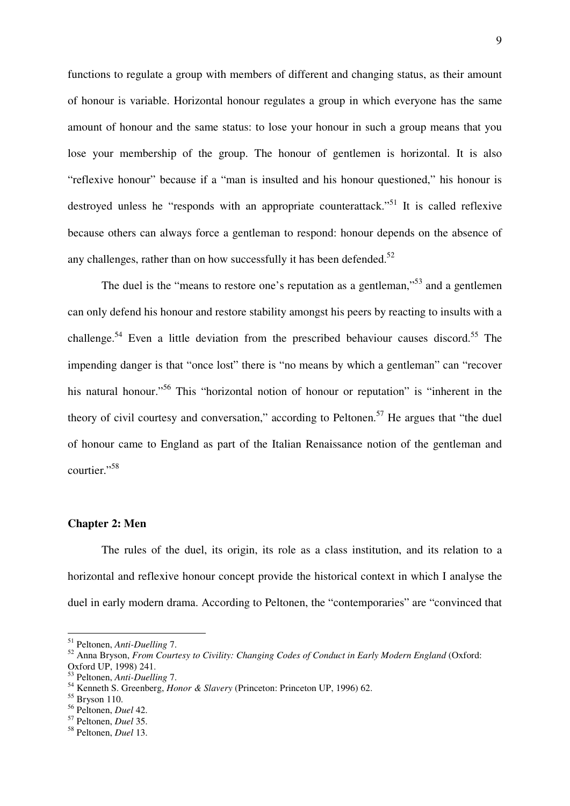functions to regulate a group with members of different and changing status, as their amount of honour is variable. Horizontal honour regulates a group in which everyone has the same amount of honour and the same status: to lose your honour in such a group means that you lose your membership of the group. The honour of gentlemen is horizontal. It is also "reflexive honour" because if a "man is insulted and his honour questioned," his honour is destroyed unless he "responds with an appropriate counterattack."<sup>51</sup> It is called reflexive because others can always force a gentleman to respond: honour depends on the absence of any challenges, rather than on how successfully it has been defended.<sup>52</sup>

The duel is the "means to restore one's reputation as a gentleman,"<sup>53</sup> and a gentlemen can only defend his honour and restore stability amongst his peers by reacting to insults with a challenge.<sup>54</sup> Even a little deviation from the prescribed behaviour causes discord.<sup>55</sup> The impending danger is that "once lost" there is "no means by which a gentleman" can "recover his natural honour.<sup>56</sup> This "horizontal notion of honour or reputation" is "inherent in the theory of civil courtesy and conversation," according to Peltonen.<sup>57</sup> He argues that "the duel of honour came to England as part of the Italian Renaissance notion of the gentleman and courtier."<sup>58</sup>

# **Chapter 2: Men**

 The rules of the duel, its origin, its role as a class institution, and its relation to a horizontal and reflexive honour concept provide the historical context in which I analyse the duel in early modern drama. According to Peltonen, the "contemporaries" are "convinced that

<sup>51</sup> Peltonen, *Anti-Duelling* 7.

<sup>52</sup> Anna Bryson, *From Courtesy to Civility: Changing Codes of Conduct in Early Modern England* (Oxford: Oxford UP, 1998) 241.

<sup>53</sup> Peltonen, *Anti-Duelling* 7.

<sup>54</sup> Kenneth S. Greenberg, *Honor & Slavery* (Princeton: Princeton UP, 1996) 62.

 $55$  Bryson 110.

<sup>56</sup> Peltonen, *Duel* 42.

<sup>57</sup> Peltonen, *Duel* 35.

<sup>58</sup> Peltonen, *Duel* 13.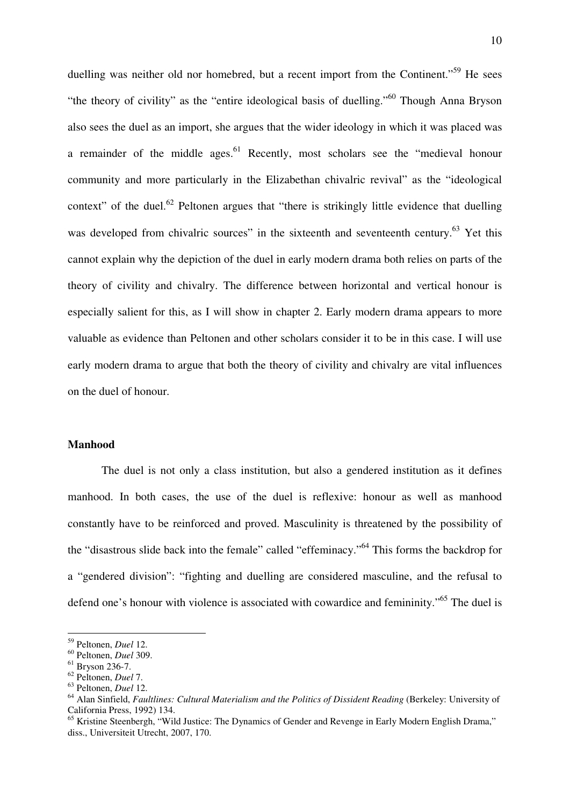duelling was neither old nor homebred, but a recent import from the Continent."<sup>59</sup> He sees "the theory of civility" as the "entire ideological basis of duelling."<sup>60</sup> Though Anna Bryson also sees the duel as an import, she argues that the wider ideology in which it was placed was a remainder of the middle ages. $61$  Recently, most scholars see the "medieval honour community and more particularly in the Elizabethan chivalric revival" as the "ideological context" of the duel.<sup>62</sup> Peltonen argues that "there is strikingly little evidence that duelling was developed from chivalric sources" in the sixteenth and seventeenth century.<sup>63</sup> Yet this cannot explain why the depiction of the duel in early modern drama both relies on parts of the theory of civility and chivalry. The difference between horizontal and vertical honour is especially salient for this, as I will show in chapter 2. Early modern drama appears to more valuable as evidence than Peltonen and other scholars consider it to be in this case. I will use early modern drama to argue that both the theory of civility and chivalry are vital influences on the duel of honour.

# **Manhood**

 The duel is not only a class institution, but also a gendered institution as it defines manhood. In both cases, the use of the duel is reflexive: honour as well as manhood constantly have to be reinforced and proved. Masculinity is threatened by the possibility of the "disastrous slide back into the female" called "effeminacy."<sup>64</sup> This forms the backdrop for a "gendered division": "fighting and duelling are considered masculine, and the refusal to defend one's honour with violence is associated with cowardice and femininity."<sup>65</sup> The duel is

<sup>59</sup> Peltonen, *Duel* 12.

<sup>60</sup> Peltonen, *Duel* 309.

<sup>61</sup> Bryson 236-7.

<sup>62</sup> Peltonen, *Duel* 7.

<sup>63</sup> Peltonen, *Duel* 12.

<sup>64</sup> Alan Sinfield, *Faultlines: Cultural Materialism and the Politics of Dissident Reading* (Berkeley: University of California Press, 1992) 134.

<sup>&</sup>lt;sup>65</sup> Kristine Steenbergh, "Wild Justice: The Dynamics of Gender and Revenge in Early Modern English Drama," diss., Universiteit Utrecht, 2007, 170.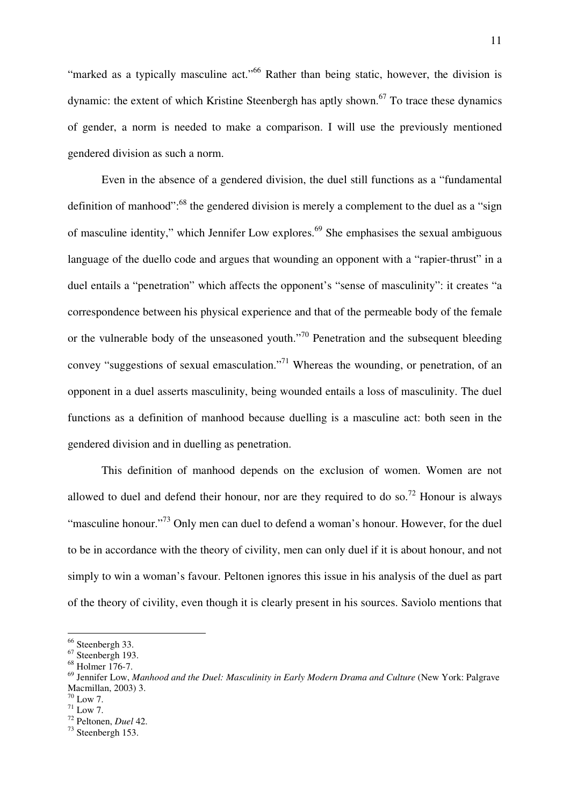"marked as a typically masculine act."<sup>66</sup> Rather than being static, however, the division is dynamic: the extent of which Kristine Steenbergh has aptly shown.<sup>67</sup> To trace these dynamics of gender, a norm is needed to make a comparison. I will use the previously mentioned gendered division as such a norm.

 Even in the absence of a gendered division, the duel still functions as a "fundamental definition of manhood":<sup>68</sup> the gendered division is merely a complement to the duel as a "sign of masculine identity," which Jennifer Low explores.<sup>69</sup> She emphasises the sexual ambiguous language of the duello code and argues that wounding an opponent with a "rapier-thrust" in a duel entails a "penetration" which affects the opponent's "sense of masculinity": it creates "a correspondence between his physical experience and that of the permeable body of the female or the vulnerable body of the unseasoned youth."<sup>70</sup> Penetration and the subsequent bleeding convey "suggestions of sexual emasculation."<sup>71</sup> Whereas the wounding, or penetration, of an opponent in a duel asserts masculinity, being wounded entails a loss of masculinity. The duel functions as a definition of manhood because duelling is a masculine act: both seen in the gendered division and in duelling as penetration.

 This definition of manhood depends on the exclusion of women. Women are not allowed to duel and defend their honour, nor are they required to do so.<sup>72</sup> Honour is always "masculine honour."<sup>73</sup> Only men can duel to defend a woman's honour. However, for the duel to be in accordance with the theory of civility, men can only duel if it is about honour, and not simply to win a woman's favour. Peltonen ignores this issue in his analysis of the duel as part of the theory of civility, even though it is clearly present in his sources. Saviolo mentions that

<sup>&</sup>lt;sup>66</sup> Steenbergh 33.

 $67$  Steenbergh 193.

 $68$  Holmer 176-7.

<sup>69</sup> Jennifer Low, *Manhood and the Duel: Masculinity in Early Modern Drama and Culture* (New York: Palgrave Macmillan, 2003) 3.

 $70$  Low 7.

 $71$  Low 7.

<sup>72</sup> Peltonen, *Duel* 42.

<sup>73</sup> Steenbergh 153.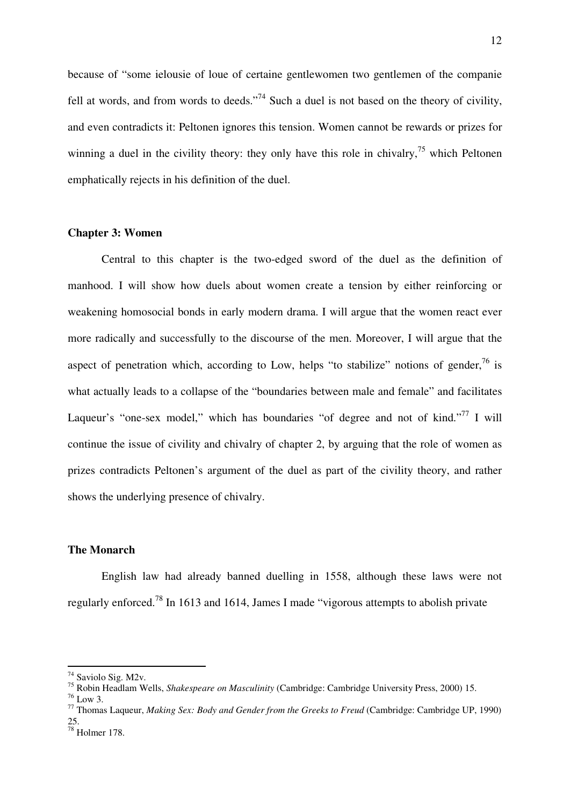because of "some ielousie of loue of certaine gentlewomen two gentlemen of the companie fell at words, and from words to deeds."<sup>74</sup> Such a duel is not based on the theory of civility, and even contradicts it: Peltonen ignores this tension. Women cannot be rewards or prizes for winning a duel in the civility theory: they only have this role in chivalry,  $\frac{75}{15}$  which Peltonen emphatically rejects in his definition of the duel.

## **Chapter 3: Women**

 Central to this chapter is the two-edged sword of the duel as the definition of manhood. I will show how duels about women create a tension by either reinforcing or weakening homosocial bonds in early modern drama. I will argue that the women react ever more radically and successfully to the discourse of the men. Moreover, I will argue that the aspect of penetration which, according to Low, helps "to stabilize" notions of gender, $^{76}$  is what actually leads to a collapse of the "boundaries between male and female" and facilitates Laqueur's "one-sex model," which has boundaries "of degree and not of kind."<sup>77</sup> I will continue the issue of civility and chivalry of chapter 2, by arguing that the role of women as prizes contradicts Peltonen's argument of the duel as part of the civility theory, and rather shows the underlying presence of chivalry.

# **The Monarch**

 English law had already banned duelling in 1558, although these laws were not regularly enforced.<sup>78</sup> In 1613 and 1614, James I made "vigorous attempts to abolish private

 $76$  Low 3.

<sup>&</sup>lt;sup>74</sup> Saviolo Sig. M2v.

<sup>75</sup> Robin Headlam Wells, *Shakespeare on Masculinity* (Cambridge: Cambridge University Press, 2000) 15.

<sup>77</sup> Thomas Laqueur, *Making Sex: Body and Gender from the Greeks to Freud* (Cambridge: Cambridge UP, 1990) 25.

<sup>78</sup> Holmer 178.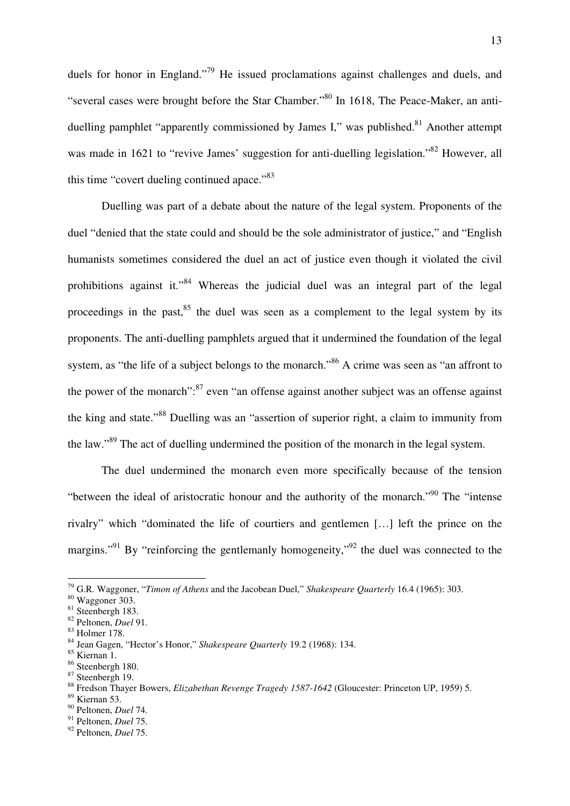duels for honor in England."<sup>79</sup> He issued proclamations against challenges and duels, and "several cases were brought before the Star Chamber."<sup>80</sup> In 1618, The Peace-Maker, an antiduelling pamphlet "apparently commissioned by James I," was published.<sup>81</sup> Another attempt was made in 1621 to "revive James' suggestion for anti-duelling legislation."<sup>82</sup> However, all this time "covert dueling continued apace."<sup>83</sup>

 Duelling was part of a debate about the nature of the legal system. Proponents of the duel "denied that the state could and should be the sole administrator of justice," and "English humanists sometimes considered the duel an act of justice even though it violated the civil prohibitions against it."<sup>84</sup> Whereas the judicial duel was an integral part of the legal proceedings in the past,  $85$  the duel was seen as a complement to the legal system by its proponents. The anti-duelling pamphlets argued that it undermined the foundation of the legal system, as "the life of a subject belongs to the monarch."<sup>86</sup> A crime was seen as "an affront to the power of the monarch": $87$  even "an offense against another subject was an offense against the king and state."<sup>88</sup> Duelling was an "assertion of superior right, a claim to immunity from the law."<sup>89</sup> The act of duelling undermined the position of the monarch in the legal system.

 The duel undermined the monarch even more specifically because of the tension "between the ideal of aristocratic honour and the authority of the monarch."<sup>90</sup> The "intense" rivalry" which "dominated the life of courtiers and gentlemen […] left the prince on the margins."<sup>91</sup> By "reinforcing the gentlemanly homogeneity,"<sup>92</sup> the duel was connected to the

<sup>79</sup> G.R. Waggoner, "*Timon of Athens* and the Jacobean Duel," *Shakespeare Quarterly* 16.4 (1965): 303.

<sup>80</sup> Waggoner 303.

<sup>&</sup>lt;sup>81</sup> Steenbergh 183.

<sup>82</sup> Peltonen, *Duel* 91.

<sup>83</sup> Holmer 178.

<sup>84</sup> Jean Gagen, "Hector's Honor," *Shakespeare Quarterly* 19.2 (1968): 134.

<sup>85</sup> Kiernan 1.

<sup>86</sup> Steenbergh 180.

<sup>87</sup> Steenbergh 19.

<sup>88</sup> Fredson Thayer Bowers, *Elizabethan Revenge Tragedy 1587-1642* (Gloucester: Princeton UP, 1959) 5.

<sup>89</sup> Kiernan 53.

<sup>90</sup> Peltonen, *Duel* 74.

<sup>91</sup> Peltonen, *Duel* 75.

<sup>92</sup> Peltonen, *Duel* 75.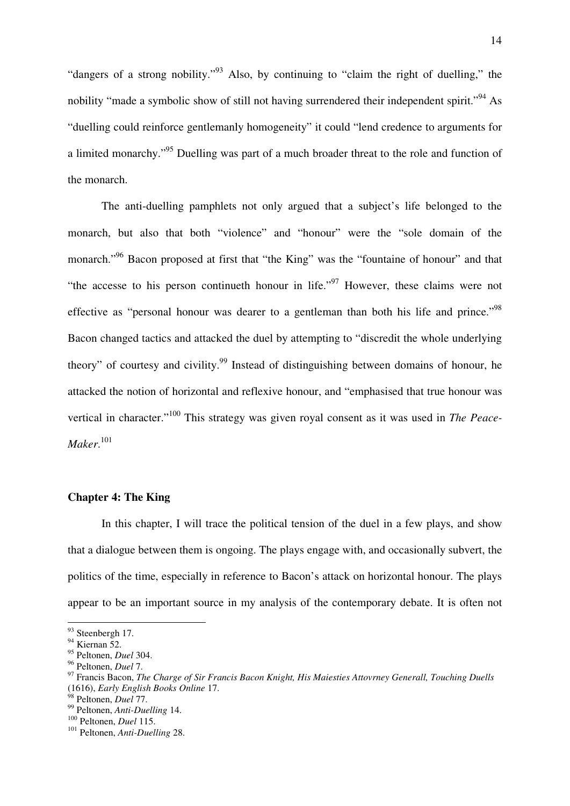"dangers of a strong nobility."<sup>93</sup> Also, by continuing to "claim the right of duelling," the nobility "made a symbolic show of still not having surrendered their independent spirit."<sup>94</sup> As "duelling could reinforce gentlemanly homogeneity" it could "lend credence to arguments for a limited monarchy."<sup>95</sup> Duelling was part of a much broader threat to the role and function of the monarch.

 The anti-duelling pamphlets not only argued that a subject's life belonged to the monarch, but also that both "violence" and "honour" were the "sole domain of the monarch."<sup>96</sup> Bacon proposed at first that "the King" was the "fountaine of honour" and that "the accesse to his person continueth honour in life."<sup>97</sup> However, these claims were not effective as "personal honour was dearer to a gentleman than both his life and prince."<sup>98</sup> Bacon changed tactics and attacked the duel by attempting to "discredit the whole underlying theory" of courtesy and civility.<sup>99</sup> Instead of distinguishing between domains of honour, he attacked the notion of horizontal and reflexive honour, and "emphasised that true honour was vertical in character."<sup>100</sup> This strategy was given royal consent as it was used in *The Peace-Maker*. 101

# **Chapter 4: The King**

 In this chapter, I will trace the political tension of the duel in a few plays, and show that a dialogue between them is ongoing. The plays engage with, and occasionally subvert, the politics of the time, especially in reference to Bacon's attack on horizontal honour. The plays appear to be an important source in my analysis of the contemporary debate. It is often not

 $93$  Steenbergh 17.

 $94$  Kiernan 52.

<sup>95</sup> Peltonen, *Duel* 304.

<sup>96</sup> Peltonen, *Duel* 7.

<sup>97</sup> Francis Bacon, *The Charge of Sir Francis Bacon Knight, His Maiesties Attovrney Generall, Touching Duells* (1616), *Early English Books Online* 17.

<sup>98</sup> Peltonen, *Duel* 77.

<sup>99</sup> Peltonen, *Anti-Duelling* 14.

<sup>100</sup> Peltonen, *Duel* 115.

<sup>101</sup> Peltonen, *Anti-Duelling* 28.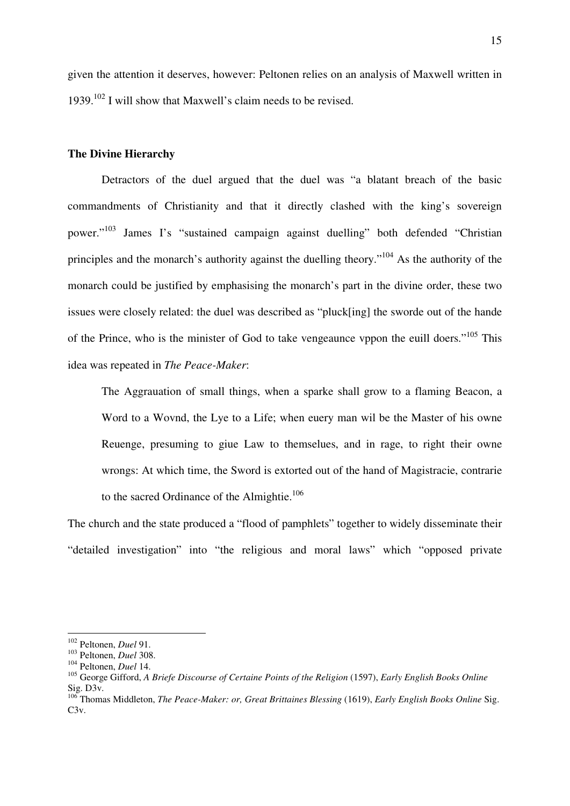given the attention it deserves, however: Peltonen relies on an analysis of Maxwell written in 1939.<sup>102</sup> I will show that Maxwell's claim needs to be revised.

## **The Divine Hierarchy**

Detractors of the duel argued that the duel was "a blatant breach of the basic commandments of Christianity and that it directly clashed with the king's sovereign power."<sup>103</sup> James I's "sustained campaign against duelling" both defended "Christian principles and the monarch's authority against the duelling theory."<sup>104</sup> As the authority of the monarch could be justified by emphasising the monarch's part in the divine order, these two issues were closely related: the duel was described as "pluck[ing] the sworde out of the hande of the Prince, who is the minister of God to take vengeaunce vppon the euill doers."<sup>105</sup> This idea was repeated in *The Peace-Maker*:

The Aggrauation of small things, when a sparke shall grow to a flaming Beacon, a Word to a Wovnd, the Lye to a Life; when euery man wil be the Master of his owne Reuenge, presuming to giue Law to themselues, and in rage, to right their owne wrongs: At which time, the Sword is extorted out of the hand of Magistracie, contrarie to the sacred Ordinance of the Almightie.<sup>106</sup>

The church and the state produced a "flood of pamphlets" together to widely disseminate their "detailed investigation" into "the religious and moral laws" which "opposed private

<sup>102</sup> Peltonen, *Duel* 91.

<sup>103</sup> Peltonen, *Duel* 308.

<sup>104</sup> Peltonen, *Duel* 14.

<sup>105</sup> George Gifford, *A Briefe Discourse of Certaine Points of the Religion* (1597), *Early English Books Online*  Sig. D3v.

<sup>106</sup> Thomas Middleton, *The Peace-Maker: or, Great Brittaines Blessing* (1619), *Early English Books Online* Sig. C3v.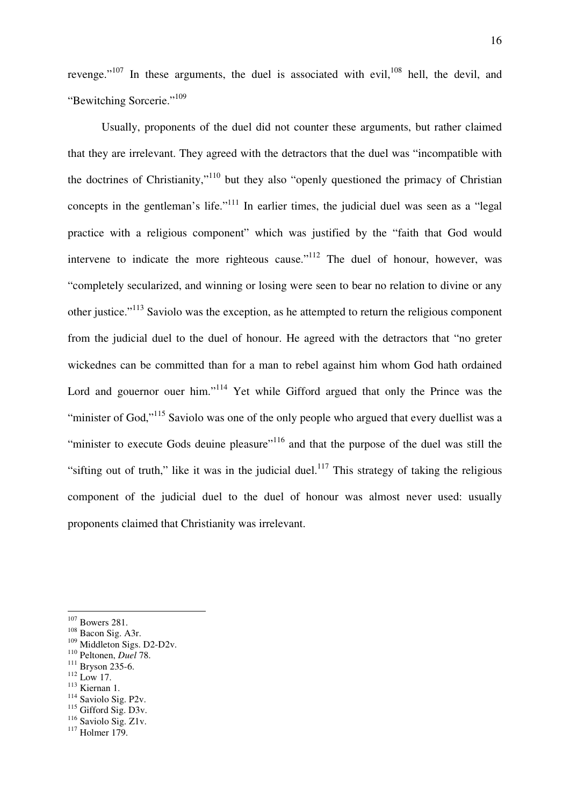revenge." $107$  In these arguments, the duel is associated with evil, $108$  hell, the devil, and "Bewitching Sorcerie."<sup>109</sup>

Usually, proponents of the duel did not counter these arguments, but rather claimed that they are irrelevant. They agreed with the detractors that the duel was "incompatible with the doctrines of Christianity,"<sup>110</sup> but they also "openly questioned the primacy of Christian concepts in the gentleman's life."<sup>111</sup> In earlier times, the judicial duel was seen as a "legal" practice with a religious component" which was justified by the "faith that God would intervene to indicate the more righteous cause."<sup>112</sup> The duel of honour, however, was "completely secularized, and winning or losing were seen to bear no relation to divine or any other justice."<sup>113</sup> Saviolo was the exception, as he attempted to return the religious component from the judicial duel to the duel of honour. He agreed with the detractors that "no greter wickednes can be committed than for a man to rebel against him whom God hath ordained Lord and gouernor ouer him."<sup>114</sup> Yet while Gifford argued that only the Prince was the "minister of God,"<sup>115</sup> Saviolo was one of the only people who argued that every duellist was a "minister to execute Gods deuine pleasure"<sup>116</sup> and that the purpose of the duel was still the "sifting out of truth," like it was in the judicial duel.<sup>117</sup> This strategy of taking the religious component of the judicial duel to the duel of honour was almost never used: usually proponents claimed that Christianity was irrelevant.

 $\overline{a}$ 

- $112$  Low 17.
- <sup>113</sup> Kiernan 1.
- <sup>114</sup> Saviolo Sig. P2v.
- <sup>115</sup> Gifford Sig. D3v.

 $117$  Holmer 179.

<sup>&</sup>lt;sup>107</sup> Bowers 281.

<sup>108</sup> Bacon Sig. A3r.

<sup>&</sup>lt;sup>109</sup> Middleton Sigs. D2-D2v.

<sup>110</sup> Peltonen, *Duel* 78.

<sup>111</sup> Bryson 235-6.

<sup>&</sup>lt;sup>116</sup> Saviolo Sig. Z1v.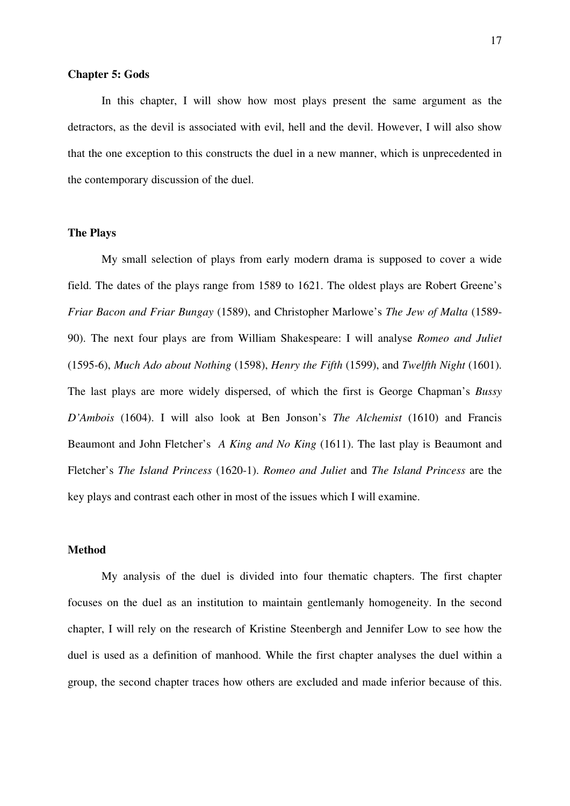#### **Chapter 5: Gods**

 In this chapter, I will show how most plays present the same argument as the detractors, as the devil is associated with evil, hell and the devil. However, I will also show that the one exception to this constructs the duel in a new manner, which is unprecedented in the contemporary discussion of the duel.

### **The Plays**

 My small selection of plays from early modern drama is supposed to cover a wide field. The dates of the plays range from 1589 to 1621. The oldest plays are Robert Greene's *Friar Bacon and Friar Bungay* (1589), and Christopher Marlowe's *The Jew of Malta* (1589- 90). The next four plays are from William Shakespeare: I will analyse *Romeo and Juliet* (1595-6), *Much Ado about Nothing* (1598), *Henry the Fifth* (1599), and *Twelfth Night* (1601). The last plays are more widely dispersed, of which the first is George Chapman's *Bussy D'Ambois* (1604). I will also look at Ben Jonson's *The Alchemist* (1610) and Francis Beaumont and John Fletcher's *A King and No King* (1611). The last play is Beaumont and Fletcher's *The Island Princess* (1620-1). *Romeo and Juliet* and *The Island Princess* are the key plays and contrast each other in most of the issues which I will examine.

# **Method**

 My analysis of the duel is divided into four thematic chapters. The first chapter focuses on the duel as an institution to maintain gentlemanly homogeneity. In the second chapter, I will rely on the research of Kristine Steenbergh and Jennifer Low to see how the duel is used as a definition of manhood. While the first chapter analyses the duel within a group, the second chapter traces how others are excluded and made inferior because of this.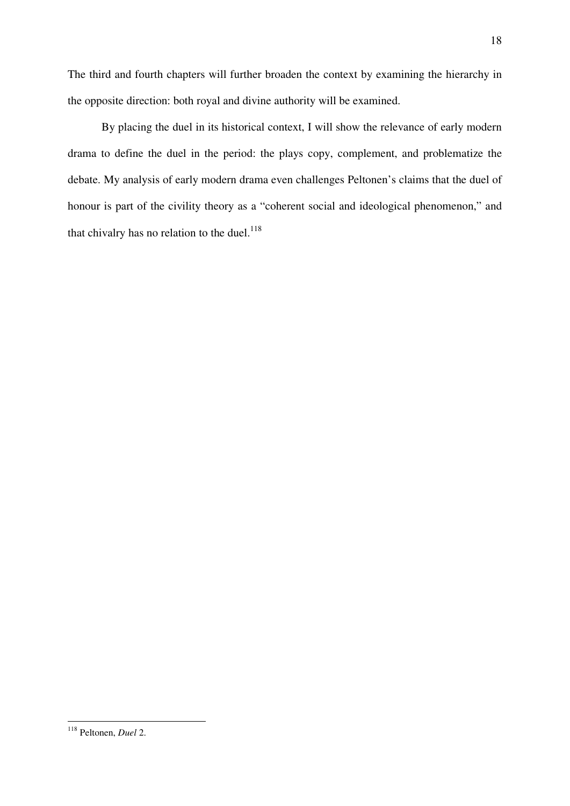The third and fourth chapters will further broaden the context by examining the hierarchy in the opposite direction: both royal and divine authority will be examined.

 By placing the duel in its historical context, I will show the relevance of early modern drama to define the duel in the period: the plays copy, complement, and problematize the debate. My analysis of early modern drama even challenges Peltonen's claims that the duel of honour is part of the civility theory as a "coherent social and ideological phenomenon," and that chivalry has no relation to the duel. $^{118}$ 

 $\overline{a}$ <sup>118</sup> Peltonen, *Duel* 2.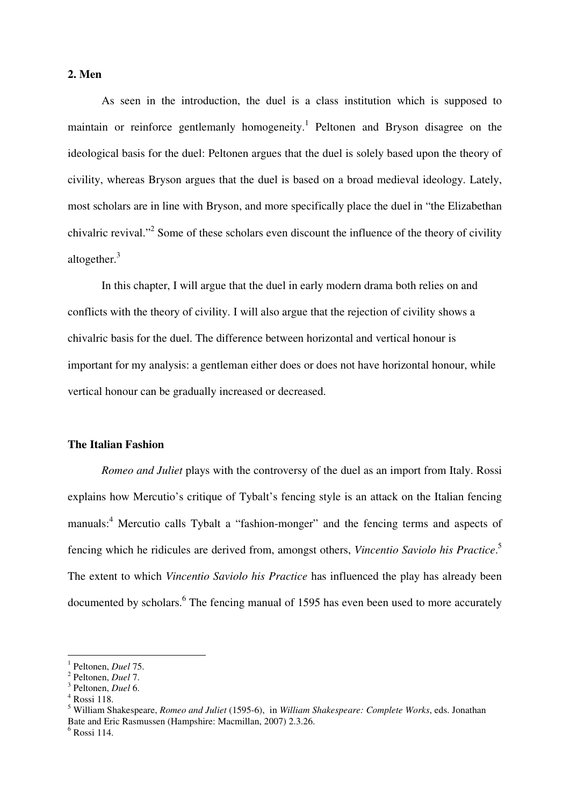# **2. Men**

 As seen in the introduction, the duel is a class institution which is supposed to maintain or reinforce gentlemanly homogeneity.<sup>1</sup> Peltonen and Bryson disagree on the ideological basis for the duel: Peltonen argues that the duel is solely based upon the theory of civility, whereas Bryson argues that the duel is based on a broad medieval ideology. Lately, most scholars are in line with Bryson, and more specifically place the duel in "the Elizabethan chivalric revival."<sup>2</sup> Some of these scholars even discount the influence of the theory of civility altogether.<sup>3</sup>

 In this chapter, I will argue that the duel in early modern drama both relies on and conflicts with the theory of civility. I will also argue that the rejection of civility shows a chivalric basis for the duel. The difference between horizontal and vertical honour is important for my analysis: a gentleman either does or does not have horizontal honour, while vertical honour can be gradually increased or decreased.

## **The Italian Fashion**

*Romeo and Juliet* plays with the controversy of the duel as an import from Italy. Rossi explains how Mercutio's critique of Tybalt's fencing style is an attack on the Italian fencing manuals:<sup>4</sup> Mercutio calls Tybalt a "fashion-monger" and the fencing terms and aspects of fencing which he ridicules are derived from, amongst others, *Vincentio Saviolo his Practice*. 5 The extent to which *Vincentio Saviolo his Practice* has influenced the play has already been documented by scholars.<sup>6</sup> The fencing manual of 1595 has even been used to more accurately

<sup>1</sup> Peltonen, *Duel* 75.

<sup>2</sup> Peltonen, *Duel* 7.

<sup>3</sup> Peltonen, *Duel* 6.

<sup>4</sup> Rossi 118.

<sup>5</sup> William Shakespeare, *Romeo and Juliet* (1595-6), in *William Shakespeare: Complete Works*, eds. Jonathan Bate and Eric Rasmussen (Hampshire: Macmillan, 2007) 2.3.26.

<sup>6</sup> Rossi 114.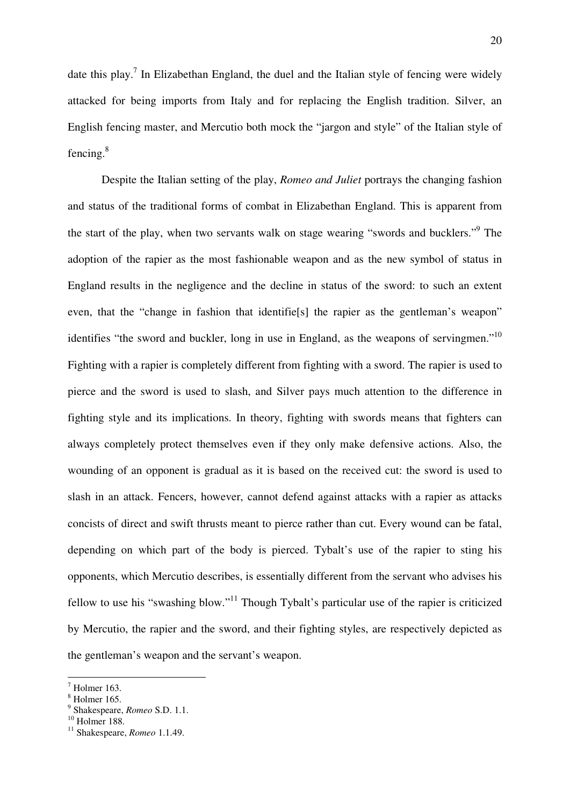date this play.<sup>7</sup> In Elizabethan England, the duel and the Italian style of fencing were widely attacked for being imports from Italy and for replacing the English tradition. Silver, an English fencing master, and Mercutio both mock the "jargon and style" of the Italian style of fencing. $8$ 

Despite the Italian setting of the play, *Romeo and Juliet* portrays the changing fashion and status of the traditional forms of combat in Elizabethan England. This is apparent from the start of the play, when two servants walk on stage wearing "swords and bucklers."<sup>9</sup> The adoption of the rapier as the most fashionable weapon and as the new symbol of status in England results in the negligence and the decline in status of the sword: to such an extent even, that the "change in fashion that identifiels the rapier as the gentleman's weapon" identifies "the sword and buckler, long in use in England, as the weapons of servingmen."<sup>10</sup> Fighting with a rapier is completely different from fighting with a sword. The rapier is used to pierce and the sword is used to slash, and Silver pays much attention to the difference in fighting style and its implications. In theory, fighting with swords means that fighters can always completely protect themselves even if they only make defensive actions. Also, the wounding of an opponent is gradual as it is based on the received cut: the sword is used to slash in an attack. Fencers, however, cannot defend against attacks with a rapier as attacks concists of direct and swift thrusts meant to pierce rather than cut. Every wound can be fatal, depending on which part of the body is pierced. Tybalt's use of the rapier to sting his opponents, which Mercutio describes, is essentially different from the servant who advises his fellow to use his "swashing blow."<sup>11</sup> Though Tybalt's particular use of the rapier is criticized by Mercutio, the rapier and the sword, and their fighting styles, are respectively depicted as the gentleman's weapon and the servant's weapon.

 $<sup>7</sup>$  Holmer 163.</sup>

<sup>8</sup> Holmer 165.

<sup>9</sup> Shakespeare, *Romeo* S.D. 1.1.

 $10$  Holmer 188.

<sup>11</sup> Shakespeare, *Romeo* 1.1.49.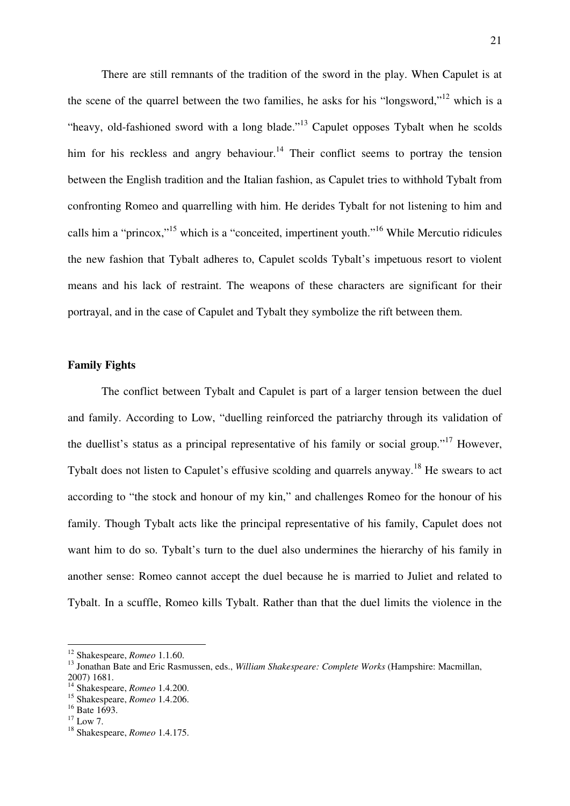There are still remnants of the tradition of the sword in the play. When Capulet is at the scene of the quarrel between the two families, he asks for his "longsword,"<sup>12</sup> which is a "heavy, old-fashioned sword with a long blade."<sup>13</sup> Capulet opposes Tybalt when he scolds him for his reckless and angry behaviour.<sup>14</sup> Their conflict seems to portray the tension between the English tradition and the Italian fashion, as Capulet tries to withhold Tybalt from confronting Romeo and quarrelling with him. He derides Tybalt for not listening to him and calls him a "princox,"<sup>15</sup> which is a "conceited, impertinent youth."<sup>16</sup> While Mercutio ridicules the new fashion that Tybalt adheres to, Capulet scolds Tybalt's impetuous resort to violent means and his lack of restraint. The weapons of these characters are significant for their portrayal, and in the case of Capulet and Tybalt they symbolize the rift between them.

#### **Family Fights**

The conflict between Tybalt and Capulet is part of a larger tension between the duel and family. According to Low, "duelling reinforced the patriarchy through its validation of the duellist's status as a principal representative of his family or social group."<sup>17</sup> However, Tybalt does not listen to Capulet's effusive scolding and quarrels anyway.<sup>18</sup> He swears to act according to "the stock and honour of my kin," and challenges Romeo for the honour of his family. Though Tybalt acts like the principal representative of his family, Capulet does not want him to do so. Tybalt's turn to the duel also undermines the hierarchy of his family in another sense: Romeo cannot accept the duel because he is married to Juliet and related to Tybalt. In a scuffle, Romeo kills Tybalt. Rather than that the duel limits the violence in the

<sup>12</sup> Shakespeare, *Romeo* 1.1.60.

<sup>13</sup> Jonathan Bate and Eric Rasmussen, eds., *William Shakespeare: Complete Works* (Hampshire: Macmillan, 2007) 1681.

<sup>14</sup> Shakespeare, *Romeo* 1.4.200.

<sup>15</sup> Shakespeare, *Romeo* 1.4.206.

 $16$  Bate 1693.

 $17$  Low 7.

<sup>18</sup> Shakespeare, *Romeo* 1.4.175.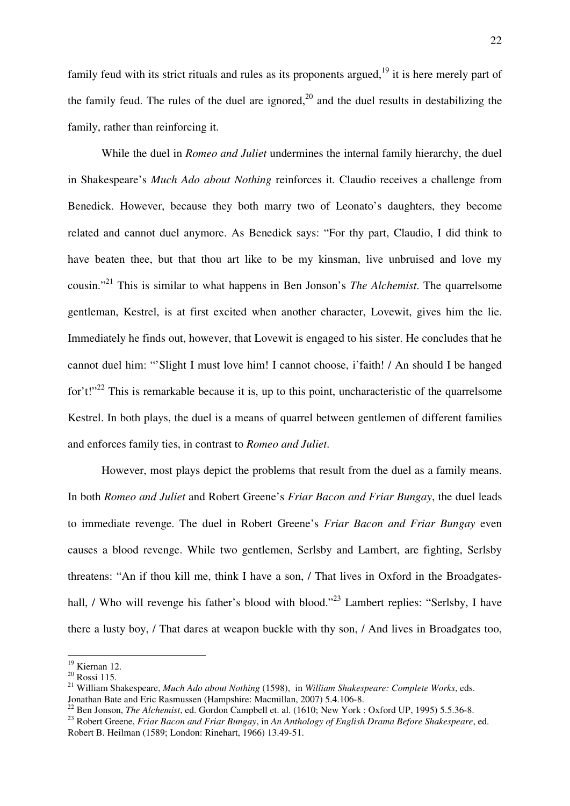family feud with its strict rituals and rules as its proponents argued,  $19$  it is here merely part of the family feud. The rules of the duel are ignored,  $2<sup>0</sup>$  and the duel results in destabilizing the family, rather than reinforcing it.

 While the duel in *Romeo and Juliet* undermines the internal family hierarchy, the duel in Shakespeare's *Much Ado about Nothing* reinforces it. Claudio receives a challenge from Benedick. However, because they both marry two of Leonato's daughters, they become related and cannot duel anymore. As Benedick says: "For thy part, Claudio, I did think to have beaten thee, but that thou art like to be my kinsman, live unbruised and love my cousin."<sup>21</sup> This is similar to what happens in Ben Jonson's *The Alchemist*. The quarrelsome gentleman, Kestrel, is at first excited when another character, Lovewit, gives him the lie. Immediately he finds out, however, that Lovewit is engaged to his sister. He concludes that he cannot duel him: "'Slight I must love him! I cannot choose, i'faith! / An should I be hanged for't!"<sup>22</sup> This is remarkable because it is, up to this point, uncharacteristic of the quarrelsome Kestrel. In both plays, the duel is a means of quarrel between gentlemen of different families and enforces family ties, in contrast to *Romeo and Juliet*.

 However, most plays depict the problems that result from the duel as a family means. In both *Romeo and Juliet* and Robert Greene's *Friar Bacon and Friar Bungay*, the duel leads to immediate revenge. The duel in Robert Greene's *Friar Bacon and Friar Bungay* even causes a blood revenge. While two gentlemen, Serlsby and Lambert, are fighting, Serlsby threatens: "An if thou kill me, think I have a son, / That lives in Oxford in the Broadgateshall, / Who will revenge his father's blood with blood."<sup>23</sup> Lambert replies: "Serlsby, I have there a lusty boy, / That dares at weapon buckle with thy son, / And lives in Broadgates too,

 $19$  Kiernan 12.

 $20$  Rossi 115.

<sup>21</sup> William Shakespeare, *Much Ado about Nothing* (1598), in *William Shakespeare: Complete Works*, eds. Jonathan Bate and Eric Rasmussen (Hampshire: Macmillan, 2007) 5.4.106-8.

<sup>&</sup>lt;sup>22</sup> Ben Jonson, *The Alchemist*, ed. Gordon Campbell et. al. (1610; New York : Oxford UP, 1995) 5.5.36-8.

<sup>23</sup> Robert Greene, *Friar Bacon and Friar Bungay*, in *An Anthology of English Drama Before Shakespeare*, ed. Robert B. Heilman (1589; London: Rinehart, 1966) 13.49-51.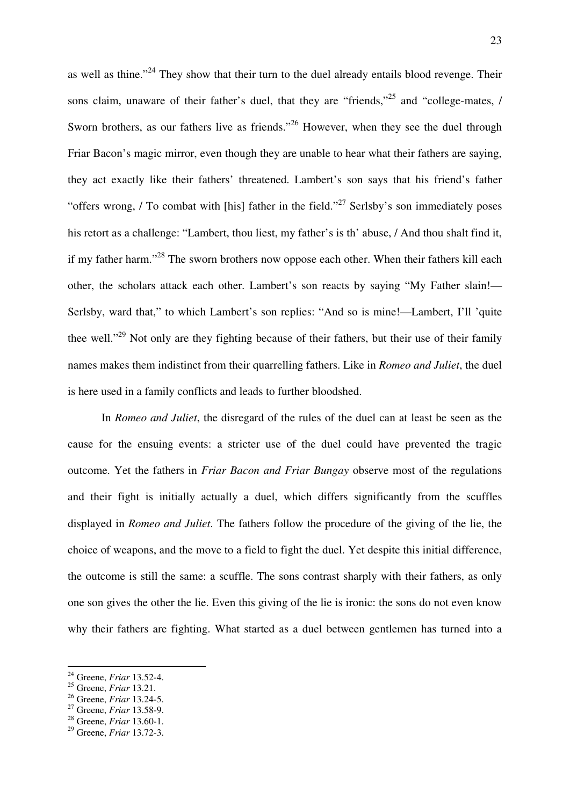as well as thine."<sup>24</sup> They show that their turn to the duel already entails blood revenge. Their sons claim, unaware of their father's duel, that they are "friends,"<sup>25</sup> and "college-mates, / Sworn brothers, as our fathers live as friends."<sup>26</sup> However, when they see the duel through Friar Bacon's magic mirror, even though they are unable to hear what their fathers are saying, they act exactly like their fathers' threatened. Lambert's son says that his friend's father "offers wrong, / To combat with [his] father in the field."<sup>27</sup> Serlsby's son immediately poses his retort as a challenge: "Lambert, thou liest, my father's is th' abuse, / And thou shalt find it, if my father harm."<sup>28</sup> The sworn brothers now oppose each other. When their fathers kill each other, the scholars attack each other. Lambert's son reacts by saying "My Father slain!— Serlsby, ward that," to which Lambert's son replies: "And so is mine!—Lambert, I'll 'quite thee well."<sup>29</sup> Not only are they fighting because of their fathers, but their use of their family names makes them indistinct from their quarrelling fathers. Like in *Romeo and Juliet*, the duel is here used in a family conflicts and leads to further bloodshed.

 In *Romeo and Juliet*, the disregard of the rules of the duel can at least be seen as the cause for the ensuing events: a stricter use of the duel could have prevented the tragic outcome. Yet the fathers in *Friar Bacon and Friar Bungay* observe most of the regulations and their fight is initially actually a duel, which differs significantly from the scuffles displayed in *Romeo and Juliet*. The fathers follow the procedure of the giving of the lie, the choice of weapons, and the move to a field to fight the duel. Yet despite this initial difference, the outcome is still the same: a scuffle. The sons contrast sharply with their fathers, as only one son gives the other the lie. Even this giving of the lie is ironic: the sons do not even know why their fathers are fighting. What started as a duel between gentlemen has turned into a

<sup>24</sup> Greene, *Friar* 13.52-4.

<sup>25</sup> Greene, *Friar* 13.21.

<sup>26</sup> Greene, *Friar* 13.24-5.

<sup>27</sup> Greene, *Friar* 13.58-9.

<sup>28</sup> Greene, *Friar* 13.60-1.

<sup>29</sup> Greene, *Friar* 13.72-3.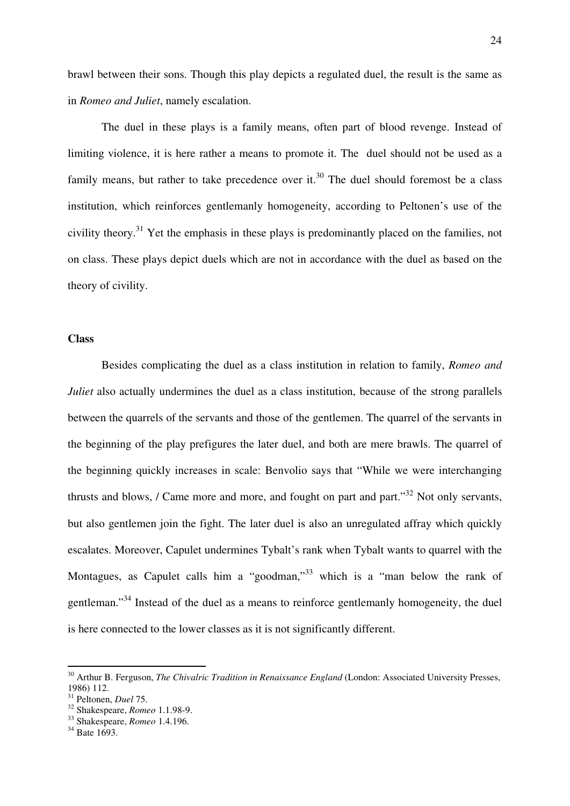brawl between their sons. Though this play depicts a regulated duel, the result is the same as in *Romeo and Juliet*, namely escalation.

 The duel in these plays is a family means, often part of blood revenge. Instead of limiting violence, it is here rather a means to promote it. The duel should not be used as a family means, but rather to take precedence over it.<sup>30</sup> The duel should foremost be a class institution, which reinforces gentlemanly homogeneity, according to Peltonen's use of the civility theory.<sup>31</sup> Yet the emphasis in these plays is predominantly placed on the families, not on class. These plays depict duels which are not in accordance with the duel as based on the theory of civility.

#### **Class**

 Besides complicating the duel as a class institution in relation to family, *Romeo and Juliet* also actually undermines the duel as a class institution, because of the strong parallels between the quarrels of the servants and those of the gentlemen. The quarrel of the servants in the beginning of the play prefigures the later duel, and both are mere brawls. The quarrel of the beginning quickly increases in scale: Benvolio says that "While we were interchanging thrusts and blows, / Came more and more, and fought on part and part."<sup>32</sup> Not only servants, but also gentlemen join the fight. The later duel is also an unregulated affray which quickly escalates. Moreover, Capulet undermines Tybalt's rank when Tybalt wants to quarrel with the Montagues, as Capulet calls him a "goodman,"<sup>33</sup> which is a "man below the rank of gentleman."<sup>34</sup> Instead of the duel as a means to reinforce gentlemanly homogeneity, the duel is here connected to the lower classes as it is not significantly different.

<sup>30</sup> Arthur B. Ferguson, *The Chivalric Tradition in Renaissance England* (London: Associated University Presses, 1986) 112.

<sup>31</sup> Peltonen, *Duel* 75.

<sup>32</sup> Shakespeare, *Romeo* 1.1.98-9.

<sup>33</sup> Shakespeare, *Romeo* 1.4.196.

 $34$  Bate 1693.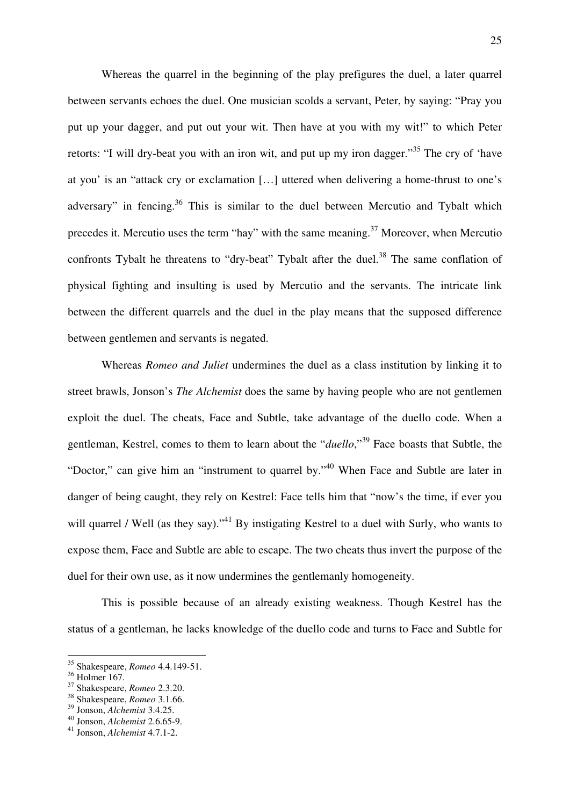Whereas the quarrel in the beginning of the play prefigures the duel, a later quarrel between servants echoes the duel. One musician scolds a servant, Peter, by saying: "Pray you put up your dagger, and put out your wit. Then have at you with my wit!" to which Peter retorts: "I will dry-beat you with an iron wit, and put up my iron dagger."<sup>35</sup> The cry of 'have at you' is an "attack cry or exclamation […] uttered when delivering a home-thrust to one's adversary" in fencing.<sup>36</sup> This is similar to the duel between Mercutio and Tybalt which precedes it. Mercutio uses the term "hay" with the same meaning.<sup>37</sup> Moreover, when Mercutio confronts Tybalt he threatens to "dry-beat" Tybalt after the duel.<sup>38</sup> The same conflation of physical fighting and insulting is used by Mercutio and the servants. The intricate link between the different quarrels and the duel in the play means that the supposed difference between gentlemen and servants is negated.

Whereas *Romeo and Juliet* undermines the duel as a class institution by linking it to street brawls, Jonson's *The Alchemist* does the same by having people who are not gentlemen exploit the duel. The cheats, Face and Subtle, take advantage of the duello code. When a gentleman, Kestrel, comes to them to learn about the "*duello*,"<sup>39</sup> Face boasts that Subtle, the "Doctor," can give him an "instrument to quarrel by."<sup>40</sup> When Face and Subtle are later in danger of being caught, they rely on Kestrel: Face tells him that "now's the time, if ever you will quarrel / Well (as they say)."<sup>41</sup> By instigating Kestrel to a duel with Surly, who wants to expose them, Face and Subtle are able to escape. The two cheats thus invert the purpose of the duel for their own use, as it now undermines the gentlemanly homogeneity.

 This is possible because of an already existing weakness. Though Kestrel has the status of a gentleman, he lacks knowledge of the duello code and turns to Face and Subtle for

<sup>35</sup> Shakespeare, *Romeo* 4.4.149-51.

<sup>36</sup> Holmer 167.

<sup>37</sup> Shakespeare, *Romeo* 2.3.20.

<sup>38</sup> Shakespeare, *Romeo* 3.1.66.

<sup>39</sup> Jonson, *Alchemist* 3.4.25.

<sup>40</sup> Jonson, *Alchemist* 2.6.65-9.

<sup>41</sup> Jonson, *Alchemist* 4.7.1-2.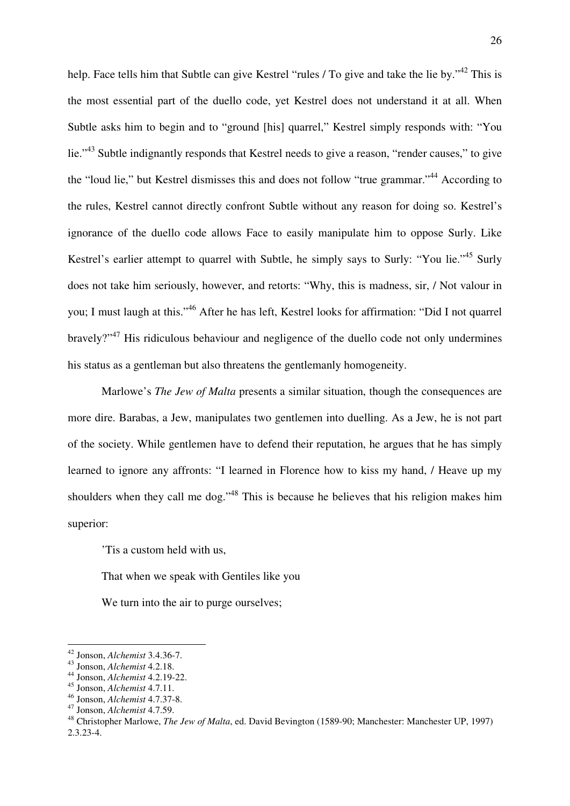help. Face tells him that Subtle can give Kestrel "rules / To give and take the lie by."<sup>42</sup> This is the most essential part of the duello code, yet Kestrel does not understand it at all. When Subtle asks him to begin and to "ground [his] quarrel," Kestrel simply responds with: "You lie."<sup>43</sup> Subtle indignantly responds that Kestrel needs to give a reason, "render causes," to give the "loud lie," but Kestrel dismisses this and does not follow "true grammar."<sup>44</sup> According to the rules, Kestrel cannot directly confront Subtle without any reason for doing so. Kestrel's ignorance of the duello code allows Face to easily manipulate him to oppose Surly. Like Kestrel's earlier attempt to quarrel with Subtle, he simply says to Surly: "You lie."<sup>45</sup> Surly does not take him seriously, however, and retorts: "Why, this is madness, sir, / Not valour in you; I must laugh at this."<sup>46</sup> After he has left, Kestrel looks for affirmation: "Did I not quarrel bravely?"<sup>47</sup> His ridiculous behaviour and negligence of the duello code not only undermines his status as a gentleman but also threatens the gentlemanly homogeneity.

 Marlowe's *The Jew of Malta* presents a similar situation, though the consequences are more dire. Barabas, a Jew, manipulates two gentlemen into duelling. As a Jew, he is not part of the society. While gentlemen have to defend their reputation, he argues that he has simply learned to ignore any affronts: "I learned in Florence how to kiss my hand, / Heave up my shoulders when they call me dog."<sup>48</sup> This is because he believes that his religion makes him superior:

'Tis a custom held with us,

That when we speak with Gentiles like you

We turn into the air to purge ourselves;

<sup>42</sup> Jonson, *Alchemist* 3.4.36-7.

<sup>43</sup> Jonson, *Alchemist* 4.2.18.

<sup>44</sup> Jonson, *Alchemist* 4.2.19-22.

<sup>45</sup> Jonson, *Alchemist* 4.7.11.

<sup>46</sup> Jonson, *Alchemist* 4.7.37-8. <sup>47</sup> Jonson, *Alchemist* 4.7.59.

<sup>48</sup> Christopher Marlowe, *The Jew of Malta*, ed. David Bevington (1589-90; Manchester: Manchester UP, 1997) 2.3.23-4.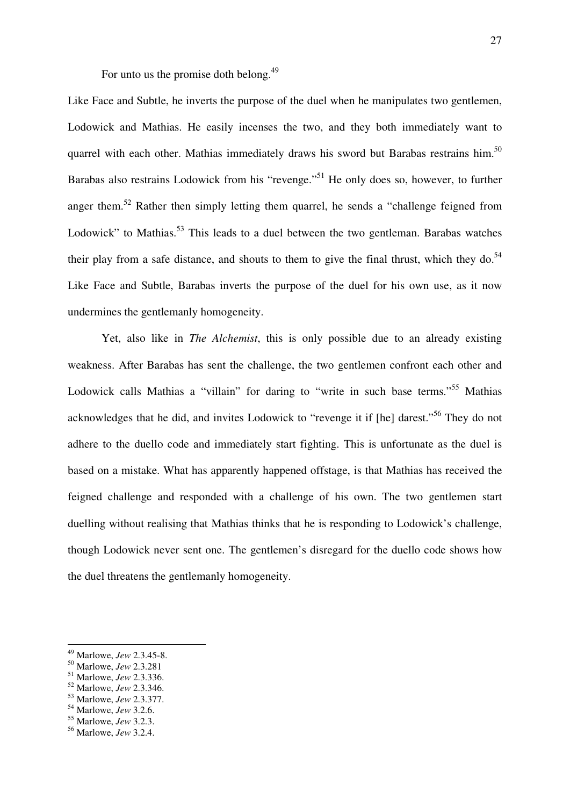For unto us the promise doth belong.<sup>49</sup>

Like Face and Subtle, he inverts the purpose of the duel when he manipulates two gentlemen, Lodowick and Mathias. He easily incenses the two, and they both immediately want to quarrel with each other. Mathias immediately draws his sword but Barabas restrains him.<sup>50</sup> Barabas also restrains Lodowick from his "revenge."<sup>51</sup> He only does so, however, to further anger them.<sup>52</sup> Rather then simply letting them quarrel, he sends a "challenge feigned from Lodowick" to Mathias.<sup>53</sup> This leads to a duel between the two gentleman. Barabas watches their play from a safe distance, and shouts to them to give the final thrust, which they do.<sup>54</sup> Like Face and Subtle, Barabas inverts the purpose of the duel for his own use, as it now undermines the gentlemanly homogeneity.

 Yet, also like in *The Alchemist*, this is only possible due to an already existing weakness. After Barabas has sent the challenge, the two gentlemen confront each other and Lodowick calls Mathias a "villain" for daring to "write in such base terms."<sup>55</sup> Mathias acknowledges that he did, and invites Lodowick to "revenge it if [he] darest."<sup>56</sup> They do not adhere to the duello code and immediately start fighting. This is unfortunate as the duel is based on a mistake. What has apparently happened offstage, is that Mathias has received the feigned challenge and responded with a challenge of his own. The two gentlemen start duelling without realising that Mathias thinks that he is responding to Lodowick's challenge, though Lodowick never sent one. The gentlemen's disregard for the duello code shows how the duel threatens the gentlemanly homogeneity.

<sup>49</sup> Marlowe, *Jew* 2.3.45-8.

<sup>50</sup> Marlowe, *Jew* 2.3.281

<sup>51</sup> Marlowe, *Jew* 2.3.336.

<sup>52</sup> Marlowe, *Jew* 2.3.346.

<sup>53</sup> Marlowe, *Jew* 2.3.377.

<sup>54</sup> Marlowe, *Jew* 3.2.6.

<sup>55</sup> Marlowe, *Jew* 3.2.3.

<sup>56</sup> Marlowe, *Jew* 3.2.4.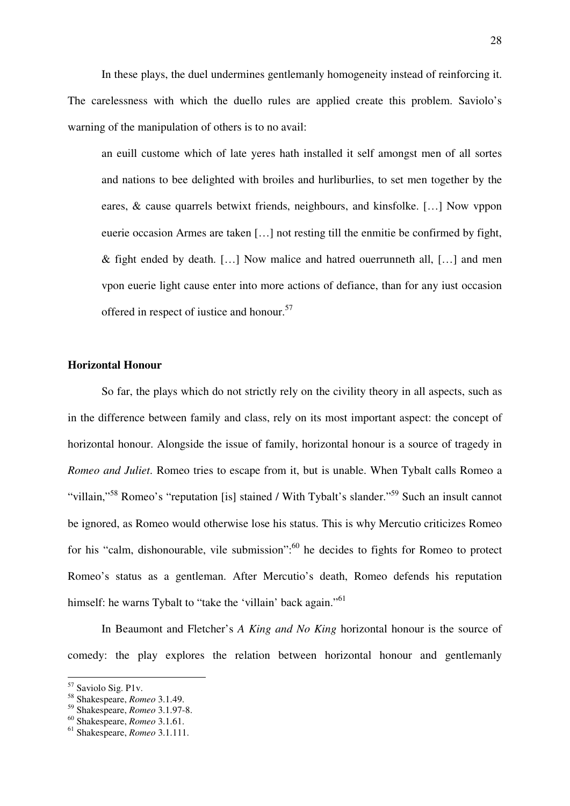In these plays, the duel undermines gentlemanly homogeneity instead of reinforcing it. The carelessness with which the duello rules are applied create this problem. Saviolo's warning of the manipulation of others is to no avail:

 an euill custome which of late yeres hath installed it self amongst men of all sortes and nations to bee delighted with broiles and hurliburlies, to set men together by the eares, & cause quarrels betwixt friends, neighbours, and kinsfolke. […] Now vppon euerie occasion Armes are taken […] not resting till the enmitie be confirmed by fight, & fight ended by death. […] Now malice and hatred ouerrunneth all, […] and men vpon euerie light cause enter into more actions of defiance, than for any iust occasion offered in respect of justice and honour.<sup>57</sup>

# **Horizontal Honour**

 So far, the plays which do not strictly rely on the civility theory in all aspects, such as in the difference between family and class, rely on its most important aspect: the concept of horizontal honour. Alongside the issue of family, horizontal honour is a source of tragedy in *Romeo and Juliet*. Romeo tries to escape from it, but is unable. When Tybalt calls Romeo a "villain,"<sup>58</sup> Romeo's "reputation [is] stained / With Tybalt's slander."<sup>59</sup> Such an insult cannot be ignored, as Romeo would otherwise lose his status. This is why Mercutio criticizes Romeo for his "calm, dishonourable, vile submission":<sup>60</sup> he decides to fights for Romeo to protect Romeo's status as a gentleman. After Mercutio's death, Romeo defends his reputation himself: he warns Tybalt to "take the 'villain' back again."<sup>61</sup>

 In Beaumont and Fletcher's *A King and No King* horizontal honour is the source of comedy: the play explores the relation between horizontal honour and gentlemanly

<sup>57</sup> Saviolo Sig. P1v.

<sup>58</sup> Shakespeare, *Romeo* 3.1.49.

<sup>59</sup> Shakespeare, *Romeo* 3.1.97-8.

<sup>60</sup> Shakespeare, *Romeo* 3.1.61.

<sup>61</sup> Shakespeare, *Romeo* 3.1.111.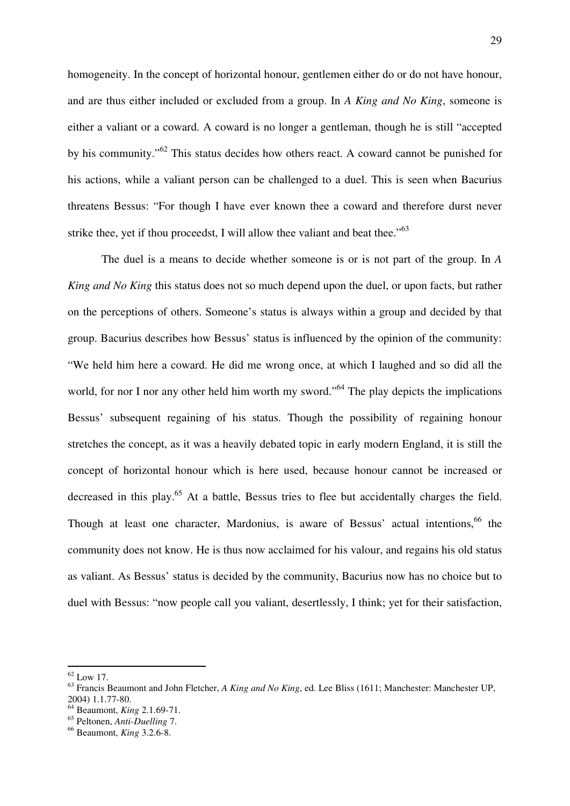homogeneity. In the concept of horizontal honour, gentlemen either do or do not have honour, and are thus either included or excluded from a group. In *A King and No King*, someone is either a valiant or a coward. A coward is no longer a gentleman, though he is still "accepted by his community."<sup>62</sup> This status decides how others react. A coward cannot be punished for his actions, while a valiant person can be challenged to a duel. This is seen when Bacurius threatens Bessus: "For though I have ever known thee a coward and therefore durst never strike thee, yet if thou proceedst, I will allow thee valiant and beat thee." $63$ 

 The duel is a means to decide whether someone is or is not part of the group. In *A King and No King* this status does not so much depend upon the duel, or upon facts, but rather on the perceptions of others. Someone's status is always within a group and decided by that group. Bacurius describes how Bessus' status is influenced by the opinion of the community: "We held him here a coward. He did me wrong once, at which I laughed and so did all the world, for nor I nor any other held him worth my sword."<sup>64</sup> The play depicts the implications Bessus' subsequent regaining of his status. Though the possibility of regaining honour stretches the concept, as it was a heavily debated topic in early modern England, it is still the concept of horizontal honour which is here used, because honour cannot be increased or decreased in this play.<sup>65</sup> At a battle, Bessus tries to flee but accidentally charges the field. Though at least one character, Mardonius, is aware of Bessus' actual intentions, <sup>66</sup> the community does not know. He is thus now acclaimed for his valour, and regains his old status as valiant. As Bessus' status is decided by the community, Bacurius now has no choice but to duel with Bessus: "now people call you valiant, desertlessly, I think; yet for their satisfaction,

 $62$  Low 17.

<sup>63</sup> Francis Beaumont and John Fletcher, *A King and No King*, ed. Lee Bliss (1611; Manchester: Manchester UP, 2004) 1.1.77-80.

<sup>64</sup> Beaumont, *King* 2.1.69-71.

<sup>65</sup> Peltonen, *Anti-Duelling* 7.

<sup>66</sup> Beaumont, *King* 3.2.6-8.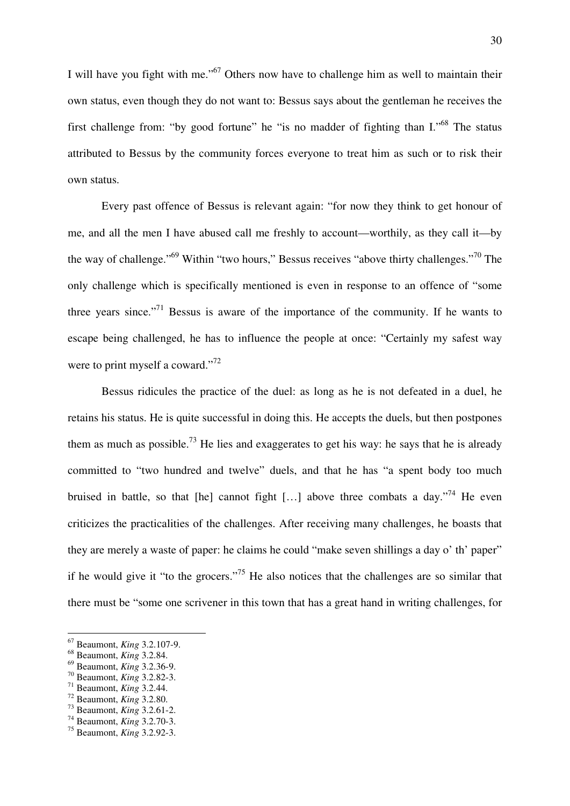I will have you fight with me."<sup>67</sup> Others now have to challenge him as well to maintain their own status, even though they do not want to: Bessus says about the gentleman he receives the first challenge from: "by good fortune" he "is no madder of fighting than I."<sup>68</sup> The status attributed to Bessus by the community forces everyone to treat him as such or to risk their own status.

 Every past offence of Bessus is relevant again: "for now they think to get honour of me, and all the men I have abused call me freshly to account—worthily, as they call it—by the way of challenge."<sup>69</sup> Within "two hours," Bessus receives "above thirty challenges."<sup>70</sup> The only challenge which is specifically mentioned is even in response to an offence of "some three years since."<sup>71</sup> Bessus is aware of the importance of the community. If he wants to escape being challenged, he has to influence the people at once: "Certainly my safest way were to print myself a coward."<sup>72</sup>

 Bessus ridicules the practice of the duel: as long as he is not defeated in a duel, he retains his status. He is quite successful in doing this. He accepts the duels, but then postpones them as much as possible.<sup>73</sup> He lies and exaggerates to get his way: he says that he is already committed to "two hundred and twelve" duels, and that he has "a spent body too much bruised in battle, so that [he] cannot fight [...] above three combats a day.<sup> $,74$ </sup> He even criticizes the practicalities of the challenges. After receiving many challenges, he boasts that they are merely a waste of paper: he claims he could "make seven shillings a day o' th' paper" if he would give it "to the grocers."<sup>75</sup> He also notices that the challenges are so similar that there must be "some one scrivener in this town that has a great hand in writing challenges, for

<sup>67</sup> Beaumont, *King* 3.2.107-9.

<sup>68</sup> Beaumont, *King* 3.2.84.

<sup>69</sup> Beaumont, *King* 3.2.36-9.

<sup>70</sup> Beaumont, *King* 3.2.82-3.

<sup>71</sup> Beaumont, *King* 3.2.44.

<sup>72</sup> Beaumont, *King* 3.2.80.

<sup>73</sup> Beaumont, *King* 3.2.61-2.

<sup>74</sup> Beaumont, *King* 3.2.70-3.

<sup>75</sup> Beaumont, *King* 3.2.92-3.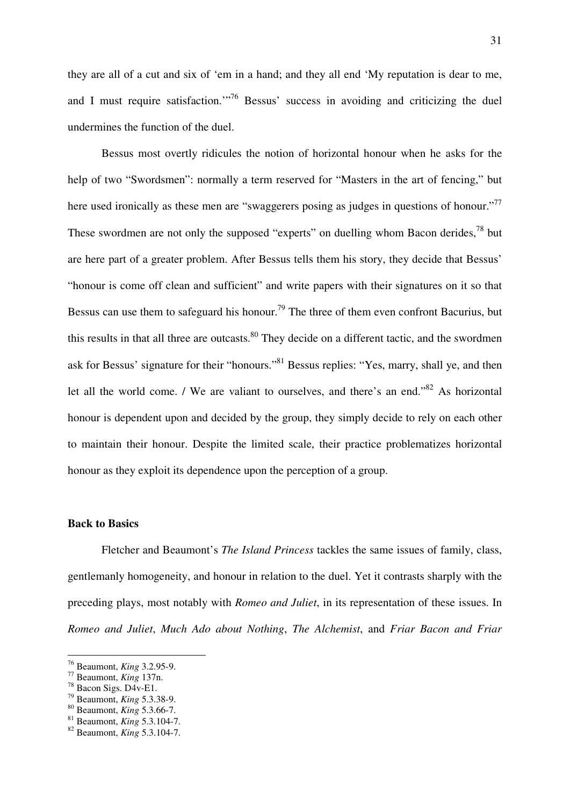they are all of a cut and six of 'em in a hand; and they all end 'My reputation is dear to me, and I must require satisfaction."<sup>76</sup> Bessus' success in avoiding and criticizing the duel undermines the function of the duel.

 Bessus most overtly ridicules the notion of horizontal honour when he asks for the help of two "Swordsmen": normally a term reserved for "Masters in the art of fencing," but here used ironically as these men are "swaggerers posing as judges in questions of honour."<sup>77</sup> These swordmen are not only the supposed "experts" on duelling whom Bacon derides,  $^{78}$  but are here part of a greater problem. After Bessus tells them his story, they decide that Bessus' "honour is come off clean and sufficient" and write papers with their signatures on it so that Bessus can use them to safeguard his honour.<sup>79</sup> The three of them even confront Bacurius, but this results in that all three are outcasts.<sup>80</sup> They decide on a different tactic, and the swordmen ask for Bessus' signature for their "honours."<sup>81</sup> Bessus replies: "Yes, marry, shall ye, and then let all the world come. / We are valiant to ourselves, and there's an end."<sup>82</sup> As horizontal honour is dependent upon and decided by the group, they simply decide to rely on each other to maintain their honour. Despite the limited scale, their practice problematizes horizontal honour as they exploit its dependence upon the perception of a group.

#### **Back to Basics**

 Fletcher and Beaumont's *The Island Princess* tackles the same issues of family, class, gentlemanly homogeneity, and honour in relation to the duel. Yet it contrasts sharply with the preceding plays, most notably with *Romeo and Juliet*, in its representation of these issues. In *Romeo and Juliet*, *Much Ado about Nothing*, *The Alchemist*, and *Friar Bacon and Friar* 

<sup>76</sup> Beaumont, *King* 3.2.95-9.

<sup>77</sup> Beaumont, *King* 137n.

<sup>78</sup> Bacon Sigs. D4v-E1.

<sup>79</sup> Beaumont, *King* 5.3.38-9.

<sup>80</sup> Beaumont, *King* 5.3.66-7.

<sup>81</sup> Beaumont, *King* 5.3.104-7.

<sup>82</sup> Beaumont, *King* 5.3.104-7.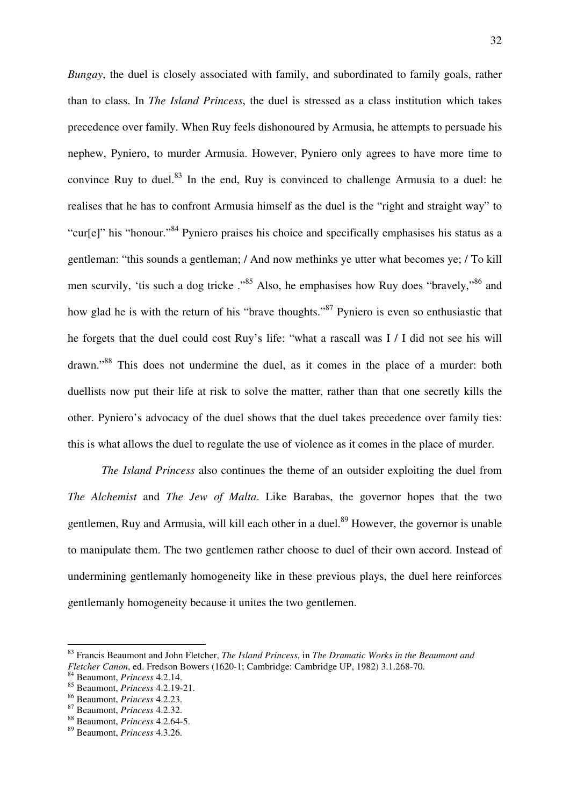*Bungay*, the duel is closely associated with family, and subordinated to family goals, rather than to class. In *The Island Princess*, the duel is stressed as a class institution which takes precedence over family. When Ruy feels dishonoured by Armusia, he attempts to persuade his nephew, Pyniero, to murder Armusia. However, Pyniero only agrees to have more time to convince Ruy to duel.<sup>83</sup> In the end, Ruy is convinced to challenge Armusia to a duel: he realises that he has to confront Armusia himself as the duel is the "right and straight way" to "cur[e]" his "honour."<sup>84</sup> Pyniero praises his choice and specifically emphasises his status as a gentleman: "this sounds a gentleman; / And now methinks ye utter what becomes ye; / To kill men scurvily, 'tis such a dog tricke ."<sup>85</sup> Also, he emphasises how Ruy does "bravely,"<sup>86</sup> and how glad he is with the return of his "brave thoughts."<sup>87</sup> Pyniero is even so enthusiastic that he forgets that the duel could cost Ruy's life: "what a rascall was I / I did not see his will drawn."<sup>88</sup> This does not undermine the duel, as it comes in the place of a murder: both duellists now put their life at risk to solve the matter, rather than that one secretly kills the other. Pyniero's advocacy of the duel shows that the duel takes precedence over family ties: this is what allows the duel to regulate the use of violence as it comes in the place of murder.

*The Island Princess* also continues the theme of an outsider exploiting the duel from *The Alchemist* and *The Jew of Malta*. Like Barabas, the governor hopes that the two gentlemen, Ruy and Armusia, will kill each other in a duel.<sup>89</sup> However, the governor is unable to manipulate them. The two gentlemen rather choose to duel of their own accord. Instead of undermining gentlemanly homogeneity like in these previous plays, the duel here reinforces gentlemanly homogeneity because it unites the two gentlemen.

<sup>83</sup> Francis Beaumont and John Fletcher, *The Island Princess*, in *The Dramatic Works in the Beaumont and Fletcher Canon*, ed. Fredson Bowers (1620-1; Cambridge: Cambridge UP, 1982) 3.1.268-70.

<sup>84</sup> Beaumont, *Princess* 4.2.14.

<sup>85</sup> Beaumont, *Princess* 4.2.19-21.

<sup>86</sup> Beaumont, *Princess* 4.2.23.

<sup>87</sup> Beaumont, *Princess* 4.2.32.

<sup>88</sup> Beaumont, *Princess* 4.2.64-5.

<sup>89</sup> Beaumont, *Princess* 4.3.26.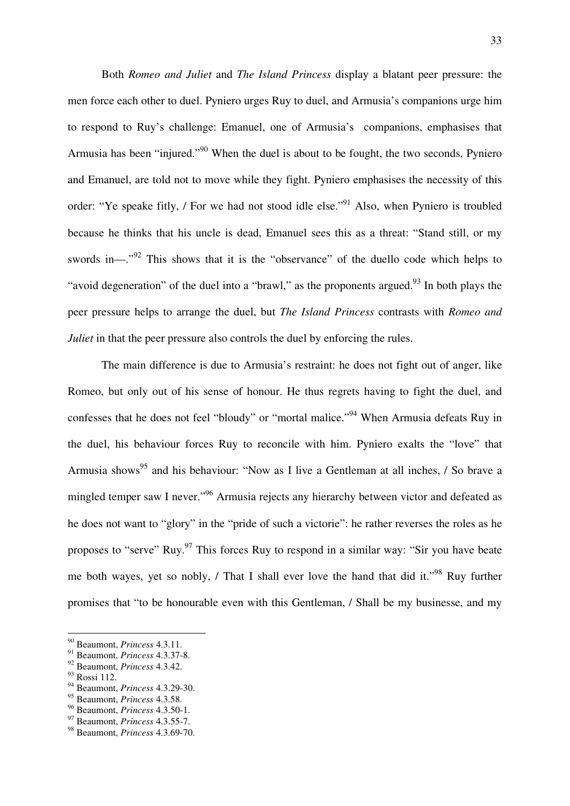Both *Romeo and Juliet* and *The Island Princess* display a blatant peer pressure: the men force each other to duel. Pyniero urges Ruy to duel, and Armusia's companions urge him to respond to Ruy's challenge: Emanuel, one of Armusia's companions, emphasises that Armusia has been "injured."<sup>90</sup> When the duel is about to be fought, the two seconds, Pyniero and Emanuel, are told not to move while they fight. Pyniero emphasises the necessity of this order: "Ye speake fitly, / For we had not stood idle else."<sup>91</sup> Also, when Pyniero is troubled because he thinks that his uncle is dead, Emanuel sees this as a threat: "Stand still, or my swords in—."<sup>92</sup> This shows that it is the "observance" of the duello code which helps to "avoid degeneration" of the duel into a "brawl," as the proponents argued.<sup>93</sup> In both plays the peer pressure helps to arrange the duel, but *The Island Princess* contrasts with *Romeo and Juliet* in that the peer pressure also controls the duel by enforcing the rules.

 The main difference is due to Armusia's restraint: he does not fight out of anger, like Romeo, but only out of his sense of honour. He thus regrets having to fight the duel, and confesses that he does not feel "bloudy" or "mortal malice."<sup>94</sup> When Armusia defeats Ruy in the duel, his behaviour forces Ruy to reconcile with him. Pyniero exalts the "love" that Armusia shows<sup>95</sup> and his behaviour: "Now as I live a Gentleman at all inches, / So brave a mingled temper saw I never."<sup>96</sup> Armusia rejects any hierarchy between victor and defeated as he does not want to "glory" in the "pride of such a victorie": he rather reverses the roles as he proposes to "serve" Ruy.<sup>97</sup> This forces Ruy to respond in a similar way: "Sir you have beate me both wayes, yet so nobly,  $\ell$  That I shall ever love the hand that did it."<sup>98</sup> Ruy further promises that "to be honourable even with this Gentleman, / Shall be my businesse, and my

<sup>90</sup> Beaumont, *Princess* 4.3.11.

<sup>91</sup> Beaumont, *Princess* 4.3.37-8.

<sup>92</sup> Beaumont, *Princess* 4.3.42.

<sup>93</sup> Rossi 112.

<sup>94</sup> Beaumont, *Princess* 4.3.29-30.

<sup>95</sup> Beaumont, *Princess* 4.3.58.

<sup>96</sup> Beaumont, *Princess* 4.3.50-1.

<sup>97</sup> Beaumont, *Princess* 4.3.55-7.

<sup>98</sup> Beaumont, *Princess* 4.3.69-70.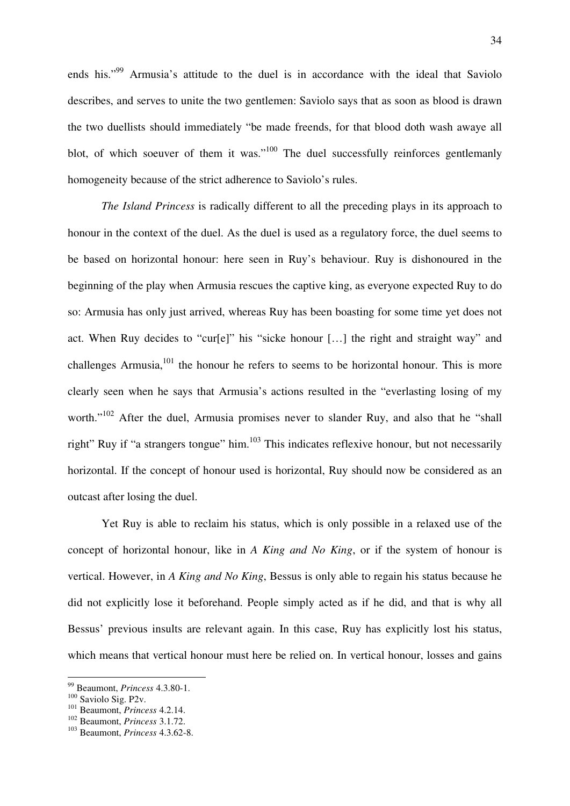ends his."<sup>99</sup> Armusia's attitude to the duel is in accordance with the ideal that Saviolo describes, and serves to unite the two gentlemen: Saviolo says that as soon as blood is drawn the two duellists should immediately "be made freends, for that blood doth wash awaye all blot, of which soeuver of them it was." $100$  The duel successfully reinforces gentlemanly homogeneity because of the strict adherence to Saviolo's rules.

*The Island Princess* is radically different to all the preceding plays in its approach to honour in the context of the duel. As the duel is used as a regulatory force, the duel seems to be based on horizontal honour: here seen in Ruy's behaviour. Ruy is dishonoured in the beginning of the play when Armusia rescues the captive king, as everyone expected Ruy to do so: Armusia has only just arrived, whereas Ruy has been boasting for some time yet does not act. When Ruy decides to "cur[e]" his "sicke honour […] the right and straight way" and challenges Armusia, $101$  the honour he refers to seems to be horizontal honour. This is more clearly seen when he says that Armusia's actions resulted in the "everlasting losing of my worth."<sup>102</sup> After the duel, Armusia promises never to slander Ruy, and also that he "shall right" Ruy if "a strangers tongue" him. $103$  This indicates reflexive honour, but not necessarily horizontal. If the concept of honour used is horizontal, Ruy should now be considered as an outcast after losing the duel.

 Yet Ruy is able to reclaim his status, which is only possible in a relaxed use of the concept of horizontal honour, like in *A King and No King*, or if the system of honour is vertical. However, in *A King and No King*, Bessus is only able to regain his status because he did not explicitly lose it beforehand. People simply acted as if he did, and that is why all Bessus' previous insults are relevant again. In this case, Ruy has explicitly lost his status, which means that vertical honour must here be relied on. In vertical honour, losses and gains

<sup>99</sup> Beaumont, *Princess* 4.3.80-1.

<sup>&</sup>lt;sup>100</sup> Saviolo Sig. P<sub>2v</sub>.

<sup>101</sup> Beaumont, *Princess* 4.2.14.

<sup>102</sup> Beaumont, *Princess* 3.1.72.

<sup>103</sup> Beaumont, *Princess* 4.3.62-8.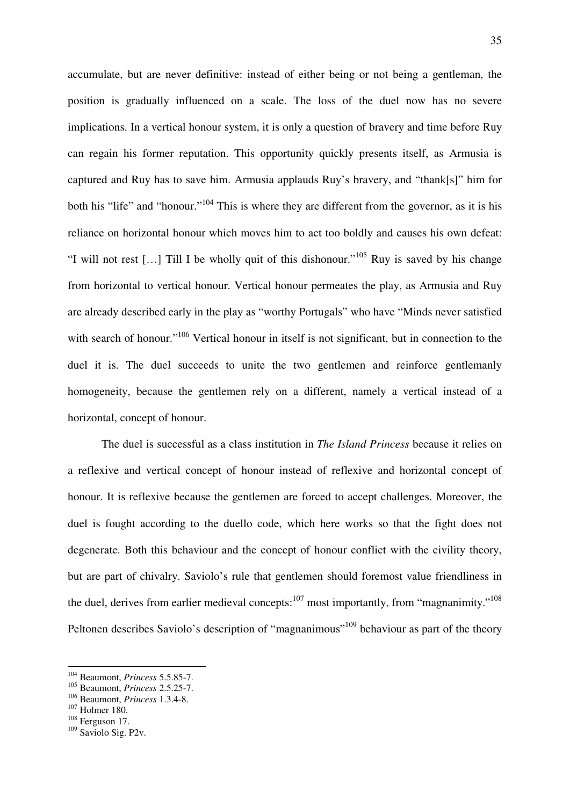accumulate, but are never definitive: instead of either being or not being a gentleman, the position is gradually influenced on a scale. The loss of the duel now has no severe implications. In a vertical honour system, it is only a question of bravery and time before Ruy can regain his former reputation. This opportunity quickly presents itself, as Armusia is captured and Ruy has to save him. Armusia applauds Ruy's bravery, and "thank[s]" him for both his "life" and "honour."<sup>104</sup> This is where they are different from the governor, as it is his reliance on horizontal honour which moves him to act too boldly and causes his own defeat: "I will not rest […] Till I be wholly quit of this dishonour."<sup>105</sup> Ruy is saved by his change from horizontal to vertical honour. Vertical honour permeates the play, as Armusia and Ruy are already described early in the play as "worthy Portugals" who have "Minds never satisfied with search of honour."<sup>106</sup> Vertical honour in itself is not significant, but in connection to the duel it is. The duel succeeds to unite the two gentlemen and reinforce gentlemanly homogeneity, because the gentlemen rely on a different, namely a vertical instead of a horizontal, concept of honour.

 The duel is successful as a class institution in *The Island Princess* because it relies on a reflexive and vertical concept of honour instead of reflexive and horizontal concept of honour. It is reflexive because the gentlemen are forced to accept challenges. Moreover, the duel is fought according to the duello code, which here works so that the fight does not degenerate. Both this behaviour and the concept of honour conflict with the civility theory, but are part of chivalry. Saviolo's rule that gentlemen should foremost value friendliness in the duel, derives from earlier medieval concepts: $107 \text{ most importantly, from "magnanimity."}$ <sup>108</sup> Peltonen describes Saviolo's description of "magnanimous"<sup>109</sup> behaviour as part of the theory

<sup>104</sup> Beaumont, *Princess* 5.5.85-7.

<sup>105</sup> Beaumont, *Princess* 2.5.25-7.

<sup>106</sup> Beaumont, *Princess* 1.3.4-8.

<sup>107</sup> Holmer 180.

<sup>108</sup> Ferguson 17.

<sup>109</sup> Saviolo Sig. P2v.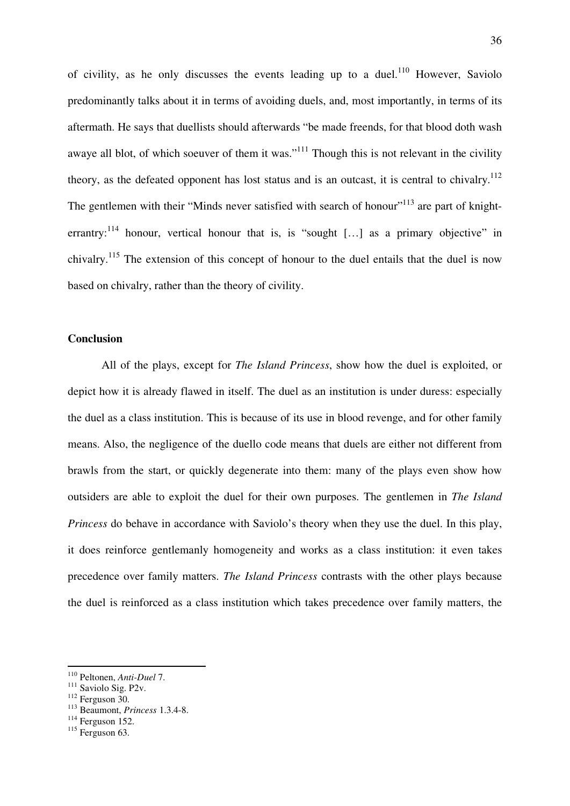of civility, as he only discusses the events leading up to a duel.<sup>110</sup> However, Saviolo predominantly talks about it in terms of avoiding duels, and, most importantly, in terms of its aftermath. He says that duellists should afterwards "be made freends, for that blood doth wash awaye all blot, of which soeuver of them it was."<sup>111</sup> Though this is not relevant in the civility theory, as the defeated opponent has lost status and is an outcast, it is central to chivalry.<sup>112</sup> The gentlemen with their "Minds never satisfied with search of honour"<sup>113</sup> are part of knighterrantry:<sup>114</sup> honour, vertical honour that is, is "sought [...] as a primary objective" in chivalry.<sup>115</sup> The extension of this concept of honour to the duel entails that the duel is now based on chivalry, rather than the theory of civility.

#### **Conclusion**

 All of the plays, except for *The Island Princess*, show how the duel is exploited, or depict how it is already flawed in itself. The duel as an institution is under duress: especially the duel as a class institution. This is because of its use in blood revenge, and for other family means. Also, the negligence of the duello code means that duels are either not different from brawls from the start, or quickly degenerate into them: many of the plays even show how outsiders are able to exploit the duel for their own purposes. The gentlemen in *The Island Princess* do behave in accordance with Saviolo's theory when they use the duel. In this play, it does reinforce gentlemanly homogeneity and works as a class institution: it even takes precedence over family matters. *The Island Princess* contrasts with the other plays because the duel is reinforced as a class institution which takes precedence over family matters, the

<sup>110</sup> Peltonen, *Anti-Duel* 7.

<sup>&</sup>lt;sup>111</sup> Saviolo Sig. P2v.

 $112$  Ferguson 30.

<sup>113</sup> Beaumont, *Princess* 1.3.4-8.

<sup>114</sup> Ferguson 152.

 $115$  Ferguson 63.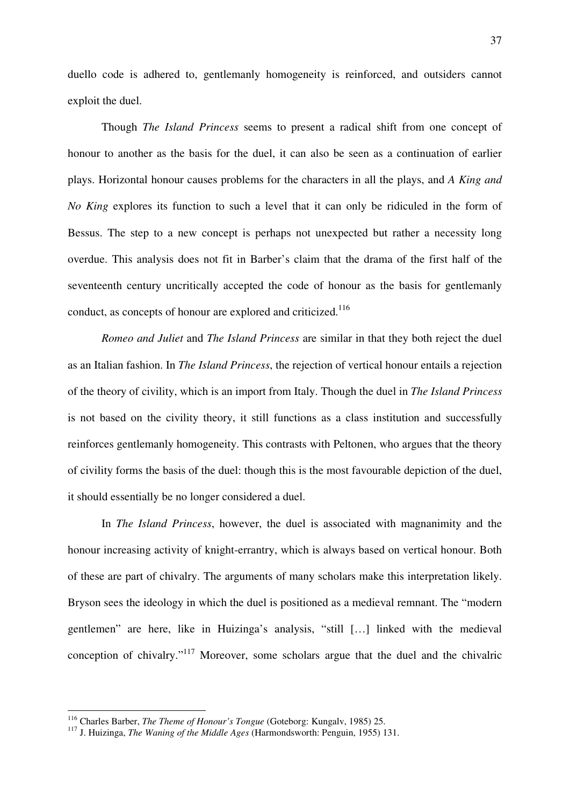duello code is adhered to, gentlemanly homogeneity is reinforced, and outsiders cannot exploit the duel.

 Though *The Island Princess* seems to present a radical shift from one concept of honour to another as the basis for the duel, it can also be seen as a continuation of earlier plays. Horizontal honour causes problems for the characters in all the plays, and *A King and No King* explores its function to such a level that it can only be ridiculed in the form of Bessus. The step to a new concept is perhaps not unexpected but rather a necessity long overdue. This analysis does not fit in Barber's claim that the drama of the first half of the seventeenth century uncritically accepted the code of honour as the basis for gentlemanly conduct, as concepts of honour are explored and criticized.<sup>116</sup>

*Romeo and Juliet* and *The Island Princess* are similar in that they both reject the duel as an Italian fashion. In *The Island Princess*, the rejection of vertical honour entails a rejection of the theory of civility, which is an import from Italy. Though the duel in *The Island Princess* is not based on the civility theory, it still functions as a class institution and successfully reinforces gentlemanly homogeneity. This contrasts with Peltonen, who argues that the theory of civility forms the basis of the duel: though this is the most favourable depiction of the duel, it should essentially be no longer considered a duel.

 In *The Island Princess*, however, the duel is associated with magnanimity and the honour increasing activity of knight-errantry, which is always based on vertical honour. Both of these are part of chivalry. The arguments of many scholars make this interpretation likely. Bryson sees the ideology in which the duel is positioned as a medieval remnant. The "modern gentlemen" are here, like in Huizinga's analysis, "still […] linked with the medieval conception of chivalry."<sup>117</sup> Moreover, some scholars argue that the duel and the chivalric

<sup>116</sup> Charles Barber, *The Theme of Honour's Tongue* (Goteborg: Kungalv, 1985) 25.

<sup>117</sup> J. Huizinga, *The Waning of the Middle Ages* (Harmondsworth: Penguin, 1955) 131.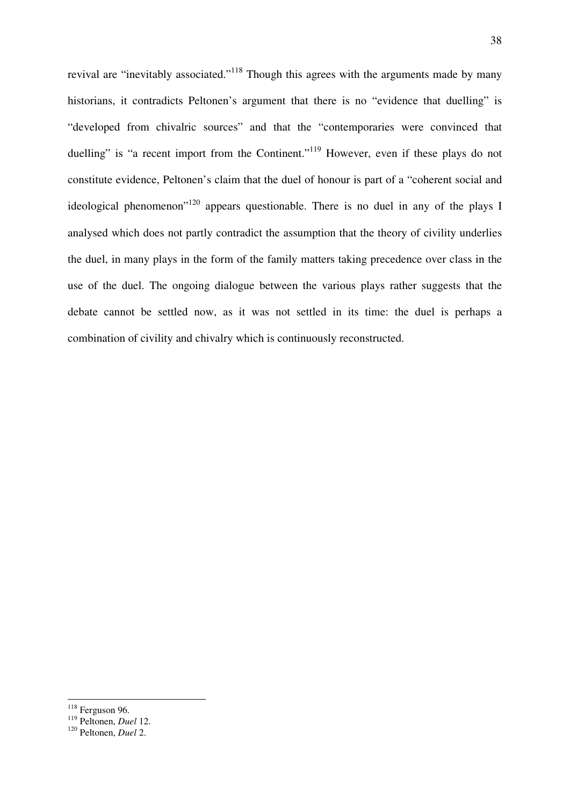revival are "inevitably associated."<sup>118</sup> Though this agrees with the arguments made by many historians, it contradicts Peltonen's argument that there is no "evidence that duelling" is "developed from chivalric sources" and that the "contemporaries were convinced that duelling" is "a recent import from the Continent."<sup>119</sup> However, even if these plays do not constitute evidence, Peltonen's claim that the duel of honour is part of a "coherent social and ideological phenomenon"<sup>120</sup> appears questionable. There is no duel in any of the plays I analysed which does not partly contradict the assumption that the theory of civility underlies the duel, in many plays in the form of the family matters taking precedence over class in the use of the duel. The ongoing dialogue between the various plays rather suggests that the debate cannot be settled now, as it was not settled in its time: the duel is perhaps a combination of civility and chivalry which is continuously reconstructed.

 $118$  Ferguson 96.

<sup>119</sup> Peltonen, *Duel* 12.

<sup>120</sup> Peltonen, *Duel* 2.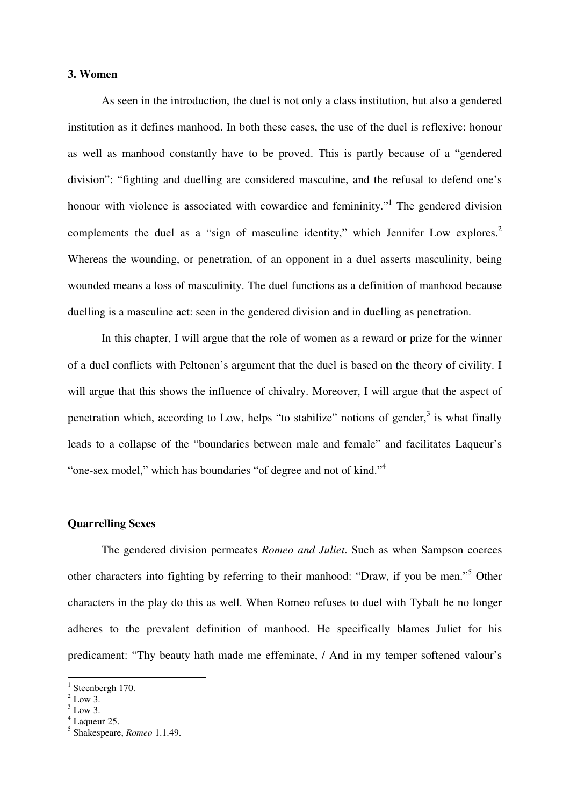### **3. Women**

 As seen in the introduction, the duel is not only a class institution, but also a gendered institution as it defines manhood. In both these cases, the use of the duel is reflexive: honour as well as manhood constantly have to be proved. This is partly because of a "gendered division": "fighting and duelling are considered masculine, and the refusal to defend one's honour with violence is associated with cowardice and femininity."<sup>1</sup> The gendered division complements the duel as a "sign of masculine identity," which Jennifer Low explores.<sup>2</sup> Whereas the wounding, or penetration, of an opponent in a duel asserts masculinity, being wounded means a loss of masculinity. The duel functions as a definition of manhood because duelling is a masculine act: seen in the gendered division and in duelling as penetration.

 In this chapter, I will argue that the role of women as a reward or prize for the winner of a duel conflicts with Peltonen's argument that the duel is based on the theory of civility. I will argue that this shows the influence of chivalry. Moreover, I will argue that the aspect of penetration which, according to Low, helps "to stabilize" notions of gender, $3$  is what finally leads to a collapse of the "boundaries between male and female" and facilitates Laqueur's "one-sex model," which has boundaries "of degree and not of kind."<sup>4</sup>

# **Quarrelling Sexes**

 The gendered division permeates *Romeo and Juliet*. Such as when Sampson coerces other characters into fighting by referring to their manhood: "Draw, if you be men."<sup>5</sup> Other characters in the play do this as well. When Romeo refuses to duel with Tybalt he no longer adheres to the prevalent definition of manhood. He specifically blames Juliet for his predicament: "Thy beauty hath made me effeminate, / And in my temper softened valour's

 $1$  Steenbergh 170.

 $2$  Low 3.

 $3$  Low 3.

<sup>4</sup> Laqueur 25.

<sup>5</sup> Shakespeare, *Romeo* 1.1.49.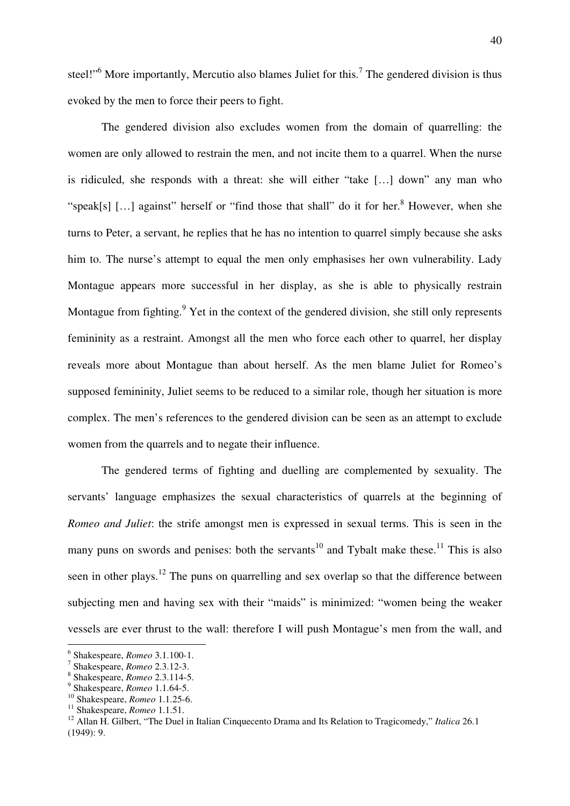steel!"<sup>6</sup> More importantly, Mercutio also blames Juliet for this.<sup>7</sup> The gendered division is thus evoked by the men to force their peers to fight.

 The gendered division also excludes women from the domain of quarrelling: the women are only allowed to restrain the men, and not incite them to a quarrel. When the nurse is ridiculed, she responds with a threat: she will either "take […] down" any man who "speak[s]  $[...]$  against" herself or "find those that shall" do it for her. $8$  However, when she turns to Peter, a servant, he replies that he has no intention to quarrel simply because she asks him to. The nurse's attempt to equal the men only emphasises her own vulnerability. Lady Montague appears more successful in her display, as she is able to physically restrain Montague from fighting.<sup>9</sup> Yet in the context of the gendered division, she still only represents femininity as a restraint. Amongst all the men who force each other to quarrel, her display reveals more about Montague than about herself. As the men blame Juliet for Romeo's supposed femininity, Juliet seems to be reduced to a similar role, though her situation is more complex. The men's references to the gendered division can be seen as an attempt to exclude women from the quarrels and to negate their influence.

 The gendered terms of fighting and duelling are complemented by sexuality. The servants' language emphasizes the sexual characteristics of quarrels at the beginning of *Romeo and Juliet*: the strife amongst men is expressed in sexual terms. This is seen in the many puns on swords and penises: both the servants<sup>10</sup> and Tybalt make these.<sup>11</sup> This is also seen in other plays.<sup>12</sup> The puns on quarrelling and sex overlap so that the difference between subjecting men and having sex with their "maids" is minimized: "women being the weaker vessels are ever thrust to the wall: therefore I will push Montague's men from the wall, and

<sup>6</sup> Shakespeare, *Romeo* 3.1.100-1.

<sup>7</sup> Shakespeare, *Romeo* 2.3.12-3.

<sup>8</sup> Shakespeare, *Romeo* 2.3.114-5.

<sup>9</sup> Shakespeare, *Romeo* 1.1.64-5.

<sup>10</sup> Shakespeare, *Romeo* 1.1.25-6.

<sup>11</sup> Shakespeare, *Romeo* 1.1.51.

<sup>&</sup>lt;sup>12</sup> Allan H. Gilbert, "The Duel in Italian Cinquecento Drama and Its Relation to Tragicomedy," *Italica* 26.1 (1949): 9.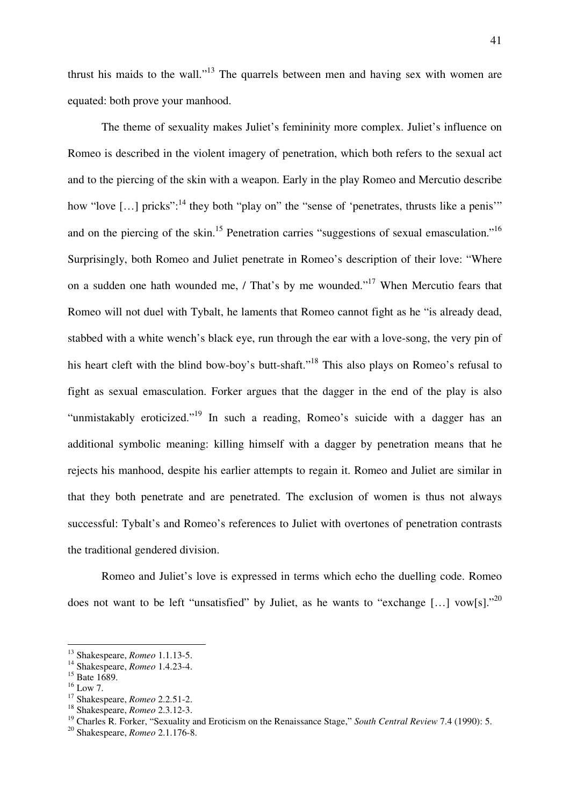thrust his maids to the wall."<sup>13</sup> The quarrels between men and having sex with women are equated: both prove your manhood.

 The theme of sexuality makes Juliet's femininity more complex. Juliet's influence on Romeo is described in the violent imagery of penetration, which both refers to the sexual act and to the piercing of the skin with a weapon. Early in the play Romeo and Mercutio describe how "love [...] pricks":<sup>14</sup> they both "play on" the "sense of 'penetrates, thrusts like a penis" and on the piercing of the skin.<sup>15</sup> Penetration carries "suggestions of sexual emasculation."<sup>16</sup> Surprisingly, both Romeo and Juliet penetrate in Romeo's description of their love: "Where on a sudden one hath wounded me, / That's by me wounded."<sup>17</sup> When Mercutio fears that Romeo will not duel with Tybalt, he laments that Romeo cannot fight as he "is already dead, stabbed with a white wench's black eye, run through the ear with a love-song, the very pin of his heart cleft with the blind bow-boy's butt-shaft."<sup>18</sup> This also plays on Romeo's refusal to fight as sexual emasculation. Forker argues that the dagger in the end of the play is also "unmistakably eroticized."<sup>19</sup> In such a reading, Romeo's suicide with a dagger has an additional symbolic meaning: killing himself with a dagger by penetration means that he rejects his manhood, despite his earlier attempts to regain it. Romeo and Juliet are similar in that they both penetrate and are penetrated. The exclusion of women is thus not always successful: Tybalt's and Romeo's references to Juliet with overtones of penetration contrasts the traditional gendered division.

 Romeo and Juliet's love is expressed in terms which echo the duelling code. Romeo does not want to be left "unsatisfied" by Juliet, as he wants to "exchange [...] vow[s]."<sup>20</sup>

<sup>13</sup> Shakespeare, *Romeo* 1.1.13-5.

<sup>14</sup> Shakespeare, *Romeo* 1.4.23-4.

 $15$  Bate 1689.

 $16$  Low 7.

<sup>17</sup> Shakespeare, *Romeo* 2.2.51-2.

<sup>18</sup> Shakespeare, *Romeo* 2.3.12-3.

<sup>&</sup>lt;sup>19</sup> Charles R. Forker, "Sexuality and Eroticism on the Renaissance Stage," *South Central Review* 7.4 (1990): 5.

<sup>20</sup> Shakespeare, *Romeo* 2.1.176-8.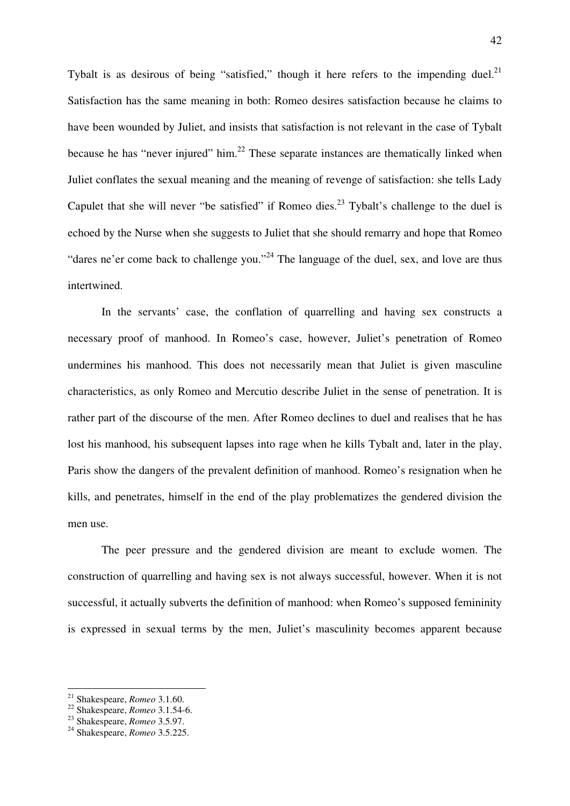Tybalt is as desirous of being "satisfied," though it here refers to the impending duel. $^{21}$ Satisfaction has the same meaning in both: Romeo desires satisfaction because he claims to have been wounded by Juliet, and insists that satisfaction is not relevant in the case of Tybalt because he has "never injured" him. $^{22}$  These separate instances are thematically linked when Juliet conflates the sexual meaning and the meaning of revenge of satisfaction: she tells Lady Capulet that she will never "be satisfied" if Romeo dies.<sup>23</sup> Tybalt's challenge to the duel is echoed by the Nurse when she suggests to Juliet that she should remarry and hope that Romeo "dares ne'er come back to challenge you."<sup>24</sup> The language of the duel, sex, and love are thus intertwined.

 In the servants' case, the conflation of quarrelling and having sex constructs a necessary proof of manhood. In Romeo's case, however, Juliet's penetration of Romeo undermines his manhood. This does not necessarily mean that Juliet is given masculine characteristics, as only Romeo and Mercutio describe Juliet in the sense of penetration. It is rather part of the discourse of the men. After Romeo declines to duel and realises that he has lost his manhood, his subsequent lapses into rage when he kills Tybalt and, later in the play, Paris show the dangers of the prevalent definition of manhood. Romeo's resignation when he kills, and penetrates, himself in the end of the play problematizes the gendered division the men use.

 The peer pressure and the gendered division are meant to exclude women. The construction of quarrelling and having sex is not always successful, however. When it is not successful, it actually subverts the definition of manhood: when Romeo's supposed femininity is expressed in sexual terms by the men, Juliet's masculinity becomes apparent because

<sup>21</sup> Shakespeare, *Romeo* 3.1.60.

<sup>22</sup> Shakespeare, *Romeo* 3.1.54-6.

<sup>23</sup> Shakespeare, *Romeo* 3.5.97.

<sup>24</sup> Shakespeare, *Romeo* 3.5.225.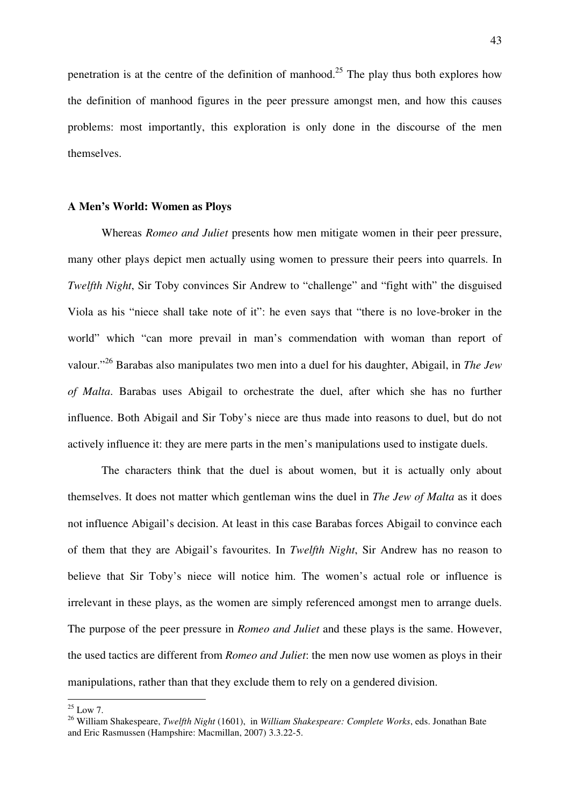penetration is at the centre of the definition of manhood.<sup>25</sup> The play thus both explores how the definition of manhood figures in the peer pressure amongst men, and how this causes problems: most importantly, this exploration is only done in the discourse of the men themselves.

#### **A Men's World: Women as Ploys**

Whereas *Romeo and Juliet* presents how men mitigate women in their peer pressure, many other plays depict men actually using women to pressure their peers into quarrels. In *Twelfth Night*, Sir Toby convinces Sir Andrew to "challenge" and "fight with" the disguised Viola as his "niece shall take note of it": he even says that "there is no love-broker in the world" which "can more prevail in man's commendation with woman than report of valour."<sup>26</sup> Barabas also manipulates two men into a duel for his daughter, Abigail, in *The Jew of Malta*. Barabas uses Abigail to orchestrate the duel, after which she has no further influence. Both Abigail and Sir Toby's niece are thus made into reasons to duel, but do not actively influence it: they are mere parts in the men's manipulations used to instigate duels.

 The characters think that the duel is about women, but it is actually only about themselves. It does not matter which gentleman wins the duel in *The Jew of Malta* as it does not influence Abigail's decision. At least in this case Barabas forces Abigail to convince each of them that they are Abigail's favourites. In *Twelfth Night*, Sir Andrew has no reason to believe that Sir Toby's niece will notice him. The women's actual role or influence is irrelevant in these plays, as the women are simply referenced amongst men to arrange duels. The purpose of the peer pressure in *Romeo and Juliet* and these plays is the same. However, the used tactics are different from *Romeo and Juliet*: the men now use women as ploys in their manipulations, rather than that they exclude them to rely on a gendered division.

 $^{25}$  Low 7.

<sup>26</sup> William Shakespeare, *Twelfth Night* (1601), in *William Shakespeare: Complete Works*, eds. Jonathan Bate and Eric Rasmussen (Hampshire: Macmillan, 2007) 3.3.22-5.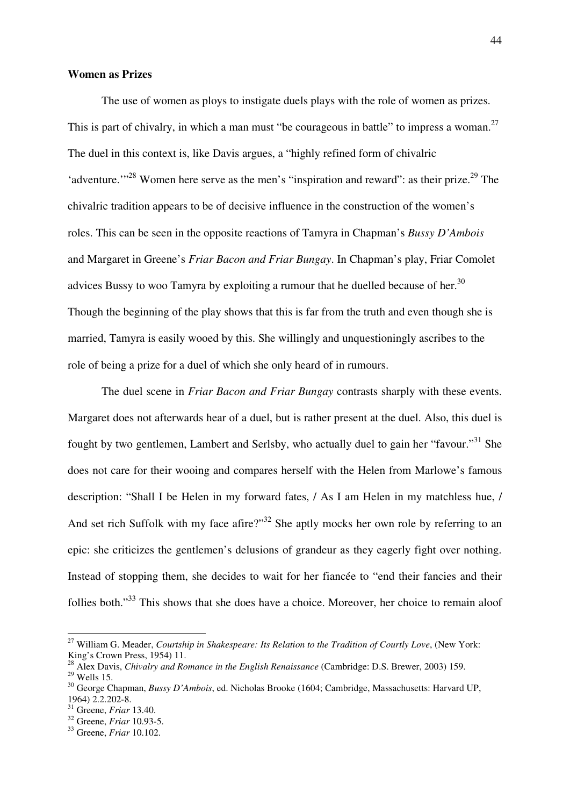#### **Women as Prizes**

The use of women as ploys to instigate duels plays with the role of women as prizes. This is part of chivalry, in which a man must "be courageous in battle" to impress a woman.<sup>27</sup> The duel in this context is, like Davis argues, a "highly refined form of chivalric 'adventure.'"<sup>28</sup> Women here serve as the men's "inspiration and reward": as their prize.<sup>29</sup> The chivalric tradition appears to be of decisive influence in the construction of the women's roles. This can be seen in the opposite reactions of Tamyra in Chapman's *Bussy D'Ambois*  and Margaret in Greene's *Friar Bacon and Friar Bungay*. In Chapman's play, Friar Comolet advices Bussy to woo Tamyra by exploiting a rumour that he duelled because of her.<sup>30</sup> Though the beginning of the play shows that this is far from the truth and even though she is married, Tamyra is easily wooed by this. She willingly and unquestioningly ascribes to the role of being a prize for a duel of which she only heard of in rumours.

 The duel scene in *Friar Bacon and Friar Bungay* contrasts sharply with these events. Margaret does not afterwards hear of a duel, but is rather present at the duel. Also, this duel is fought by two gentlemen, Lambert and Serlsby, who actually duel to gain her "favour."<sup>31</sup> She does not care for their wooing and compares herself with the Helen from Marlowe's famous description: "Shall I be Helen in my forward fates, / As I am Helen in my matchless hue, / And set rich Suffolk with my face afire?"<sup>32</sup> She aptly mocks her own role by referring to an epic: she criticizes the gentlemen's delusions of grandeur as they eagerly fight over nothing. Instead of stopping them, she decides to wait for her fiancée to "end their fancies and their follies both."<sup>33</sup> This shows that she does have a choice. Moreover, her choice to remain aloof

<sup>27</sup> William G. Meader, *Courtship in Shakespeare: Its Relation to the Tradition of Courtly Love*, (New York: King's Crown Press, 1954) 11.

<sup>28</sup> Alex Davis, *Chivalry and Romance in the English Renaissance* (Cambridge: D.S. Brewer, 2003) 159.

 $29$  Wells 15.

<sup>30</sup> George Chapman, *Bussy D'Ambois*, ed. Nicholas Brooke (1604; Cambridge, Massachusetts: Harvard UP, 1964) 2.2.202-8.

<sup>31</sup> Greene, *Friar* 13.40.

<sup>32</sup> Greene, *Friar* 10.93-5.

<sup>33</sup> Greene, *Friar* 10.102.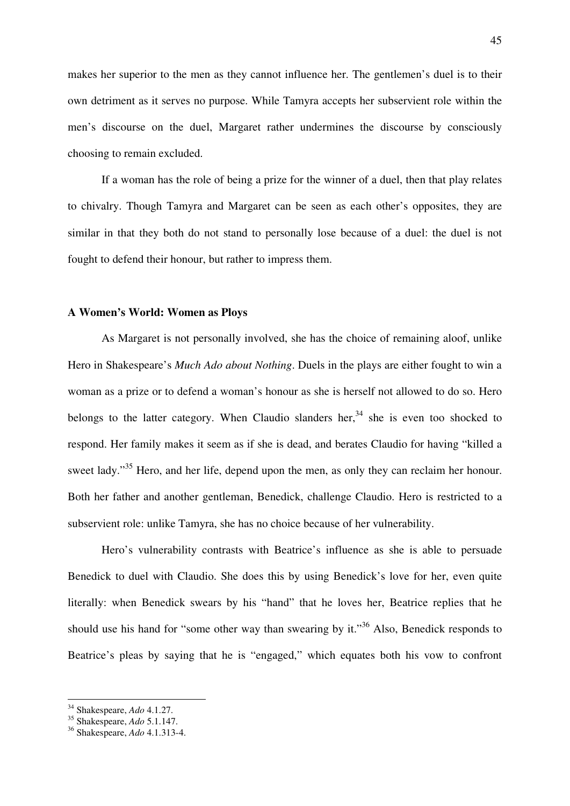makes her superior to the men as they cannot influence her. The gentlemen's duel is to their own detriment as it serves no purpose. While Tamyra accepts her subservient role within the men's discourse on the duel, Margaret rather undermines the discourse by consciously choosing to remain excluded.

 If a woman has the role of being a prize for the winner of a duel, then that play relates to chivalry. Though Tamyra and Margaret can be seen as each other's opposites, they are similar in that they both do not stand to personally lose because of a duel: the duel is not fought to defend their honour, but rather to impress them.

#### **A Women's World: Women as Ploys**

 As Margaret is not personally involved, she has the choice of remaining aloof, unlike Hero in Shakespeare's *Much Ado about Nothing*. Duels in the plays are either fought to win a woman as a prize or to defend a woman's honour as she is herself not allowed to do so. Hero belongs to the latter category. When Claudio slanders her,  $34$  she is even too shocked to respond. Her family makes it seem as if she is dead, and berates Claudio for having "killed a sweet lady."<sup>35</sup> Hero, and her life, depend upon the men, as only they can reclaim her honour. Both her father and another gentleman, Benedick, challenge Claudio. Hero is restricted to a subservient role: unlike Tamyra, she has no choice because of her vulnerability.

 Hero's vulnerability contrasts with Beatrice's influence as she is able to persuade Benedick to duel with Claudio. She does this by using Benedick's love for her, even quite literally: when Benedick swears by his "hand" that he loves her, Beatrice replies that he should use his hand for "some other way than swearing by it."<sup>36</sup> Also, Benedick responds to Beatrice's pleas by saying that he is "engaged," which equates both his vow to confront

<sup>34</sup> Shakespeare, *Ado* 4.1.27.

<sup>35</sup> Shakespeare, *Ado* 5.1.147.

<sup>36</sup> Shakespeare, *Ado* 4.1.313-4.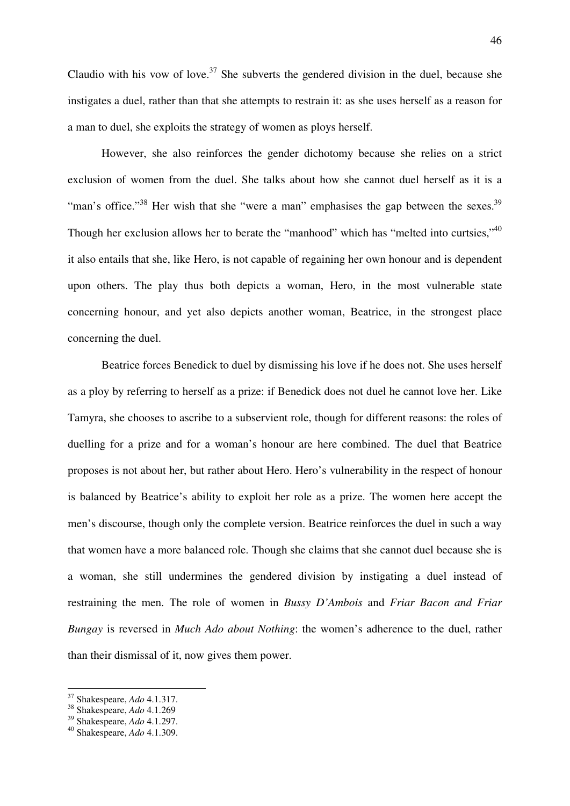Claudio with his vow of love.<sup>37</sup> She subverts the gendered division in the duel, because she instigates a duel, rather than that she attempts to restrain it: as she uses herself as a reason for a man to duel, she exploits the strategy of women as ploys herself.

 However, she also reinforces the gender dichotomy because she relies on a strict exclusion of women from the duel. She talks about how she cannot duel herself as it is a "man's office."<sup>38</sup> Her wish that she "were a man" emphasises the gap between the sexes.<sup>39</sup> Though her exclusion allows her to berate the "manhood" which has "melted into curtsies,"<sup>40</sup> it also entails that she, like Hero, is not capable of regaining her own honour and is dependent upon others. The play thus both depicts a woman, Hero, in the most vulnerable state concerning honour, and yet also depicts another woman, Beatrice, in the strongest place concerning the duel.

 Beatrice forces Benedick to duel by dismissing his love if he does not. She uses herself as a ploy by referring to herself as a prize: if Benedick does not duel he cannot love her. Like Tamyra, she chooses to ascribe to a subservient role, though for different reasons: the roles of duelling for a prize and for a woman's honour are here combined. The duel that Beatrice proposes is not about her, but rather about Hero. Hero's vulnerability in the respect of honour is balanced by Beatrice's ability to exploit her role as a prize. The women here accept the men's discourse, though only the complete version. Beatrice reinforces the duel in such a way that women have a more balanced role. Though she claims that she cannot duel because she is a woman, she still undermines the gendered division by instigating a duel instead of restraining the men. The role of women in *Bussy D'Ambois* and *Friar Bacon and Friar Bungay* is reversed in *Much Ado about Nothing*: the women's adherence to the duel, rather than their dismissal of it, now gives them power.

<sup>37</sup> Shakespeare, *Ado* 4.1.317.

<sup>38</sup> Shakespeare, *Ado* 4.1.269

<sup>39</sup> Shakespeare, *Ado* 4.1.297.

<sup>40</sup> Shakespeare, *Ado* 4.1.309.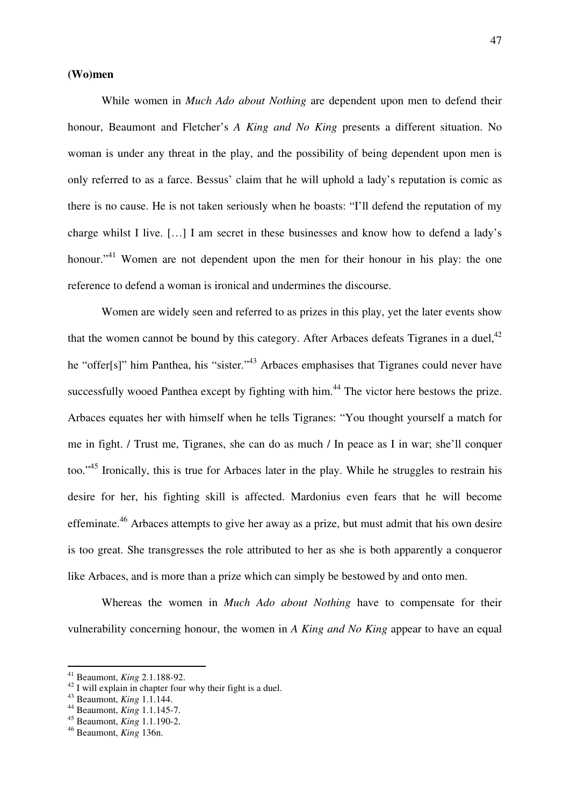### **(Wo)men**

While women in *Much Ado about Nothing* are dependent upon men to defend their honour, Beaumont and Fletcher's *A King and No King* presents a different situation. No woman is under any threat in the play, and the possibility of being dependent upon men is only referred to as a farce. Bessus' claim that he will uphold a lady's reputation is comic as there is no cause. He is not taken seriously when he boasts: "I'll defend the reputation of my charge whilst I live. […] I am secret in these businesses and know how to defend a lady's honour."<sup>41</sup> Women are not dependent upon the men for their honour in his play: the one reference to defend a woman is ironical and undermines the discourse.

 Women are widely seen and referred to as prizes in this play, yet the later events show that the women cannot be bound by this category. After Arbaces defeats Tigranes in a duel,  $42$ he "offer[s]" him Panthea, his "sister."<sup>43</sup> Arbaces emphasises that Tigranes could never have successfully wooed Panthea except by fighting with him.<sup>44</sup> The victor here bestows the prize. Arbaces equates her with himself when he tells Tigranes: "You thought yourself a match for me in fight. / Trust me, Tigranes, she can do as much / In peace as I in war; she'll conquer too."<sup>45</sup> Ironically, this is true for Arbaces later in the play. While he struggles to restrain his desire for her, his fighting skill is affected. Mardonius even fears that he will become effeminate.<sup>46</sup> Arbaces attempts to give her away as a prize, but must admit that his own desire is too great. She transgresses the role attributed to her as she is both apparently a conqueror like Arbaces, and is more than a prize which can simply be bestowed by and onto men.

 Whereas the women in *Much Ado about Nothing* have to compensate for their vulnerability concerning honour, the women in *A King and No King* appear to have an equal

<sup>41</sup> Beaumont, *King* 2.1.188-92.

 $^{42}$  I will explain in chapter four why their fight is a duel.

<sup>43</sup> Beaumont, *King* 1.1.144.

<sup>44</sup> Beaumont, *King* 1.1.145-7.

<sup>45</sup> Beaumont, *King* 1.1.190-2.

<sup>46</sup> Beaumont, *King* 136n.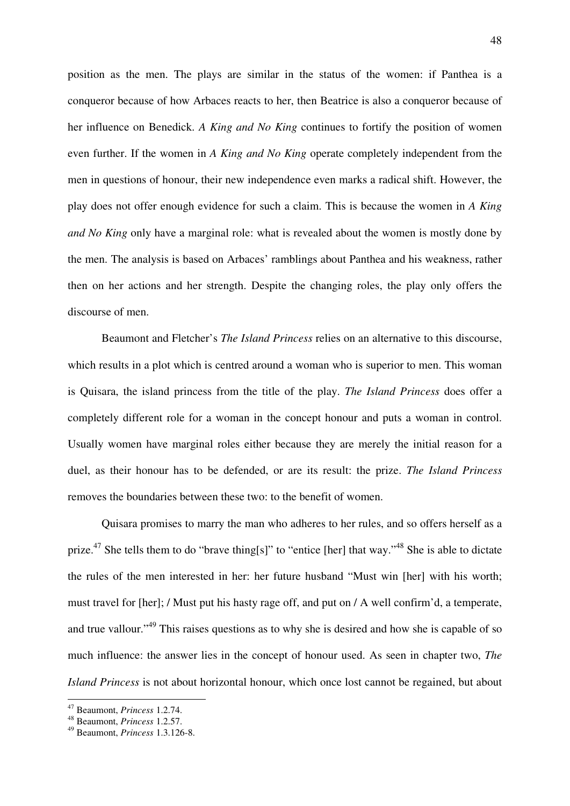position as the men. The plays are similar in the status of the women: if Panthea is a conqueror because of how Arbaces reacts to her, then Beatrice is also a conqueror because of her influence on Benedick. *A King and No King* continues to fortify the position of women even further. If the women in *A King and No King* operate completely independent from the men in questions of honour, their new independence even marks a radical shift. However, the play does not offer enough evidence for such a claim. This is because the women in *A King and No King* only have a marginal role: what is revealed about the women is mostly done by the men. The analysis is based on Arbaces' ramblings about Panthea and his weakness, rather then on her actions and her strength. Despite the changing roles, the play only offers the discourse of men.

 Beaumont and Fletcher's *The Island Princess* relies on an alternative to this discourse, which results in a plot which is centred around a woman who is superior to men. This woman is Quisara, the island princess from the title of the play. *The Island Princess* does offer a completely different role for a woman in the concept honour and puts a woman in control. Usually women have marginal roles either because they are merely the initial reason for a duel, as their honour has to be defended, or are its result: the prize. *The Island Princess* removes the boundaries between these two: to the benefit of women.

 Quisara promises to marry the man who adheres to her rules, and so offers herself as a prize.<sup>47</sup> She tells them to do "brave thing[s]" to "entice [her] that way."<sup>48</sup> She is able to dictate the rules of the men interested in her: her future husband "Must win [her] with his worth; must travel for [her]; / Must put his hasty rage off, and put on / A well confirm'd, a temperate, and true vallour."<sup>49</sup> This raises questions as to why she is desired and how she is capable of so much influence: the answer lies in the concept of honour used. As seen in chapter two, *The Island Princess* is not about horizontal honour, which once lost cannot be regained, but about

<sup>47</sup> Beaumont, *Princess* 1.2.74.

<sup>48</sup> Beaumont, *Princess* 1.2.57.

<sup>49</sup> Beaumont, *Princess* 1.3.126-8.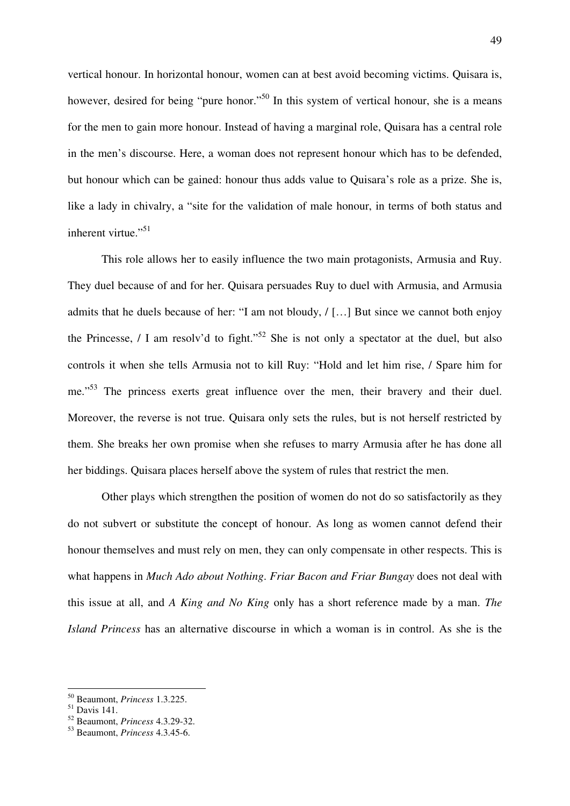vertical honour. In horizontal honour, women can at best avoid becoming victims. Quisara is, however, desired for being "pure honor."<sup>50</sup> In this system of vertical honour, she is a means for the men to gain more honour. Instead of having a marginal role, Quisara has a central role in the men's discourse. Here, a woman does not represent honour which has to be defended, but honour which can be gained: honour thus adds value to Quisara's role as a prize. She is, like a lady in chivalry, a "site for the validation of male honour, in terms of both status and inherent virtue." $51$ 

 This role allows her to easily influence the two main protagonists, Armusia and Ruy. They duel because of and for her. Quisara persuades Ruy to duel with Armusia, and Armusia admits that he duels because of her: "I am not bloudy, / […] But since we cannot both enjoy the Princesse, / I am resolv'd to fight."<sup>52</sup> She is not only a spectator at the duel, but also controls it when she tells Armusia not to kill Ruy: "Hold and let him rise, / Spare him for me."<sup>53</sup> The princess exerts great influence over the men, their bravery and their duel. Moreover, the reverse is not true. Quisara only sets the rules, but is not herself restricted by them. She breaks her own promise when she refuses to marry Armusia after he has done all her biddings. Quisara places herself above the system of rules that restrict the men.

 Other plays which strengthen the position of women do not do so satisfactorily as they do not subvert or substitute the concept of honour. As long as women cannot defend their honour themselves and must rely on men, they can only compensate in other respects. This is what happens in *Much Ado about Nothing*. *Friar Bacon and Friar Bungay* does not deal with this issue at all, and *A King and No King* only has a short reference made by a man. *The Island Princess* has an alternative discourse in which a woman is in control. As she is the

<sup>50</sup> Beaumont, *Princess* 1.3.225.

 $51$  Davis 141.

<sup>52</sup> Beaumont, *Princess* 4.3.29-32.

<sup>53</sup> Beaumont, *Princess* 4.3.45-6.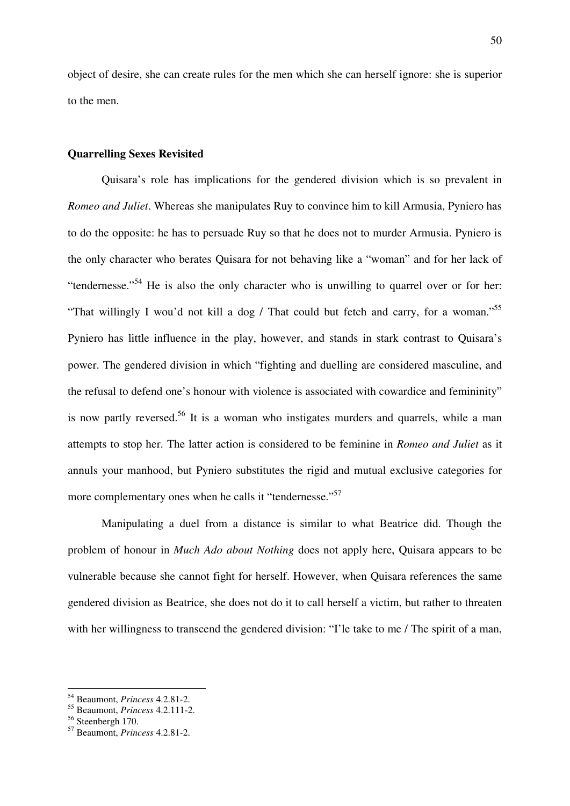object of desire, she can create rules for the men which she can herself ignore: she is superior to the men.

## **Quarrelling Sexes Revisited**

Quisara's role has implications for the gendered division which is so prevalent in *Romeo and Juliet*. Whereas she manipulates Ruy to convince him to kill Armusia, Pyniero has to do the opposite: he has to persuade Ruy so that he does not to murder Armusia. Pyniero is the only character who berates Quisara for not behaving like a "woman" and for her lack of "tendernesse."<sup>54</sup> He is also the only character who is unwilling to quarrel over or for her: "That willingly I wou'd not kill a dog / That could but fetch and carry, for a woman."<sup>55</sup> Pyniero has little influence in the play, however, and stands in stark contrast to Quisara's power. The gendered division in which "fighting and duelling are considered masculine, and the refusal to defend one's honour with violence is associated with cowardice and femininity" is now partly reversed.<sup>56</sup> It is a woman who instigates murders and quarrels, while a man attempts to stop her. The latter action is considered to be feminine in *Romeo and Juliet* as it annuls your manhood, but Pyniero substitutes the rigid and mutual exclusive categories for more complementary ones when he calls it "tendernesse."<sup>57</sup>

 Manipulating a duel from a distance is similar to what Beatrice did. Though the problem of honour in *Much Ado about Nothing* does not apply here, Quisara appears to be vulnerable because she cannot fight for herself. However, when Quisara references the same gendered division as Beatrice, she does not do it to call herself a victim, but rather to threaten with her willingness to transcend the gendered division: "I'le take to me / The spirit of a man,

<sup>54</sup> Beaumont, *Princess* 4.2.81-2.

<sup>55</sup> Beaumont, *Princess* 4.2.111-2.

 $56$  Steenbergh 170.

<sup>57</sup> Beaumont, *Princess* 4.2.81-2.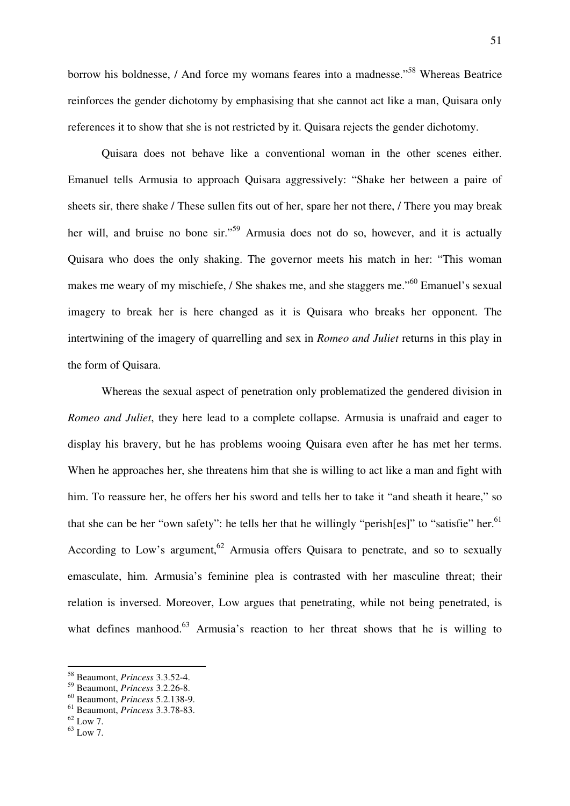borrow his boldnesse, / And force my womans feares into a madnesse."<sup>58</sup> Whereas Beatrice reinforces the gender dichotomy by emphasising that she cannot act like a man, Quisara only references it to show that she is not restricted by it. Quisara rejects the gender dichotomy.

 Quisara does not behave like a conventional woman in the other scenes either. Emanuel tells Armusia to approach Quisara aggressively: "Shake her between a paire of sheets sir, there shake / These sullen fits out of her, spare her not there, / There you may break her will, and bruise no bone sir."<sup>59</sup> Armusia does not do so, however, and it is actually Quisara who does the only shaking. The governor meets his match in her: "This woman makes me weary of my mischiefe, / She shakes me, and she staggers me."<sup>60</sup> Emanuel's sexual imagery to break her is here changed as it is Quisara who breaks her opponent. The intertwining of the imagery of quarrelling and sex in *Romeo and Juliet* returns in this play in the form of Quisara.

 Whereas the sexual aspect of penetration only problematized the gendered division in *Romeo and Juliet*, they here lead to a complete collapse. Armusia is unafraid and eager to display his bravery, but he has problems wooing Quisara even after he has met her terms. When he approaches her, she threatens him that she is willing to act like a man and fight with him. To reassure her, he offers her his sword and tells her to take it "and sheath it heare," so that she can be her "own safety": he tells her that he willingly "perish[es]" to "satisfie" her.<sup>61</sup> According to Low's argument,  $62$  Armusia offers Quisara to penetrate, and so to sexually emasculate, him. Armusia's feminine plea is contrasted with her masculine threat; their relation is inversed. Moreover, Low argues that penetrating, while not being penetrated, is what defines manhood.<sup>63</sup> Armusia's reaction to her threat shows that he is willing to

<sup>58</sup> Beaumont, *Princess* 3.3.52-4.

<sup>59</sup> Beaumont, *Princess* 3.2.26-8.

<sup>60</sup> Beaumont, *Princess* 5.2.138-9.

<sup>61</sup> Beaumont, *Princess* 3.3.78-83.

 $62$  Low 7.

 $^{63}$  Low 7.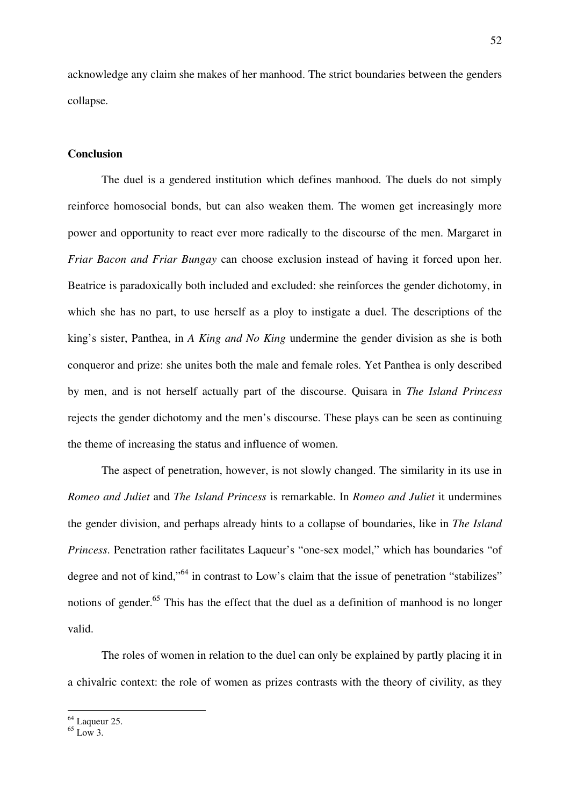acknowledge any claim she makes of her manhood. The strict boundaries between the genders collapse.

## **Conclusion**

The duel is a gendered institution which defines manhood. The duels do not simply reinforce homosocial bonds, but can also weaken them. The women get increasingly more power and opportunity to react ever more radically to the discourse of the men. Margaret in *Friar Bacon and Friar Bungay* can choose exclusion instead of having it forced upon her. Beatrice is paradoxically both included and excluded: she reinforces the gender dichotomy, in which she has no part, to use herself as a ploy to instigate a duel. The descriptions of the king's sister, Panthea, in *A King and No King* undermine the gender division as she is both conqueror and prize: she unites both the male and female roles. Yet Panthea is only described by men, and is not herself actually part of the discourse. Quisara in *The Island Princess* rejects the gender dichotomy and the men's discourse. These plays can be seen as continuing the theme of increasing the status and influence of women.

 The aspect of penetration, however, is not slowly changed. The similarity in its use in *Romeo and Juliet* and *The Island Princess* is remarkable. In *Romeo and Juliet* it undermines the gender division, and perhaps already hints to a collapse of boundaries, like in *The Island Princess*. Penetration rather facilitates Laqueur's "one-sex model," which has boundaries "of degree and not of kind,"<sup>64</sup> in contrast to Low's claim that the issue of penetration "stabilizes" notions of gender.<sup>65</sup> This has the effect that the duel as a definition of manhood is no longer valid.

 The roles of women in relation to the duel can only be explained by partly placing it in a chivalric context: the role of women as prizes contrasts with the theory of civility, as they

 $64$  Laqueur 25.

 $65$  Low 3.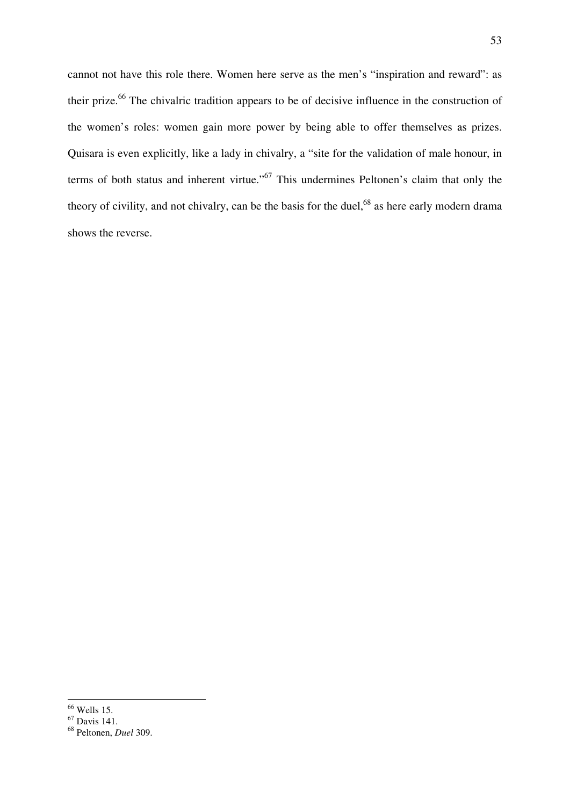cannot not have this role there. Women here serve as the men's "inspiration and reward": as their prize.<sup>66</sup> The chivalric tradition appears to be of decisive influence in the construction of the women's roles: women gain more power by being able to offer themselves as prizes. Quisara is even explicitly, like a lady in chivalry, a "site for the validation of male honour, in terms of both status and inherent virtue."<sup>67</sup> This undermines Peltonen's claim that only the theory of civility, and not chivalry, can be the basis for the duel,<sup>68</sup> as here early modern drama shows the reverse.

 $\overline{a}$  $66$  Wells 15.

wells 15.<br><sup>67</sup> Davis 141.

<sup>68</sup> Peltonen, *Duel* 309.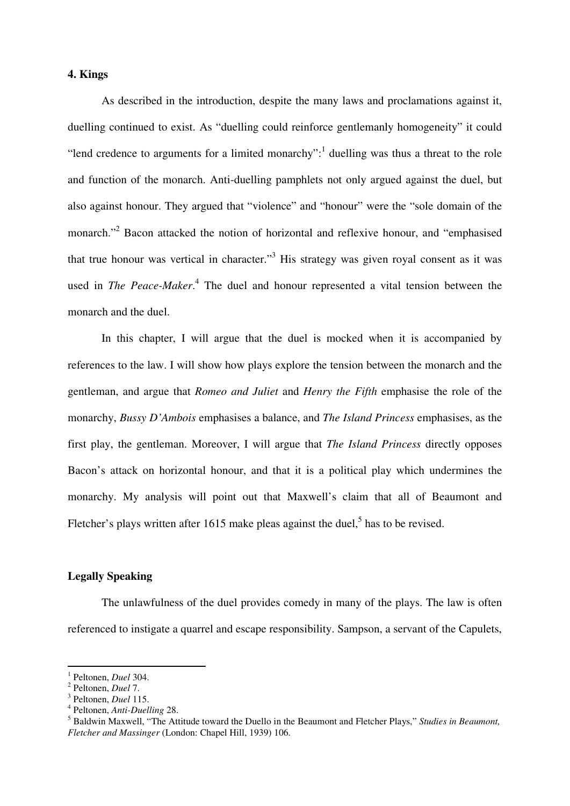# **4. Kings**

 As described in the introduction, despite the many laws and proclamations against it, duelling continued to exist. As "duelling could reinforce gentlemanly homogeneity" it could "lend credence to arguments for a limited monarchy": $\frac{1}{1}$  duelling was thus a threat to the role and function of the monarch. Anti-duelling pamphlets not only argued against the duel, but also against honour. They argued that "violence" and "honour" were the "sole domain of the monarch."<sup>2</sup> Bacon attacked the notion of horizontal and reflexive honour, and "emphasised that true honour was vertical in character."<sup>3</sup> His strategy was given royal consent as it was used in *The Peace-Maker*.<sup>4</sup> The duel and honour represented a vital tension between the monarch and the duel.

 In this chapter, I will argue that the duel is mocked when it is accompanied by references to the law. I will show how plays explore the tension between the monarch and the gentleman, and argue that *Romeo and Juliet* and *Henry the Fifth* emphasise the role of the monarchy, *Bussy D'Ambois* emphasises a balance, and *The Island Princess* emphasises, as the first play, the gentleman. Moreover, I will argue that *The Island Princess* directly opposes Bacon's attack on horizontal honour, and that it is a political play which undermines the monarchy. My analysis will point out that Maxwell's claim that all of Beaumont and Fletcher's plays written after 1615 make pleas against the duel,<sup>5</sup> has to be revised.

# **Legally Speaking**

The unlawfulness of the duel provides comedy in many of the plays. The law is often referenced to instigate a quarrel and escape responsibility. Sampson, a servant of the Capulets,

<sup>1</sup> Peltonen, *Duel* 304.

<sup>2</sup> Peltonen, *Duel* 7.

<sup>3</sup> Peltonen, *Duel* 115.

<sup>4</sup> Peltonen, *Anti-Duelling* 28.

<sup>5</sup> Baldwin Maxwell, "The Attitude toward the Duello in the Beaumont and Fletcher Plays," *Studies in Beaumont, Fletcher and Massinger* (London: Chapel Hill, 1939) 106.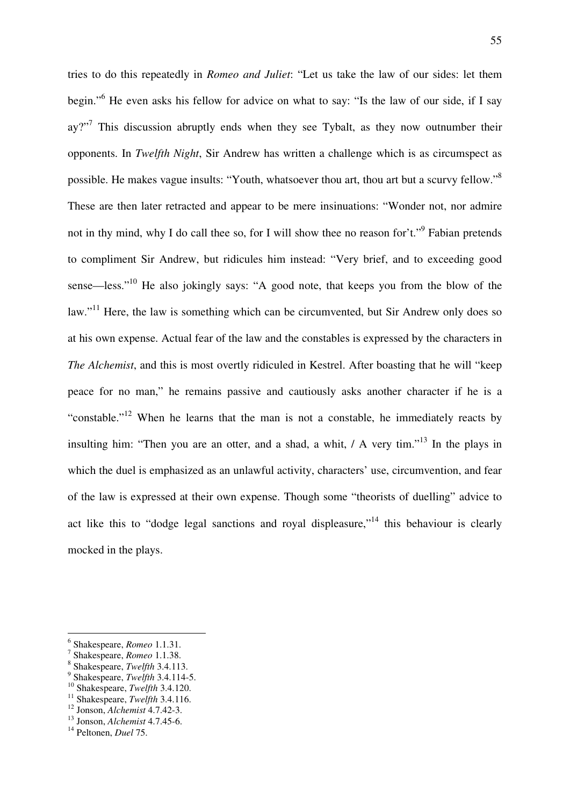tries to do this repeatedly in *Romeo and Juliet*: "Let us take the law of our sides: let them begin."<sup>6</sup> He even asks his fellow for advice on what to say: "Is the law of our side, if I say  $ay$ <sup>277</sup> This discussion abruptly ends when they see Tybalt, as they now outnumber their opponents. In *Twelfth Night*, Sir Andrew has written a challenge which is as circumspect as possible. He makes vague insults: "Youth, whatsoever thou art, thou art but a scurvy fellow."<sup>8</sup> These are then later retracted and appear to be mere insinuations: "Wonder not, nor admire not in thy mind, why I do call thee so, for I will show thee no reason for't."<sup>9</sup> Fabian pretends to compliment Sir Andrew, but ridicules him instead: "Very brief, and to exceeding good sense—less."<sup>10</sup> He also jokingly says: "A good note, that keeps you from the blow of the law."<sup>11</sup> Here, the law is something which can be circumvented, but Sir Andrew only does so at his own expense. Actual fear of the law and the constables is expressed by the characters in *The Alchemist*, and this is most overtly ridiculed in Kestrel. After boasting that he will "keep peace for no man," he remains passive and cautiously asks another character if he is a "constable."<sup>12</sup> When he learns that the man is not a constable, he immediately reacts by insulting him: "Then you are an otter, and a shad, a whit,  $/$  A very tim."<sup>13</sup> In the plays in which the duel is emphasized as an unlawful activity, characters' use, circumvention, and fear of the law is expressed at their own expense. Though some "theorists of duelling" advice to act like this to "dodge legal sanctions and royal displeasure,"<sup>14</sup> this behaviour is clearly mocked in the plays.

- 9 Shakespeare, *Twelfth* 3.4.114-5.
- <sup>10</sup> Shakespeare, *Twelfth* 3.4.120.

<sup>6</sup> Shakespeare, *Romeo* 1.1.31.

<sup>7</sup> Shakespeare, *Romeo* 1.1.38.

<sup>8</sup> Shakespeare, *Twelfth* 3.4.113.

<sup>11</sup> Shakespeare, *Twelfth* 3.4.116.

<sup>12</sup> Jonson, *Alchemist* 4.7.42-3.

<sup>13</sup> Jonson, *Alchemist* 4.7.45-6.

<sup>14</sup> Peltonen, *Duel* 75.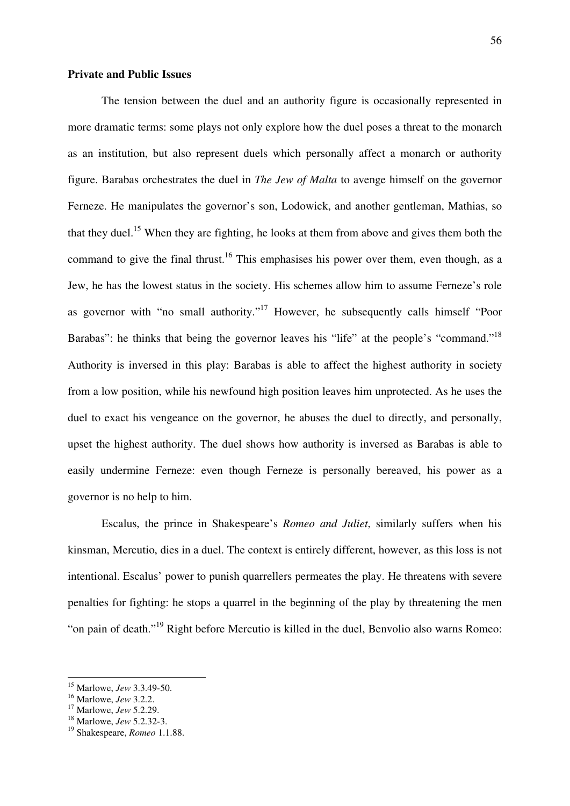## **Private and Public Issues**

 The tension between the duel and an authority figure is occasionally represented in more dramatic terms: some plays not only explore how the duel poses a threat to the monarch as an institution, but also represent duels which personally affect a monarch or authority figure. Barabas orchestrates the duel in *The Jew of Malta* to avenge himself on the governor Ferneze. He manipulates the governor's son, Lodowick, and another gentleman, Mathias, so that they duel.<sup>15</sup> When they are fighting, he looks at them from above and gives them both the command to give the final thrust.<sup>16</sup> This emphasises his power over them, even though, as a Jew, he has the lowest status in the society. His schemes allow him to assume Ferneze's role as governor with "no small authority."<sup>17</sup> However, he subsequently calls himself "Poor Barabas": he thinks that being the governor leaves his "life" at the people's "command."<sup>18</sup> Authority is inversed in this play: Barabas is able to affect the highest authority in society from a low position, while his newfound high position leaves him unprotected. As he uses the duel to exact his vengeance on the governor, he abuses the duel to directly, and personally, upset the highest authority. The duel shows how authority is inversed as Barabas is able to easily undermine Ferneze: even though Ferneze is personally bereaved, his power as a governor is no help to him.

Escalus, the prince in Shakespeare's *Romeo and Juliet*, similarly suffers when his kinsman, Mercutio, dies in a duel. The context is entirely different, however, as this loss is not intentional. Escalus' power to punish quarrellers permeates the play. He threatens with severe penalties for fighting: he stops a quarrel in the beginning of the play by threatening the men "on pain of death."<sup>19</sup> Right before Mercutio is killed in the duel, Benvolio also warns Romeo:

<sup>15</sup> Marlowe, *Jew* 3.3.49-50.

<sup>16</sup> Marlowe, *Jew* 3.2.2.

<sup>17</sup> Marlowe, *Jew* 5.2.29.

<sup>18</sup> Marlowe, *Jew* 5.2.32-3.

<sup>19</sup> Shakespeare, *Romeo* 1.1.88.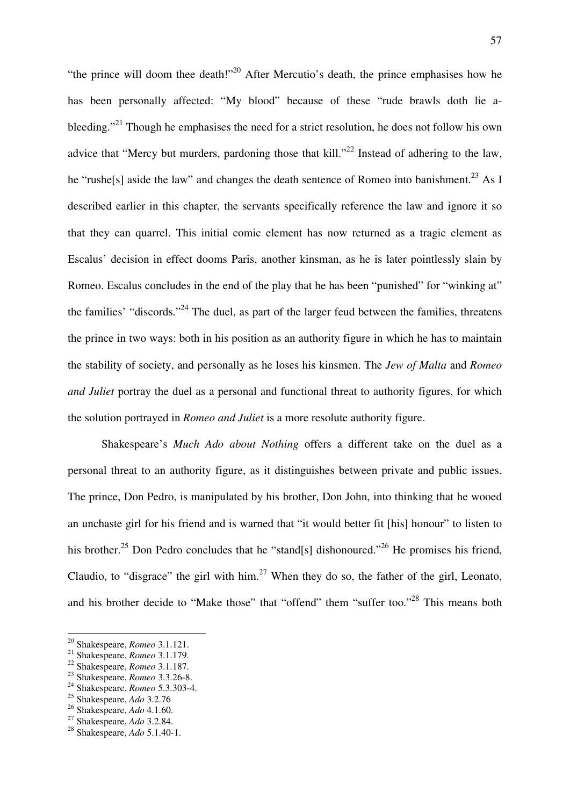"the prince will doom thee death!"<sup>20</sup> After Mercutio's death, the prince emphasises how he has been personally affected: "My blood" because of these "rude brawls doth lie ableeding."<sup>21</sup> Though he emphasises the need for a strict resolution, he does not follow his own advice that "Mercy but murders, pardoning those that kill."<sup>22</sup> Instead of adhering to the law, he "rushe<sup>[s]</sup> aside the law" and changes the death sentence of Romeo into banishment.<sup>23</sup> As I described earlier in this chapter, the servants specifically reference the law and ignore it so that they can quarrel. This initial comic element has now returned as a tragic element as Escalus' decision in effect dooms Paris, another kinsman, as he is later pointlessly slain by Romeo. Escalus concludes in the end of the play that he has been "punished" for "winking at" the families' "discords."<sup>24</sup> The duel, as part of the larger feud between the families, threatens the prince in two ways: both in his position as an authority figure in which he has to maintain the stability of society, and personally as he loses his kinsmen. The *Jew of Malta* and *Romeo and Juliet* portray the duel as a personal and functional threat to authority figures, for which the solution portrayed in *Romeo and Juliet* is a more resolute authority figure.

Shakespeare's *Much Ado about Nothing* offers a different take on the duel as a personal threat to an authority figure, as it distinguishes between private and public issues. The prince, Don Pedro, is manipulated by his brother, Don John, into thinking that he wooed an unchaste girl for his friend and is warned that "it would better fit [his] honour" to listen to his brother.<sup>25</sup> Don Pedro concludes that he "stand[s] dishonoured."<sup>26</sup> He promises his friend, Claudio, to "disgrace" the girl with him.<sup>27</sup> When they do so, the father of the girl, Leonato, and his brother decide to "Make those" that "offend" them "suffer too."<sup>28</sup> This means both

<sup>24</sup> Shakespeare, *Romeo* 5.3.303-4.

 $\overline{a}$ <sup>20</sup> Shakespeare, *Romeo* 3.1.121.

<sup>21</sup> Shakespeare, *Romeo* 3.1.179.

<sup>22</sup> Shakespeare, *Romeo* 3.1.187.

<sup>23</sup> Shakespeare, *Romeo* 3.3.26-8.

<sup>25</sup> Shakespeare, *Ado* 3.2.76

<sup>26</sup> Shakespeare, *Ado* 4.1.60.

<sup>27</sup> Shakespeare, *Ado* 3.2.84.

<sup>28</sup> Shakespeare, *Ado* 5.1.40-1.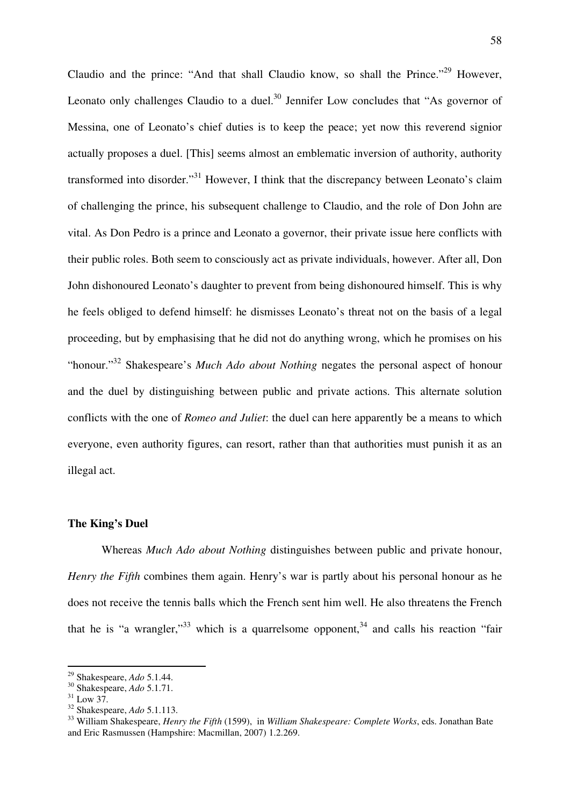Claudio and the prince: "And that shall Claudio know, so shall the Prince."<sup>29</sup> However, Leonato only challenges Claudio to a duel. $30$  Jennifer Low concludes that "As governor of Messina, one of Leonato's chief duties is to keep the peace; yet now this reverend signior actually proposes a duel. [This] seems almost an emblematic inversion of authority, authority transformed into disorder."<sup>31</sup> However, I think that the discrepancy between Leonato's claim of challenging the prince, his subsequent challenge to Claudio, and the role of Don John are vital. As Don Pedro is a prince and Leonato a governor, their private issue here conflicts with their public roles. Both seem to consciously act as private individuals, however. After all, Don John dishonoured Leonato's daughter to prevent from being dishonoured himself. This is why he feels obliged to defend himself: he dismisses Leonato's threat not on the basis of a legal proceeding, but by emphasising that he did not do anything wrong, which he promises on his "honour."<sup>32</sup> Shakespeare's *Much Ado about Nothing* negates the personal aspect of honour and the duel by distinguishing between public and private actions. This alternate solution conflicts with the one of *Romeo and Juliet*: the duel can here apparently be a means to which everyone, even authority figures, can resort, rather than that authorities must punish it as an illegal act.

### **The King's Duel**

 Whereas *Much Ado about Nothing* distinguishes between public and private honour, *Henry the Fifth* combines them again. Henry's war is partly about his personal honour as he does not receive the tennis balls which the French sent him well. He also threatens the French that he is "a wrangler,"<sup>33</sup> which is a quarrelsome opponent,<sup>34</sup> and calls his reaction "fair

<sup>29</sup> Shakespeare, *Ado* 5.1.44.

<sup>30</sup> Shakespeare, *Ado* 5.1.71.

 $31 \text{ L}$ ow 37

<sup>32</sup> Shakespeare, *Ado* 5.1.113.

<sup>33</sup> William Shakespeare, *Henry the Fifth* (1599), in *William Shakespeare: Complete Works*, eds. Jonathan Bate and Eric Rasmussen (Hampshire: Macmillan, 2007) 1.2.269.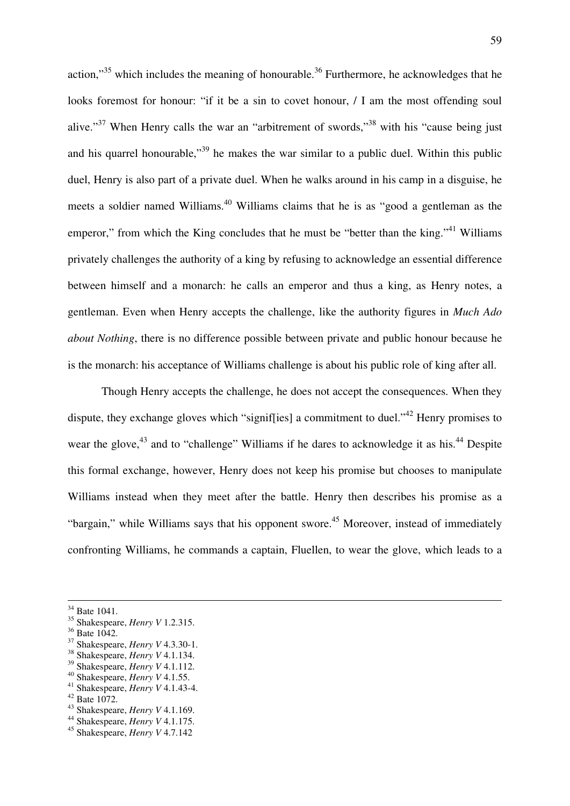action," $35$  which includes the meaning of honourable. $36$  Furthermore, he acknowledges that he looks foremost for honour: "if it be a sin to covet honour, / I am the most offending soul alive."<sup>37</sup> When Henry calls the war an "arbitrement of swords,"<sup>38</sup> with his "cause being just and his quarrel honourable,<sup>39</sup> he makes the war similar to a public duel. Within this public duel, Henry is also part of a private duel. When he walks around in his camp in a disguise, he meets a soldier named Williams.<sup>40</sup> Williams claims that he is as "good a gentleman as the emperor," from which the King concludes that he must be "better than the king."<sup>41</sup> Williams privately challenges the authority of a king by refusing to acknowledge an essential difference between himself and a monarch: he calls an emperor and thus a king, as Henry notes, a gentleman. Even when Henry accepts the challenge, like the authority figures in *Much Ado about Nothing*, there is no difference possible between private and public honour because he is the monarch: his acceptance of Williams challenge is about his public role of king after all.

 Though Henry accepts the challenge, he does not accept the consequences. When they dispute, they exchange gloves which "signif[ies] a commitment to duel."<sup>42</sup> Henry promises to wear the glove,<sup>43</sup> and to "challenge" Williams if he dares to acknowledge it as his.<sup>44</sup> Despite this formal exchange, however, Henry does not keep his promise but chooses to manipulate Williams instead when they meet after the battle. Henry then describes his promise as a "bargain," while Williams says that his opponent swore.<sup>45</sup> Moreover, instead of immediately confronting Williams, he commands a captain, Fluellen, to wear the glove, which leads to a

- <sup>41</sup> Shakespeare, *Henry V* 4.1.43-4.
- $42$  Bate 1072.

 $34$  Bate 1041.

<sup>35</sup> Shakespeare, *Henry V* 1.2.315.

<sup>36</sup> Bate 1042.

<sup>37</sup> Shakespeare, *Henry V* 4.3.30-1.

<sup>38</sup> Shakespeare, *Henry V* 4.1.134.

<sup>39</sup> Shakespeare, *Henry V* 4.1.112.

<sup>40</sup> Shakespeare, *Henry V* 4.1.55.

<sup>43</sup> Shakespeare, *Henry V* 4.1.169.

<sup>44</sup> Shakespeare, *Henry V* 4.1.175.

<sup>45</sup> Shakespeare, *Henry V* 4.7.142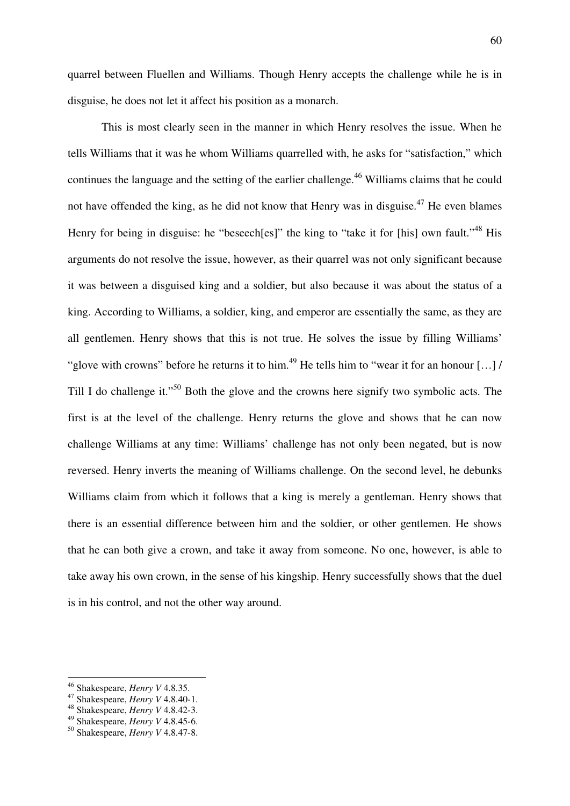quarrel between Fluellen and Williams. Though Henry accepts the challenge while he is in disguise, he does not let it affect his position as a monarch.

 This is most clearly seen in the manner in which Henry resolves the issue. When he tells Williams that it was he whom Williams quarrelled with, he asks for "satisfaction," which continues the language and the setting of the earlier challenge.<sup>46</sup> Williams claims that he could not have offended the king, as he did not know that Henry was in disguise.<sup>47</sup> He even blames Henry for being in disguise: he "beseech[es]" the king to "take it for [his] own fault."<sup>48</sup> His arguments do not resolve the issue, however, as their quarrel was not only significant because it was between a disguised king and a soldier, but also because it was about the status of a king. According to Williams, a soldier, king, and emperor are essentially the same, as they are all gentlemen. Henry shows that this is not true. He solves the issue by filling Williams' "glove with crowns" before he returns it to him.<sup>49</sup> He tells him to "wear it for an honour [...] / Till I do challenge it."<sup>50</sup> Both the glove and the crowns here signify two symbolic acts. The first is at the level of the challenge. Henry returns the glove and shows that he can now challenge Williams at any time: Williams' challenge has not only been negated, but is now reversed. Henry inverts the meaning of Williams challenge. On the second level, he debunks Williams claim from which it follows that a king is merely a gentleman. Henry shows that there is an essential difference between him and the soldier, or other gentlemen. He shows that he can both give a crown, and take it away from someone. No one, however, is able to take away his own crown, in the sense of his kingship. Henry successfully shows that the duel is in his control, and not the other way around.

<sup>46</sup> Shakespeare, *Henry V* 4.8.35.

<sup>47</sup> Shakespeare, *Henry V* 4.8.40-1.

<sup>48</sup> Shakespeare, *Henry V* 4.8.42-3.

<sup>49</sup> Shakespeare, *Henry V* 4.8.45-6.

<sup>50</sup> Shakespeare, *Henry V* 4.8.47-8.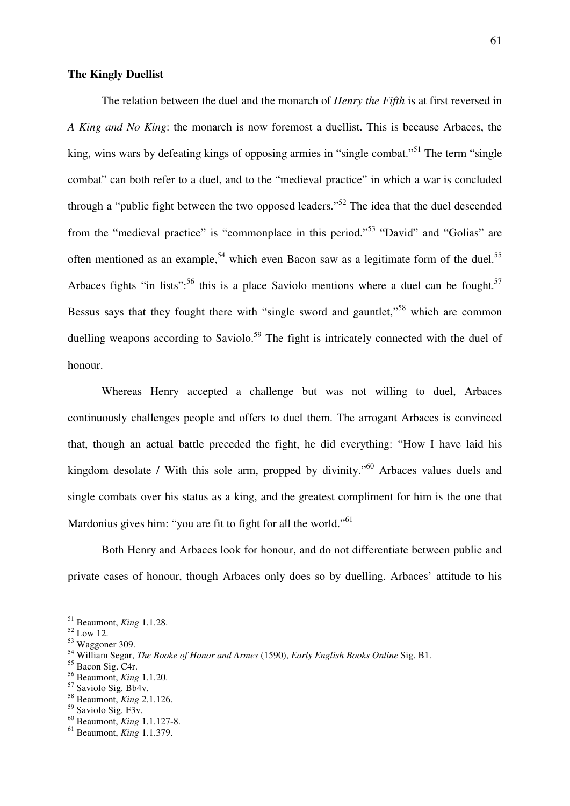## **The Kingly Duellist**

 The relation between the duel and the monarch of *Henry the Fifth* is at first reversed in *A King and No King*: the monarch is now foremost a duellist. This is because Arbaces, the king, wins wars by defeating kings of opposing armies in "single combat."<sup>51</sup> The term "single" combat" can both refer to a duel, and to the "medieval practice" in which a war is concluded through a "public fight between the two opposed leaders."<sup>52</sup> The idea that the duel descended from the "medieval practice" is "commonplace in this period."<sup>53</sup> "David" and "Golias" are often mentioned as an example,<sup>54</sup> which even Bacon saw as a legitimate form of the duel.<sup>55</sup> Arbaces fights "in lists":<sup>56</sup> this is a place Saviolo mentions where a duel can be fought.<sup>57</sup> Bessus says that they fought there with "single sword and gauntlet,"<sup>58</sup> which are common duelling weapons according to Saviolo.<sup>59</sup> The fight is intricately connected with the duel of honour.

 Whereas Henry accepted a challenge but was not willing to duel, Arbaces continuously challenges people and offers to duel them. The arrogant Arbaces is convinced that, though an actual battle preceded the fight, he did everything: "How I have laid his kingdom desolate / With this sole arm, propped by divinity."<sup>60</sup> Arbaces values duels and single combats over his status as a king, and the greatest compliment for him is the one that Mardonius gives him: "you are fit to fight for all the world."<sup>61</sup>

 Both Henry and Arbaces look for honour, and do not differentiate between public and private cases of honour, though Arbaces only does so by duelling. Arbaces' attitude to his

<sup>51</sup> Beaumont, *King* 1.1.28.

<sup>52</sup> Low 12.

<sup>53</sup> Waggoner 309.

<sup>54</sup> William Segar, *The Booke of Honor and Armes* (1590), *Early English Books Online* Sig. B1.

<sup>&</sup>lt;sup>55</sup> Bacon Sig. C4r.

<sup>56</sup> Beaumont, *King* 1.1.20.

<sup>&</sup>lt;sup>57</sup> Saviolo Sig. Bb4v.

<sup>58</sup> Beaumont, *King* 2.1.126.

<sup>&</sup>lt;sup>59</sup> Saviolo Sig. F3v.

<sup>60</sup> Beaumont, *King* 1.1.127-8.

<sup>61</sup> Beaumont, *King* 1.1.379.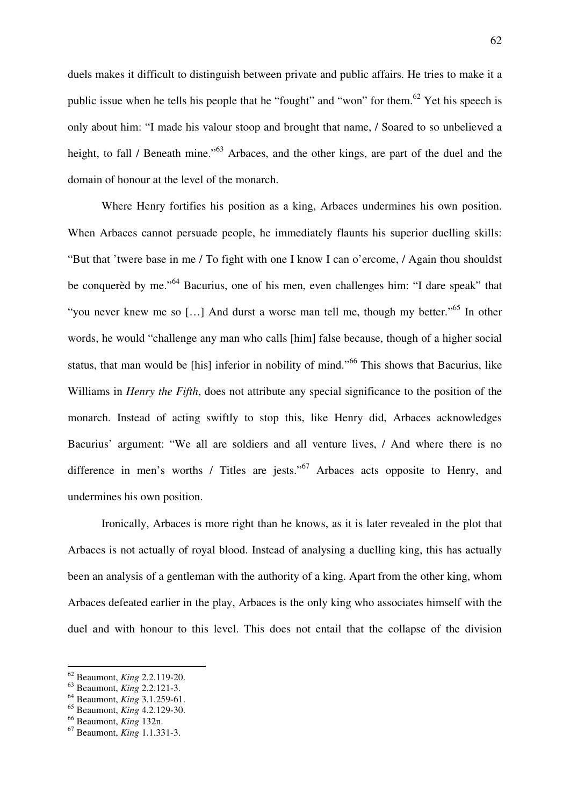duels makes it difficult to distinguish between private and public affairs. He tries to make it a public issue when he tells his people that he "fought" and "won" for them.<sup>62</sup> Yet his speech is only about him: "I made his valour stoop and brought that name, / Soared to so unbelieved a height, to fall / Beneath mine."<sup>63</sup> Arbaces, and the other kings, are part of the duel and the domain of honour at the level of the monarch.

 Where Henry fortifies his position as a king, Arbaces undermines his own position. When Arbaces cannot persuade people, he immediately flaunts his superior duelling skills: "But that 'twere base in me / To fight with one I know I can o'ercome, / Again thou shouldst be conquerèd by me."<sup>64</sup> Bacurius, one of his men, even challenges him: "I dare speak" that "you never knew me so [...] And durst a worse man tell me, though my better."<sup>65</sup> In other words, he would "challenge any man who calls [him] false because, though of a higher social status, that man would be [his] inferior in nobility of mind."<sup>66</sup> This shows that Bacurius, like Williams in *Henry the Fifth*, does not attribute any special significance to the position of the monarch. Instead of acting swiftly to stop this, like Henry did, Arbaces acknowledges Bacurius' argument: "We all are soldiers and all venture lives, / And where there is no difference in men's worths / Titles are jests."<sup>67</sup> Arbaces acts opposite to Henry, and undermines his own position.

 Ironically, Arbaces is more right than he knows, as it is later revealed in the plot that Arbaces is not actually of royal blood. Instead of analysing a duelling king, this has actually been an analysis of a gentleman with the authority of a king. Apart from the other king, whom Arbaces defeated earlier in the play, Arbaces is the only king who associates himself with the duel and with honour to this level. This does not entail that the collapse of the division

<sup>62</sup> Beaumont, *King* 2.2.119-20.

<sup>63</sup> Beaumont, *King* 2.2.121-3.

<sup>64</sup> Beaumont, *King* 3.1.259-61.

<sup>65</sup> Beaumont, *King* 4.2.129-30.

<sup>66</sup> Beaumont, *King* 132n.

<sup>67</sup> Beaumont, *King* 1.1.331-3.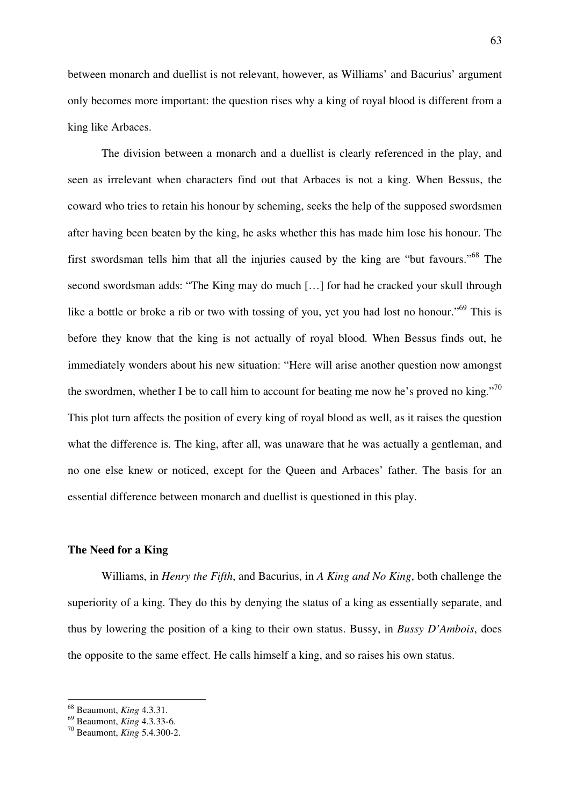between monarch and duellist is not relevant, however, as Williams' and Bacurius' argument only becomes more important: the question rises why a king of royal blood is different from a king like Arbaces.

 The division between a monarch and a duellist is clearly referenced in the play, and seen as irrelevant when characters find out that Arbaces is not a king. When Bessus, the coward who tries to retain his honour by scheming, seeks the help of the supposed swordsmen after having been beaten by the king, he asks whether this has made him lose his honour. The first swordsman tells him that all the injuries caused by the king are "but favours."<sup>68</sup> The second swordsman adds: "The King may do much […] for had he cracked your skull through like a bottle or broke a rib or two with tossing of you, yet you had lost no honour."<sup>69</sup> This is before they know that the king is not actually of royal blood. When Bessus finds out, he immediately wonders about his new situation: "Here will arise another question now amongst the swordmen, whether I be to call him to account for beating me now he's proved no king."<sup>70</sup> This plot turn affects the position of every king of royal blood as well, as it raises the question what the difference is. The king, after all, was unaware that he was actually a gentleman, and no one else knew or noticed, except for the Queen and Arbaces' father. The basis for an essential difference between monarch and duellist is questioned in this play.

#### **The Need for a King**

Williams, in *Henry the Fifth*, and Bacurius, in *A King and No King*, both challenge the superiority of a king. They do this by denying the status of a king as essentially separate, and thus by lowering the position of a king to their own status. Bussy, in *Bussy D'Ambois*, does the opposite to the same effect. He calls himself a king, and so raises his own status.

<sup>68</sup> Beaumont, *King* 4.3.31.

<sup>69</sup> Beaumont, *King* 4.3.33-6.

<sup>70</sup> Beaumont, *King* 5.4.300-2.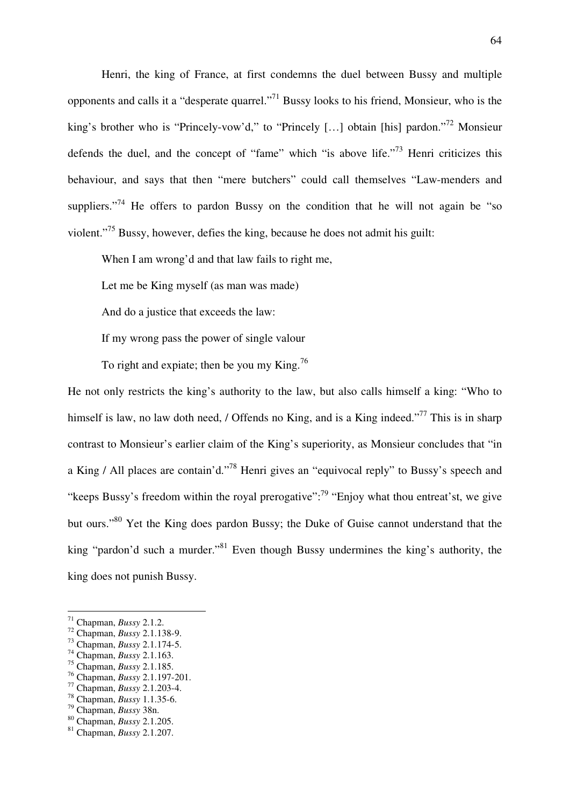Henri, the king of France, at first condemns the duel between Bussy and multiple opponents and calls it a "desperate quarrel."<sup>71</sup> Bussy looks to his friend, Monsieur, who is the king's brother who is "Princely-vow'd," to "Princely [...] obtain [his] pardon."<sup>72</sup> Monsieur defends the duel, and the concept of "fame" which "is above life."<sup>73</sup> Henri criticizes this behaviour, and says that then "mere butchers" could call themselves "Law-menders and suppliers."<sup>74</sup> He offers to pardon Bussy on the condition that he will not again be "so violent."<sup>75</sup> Bussy, however, defies the king, because he does not admit his guilt:

When I am wrong'd and that law fails to right me,

Let me be King myself (as man was made)

And do a justice that exceeds the law:

If my wrong pass the power of single valour

To right and expiate; then be you my King.<sup>76</sup>

He not only restricts the king's authority to the law, but also calls himself a king: "Who to himself is law, no law doth need, / Offends no King, and is a King indeed."<sup>77</sup> This is in sharp contrast to Monsieur's earlier claim of the King's superiority, as Monsieur concludes that "in a King / All places are contain'd."<sup>78</sup> Henri gives an "equivocal reply" to Bussy's speech and "keeps Bussy's freedom within the royal prerogative":<sup>79</sup> "Enjoy what thou entreat'st, we give but ours."<sup>80</sup> Yet the King does pardon Bussy; the Duke of Guise cannot understand that the king "pardon'd such a murder."<sup>81</sup> Even though Bussy undermines the king's authority, the king does not punish Bussy.

<sup>71</sup> Chapman, *Bussy* 2.1.2.

<sup>72</sup> Chapman, *Bussy* 2.1.138-9.

<sup>73</sup> Chapman, *Bussy* 2.1.174-5.

<sup>74</sup> Chapman, *Bussy* 2.1.163.

<sup>75</sup> Chapman, *Bussy* 2.1.185.

<sup>76</sup> Chapman, *Bussy* 2.1.197-201.

<sup>77</sup> Chapman, *Bussy* 2.1.203-4.

<sup>78</sup> Chapman, *Bussy* 1.1.35-6.

<sup>79</sup> Chapman, *Bussy* 38n.

<sup>80</sup> Chapman, *Bussy* 2.1.205.

<sup>81</sup> Chapman, *Bussy* 2.1.207.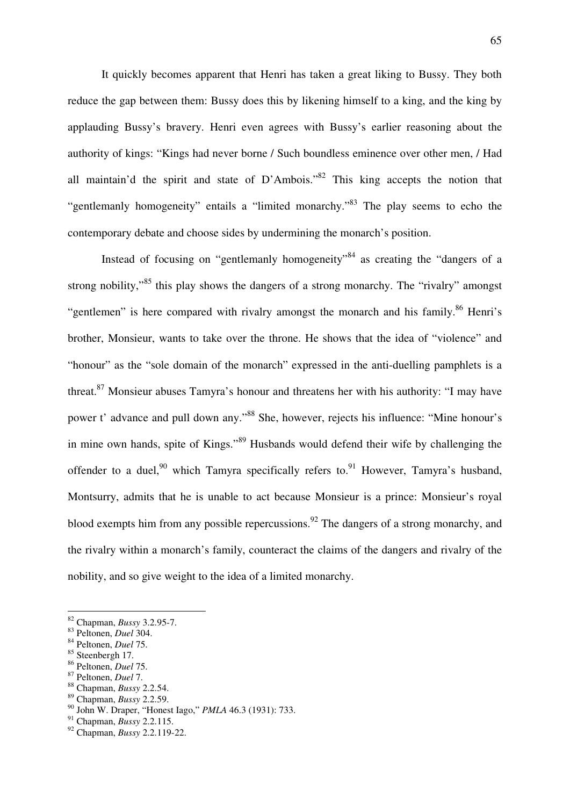It quickly becomes apparent that Henri has taken a great liking to Bussy. They both reduce the gap between them: Bussy does this by likening himself to a king, and the king by applauding Bussy's bravery. Henri even agrees with Bussy's earlier reasoning about the authority of kings: "Kings had never borne / Such boundless eminence over other men, / Had all maintain'd the spirit and state of  $D'Ambois.$ <sup>82</sup> This king accepts the notion that "gentlemanly homogeneity" entails a "limited monarchy."<sup>83</sup> The play seems to echo the contemporary debate and choose sides by undermining the monarch's position.

Instead of focusing on "gentlemanly homogeneity"<sup>84</sup> as creating the "dangers of a strong nobility,"<sup>85</sup> this play shows the dangers of a strong monarchy. The "rivalry" amongst "gentlemen" is here compared with rivalry amongst the monarch and his family.<sup>86</sup> Henri's brother, Monsieur, wants to take over the throne. He shows that the idea of "violence" and "honour" as the "sole domain of the monarch" expressed in the anti-duelling pamphlets is a threat.<sup>87</sup> Monsieur abuses Tamyra's honour and threatens her with his authority: "I may have power t' advance and pull down any."<sup>88</sup> She, however, rejects his influence: "Mine honour's in mine own hands, spite of Kings."<sup>89</sup> Husbands would defend their wife by challenging the offender to a duel,<sup>90</sup> which Tamyra specifically refers to.<sup>91</sup> However, Tamyra's husband, Montsurry, admits that he is unable to act because Monsieur is a prince: Monsieur's royal blood exempts him from any possible repercussions.<sup>92</sup> The dangers of a strong monarchy, and the rivalry within a monarch's family, counteract the claims of the dangers and rivalry of the nobility, and so give weight to the idea of a limited monarchy.

 $\overline{a}$ 

<sup>88</sup> Chapman, *Bussy* 2.2.54.

<sup>82</sup> Chapman, *Bussy* 3.2.95-7.

<sup>83</sup> Peltonen, *Duel* 304.

<sup>84</sup> Peltonen, *Duel* 75.

<sup>85</sup> Steenbergh 17.

<sup>86</sup> Peltonen, *Duel* 75.

<sup>87</sup> Peltonen, *Duel* 7.

<sup>89</sup> Chapman, *Bussy* 2.2.59.

<sup>90</sup> John W. Draper, "Honest Iago," *PMLA* 46.3 (1931): 733.

<sup>91</sup> Chapman, *Bussy* 2.2.115.

<sup>92</sup> Chapman, *Bussy* 2.2.119-22.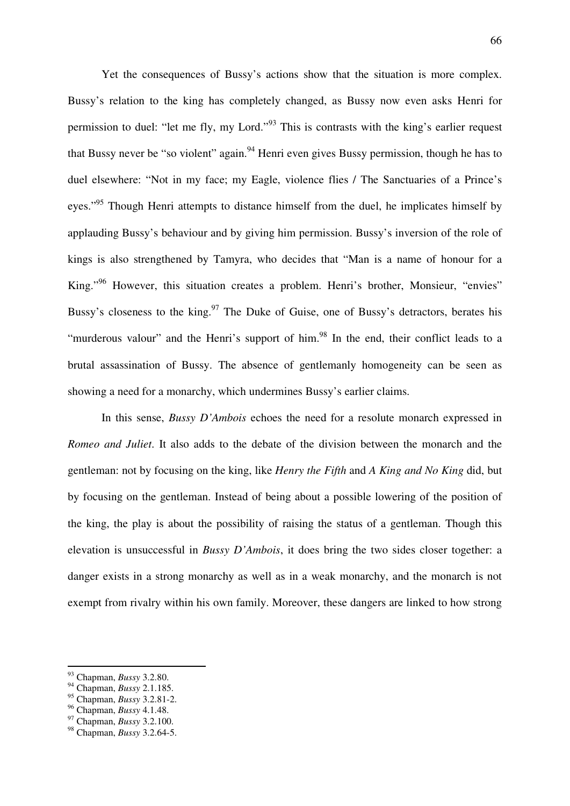Yet the consequences of Bussy's actions show that the situation is more complex. Bussy's relation to the king has completely changed, as Bussy now even asks Henri for permission to duel: "let me fly, my Lord."<sup>93</sup> This is contrasts with the king's earlier request that Bussy never be "so violent" again.<sup>94</sup> Henri even gives Bussy permission, though he has to duel elsewhere: "Not in my face; my Eagle, violence flies / The Sanctuaries of a Prince's eyes."<sup>95</sup> Though Henri attempts to distance himself from the duel, he implicates himself by applauding Bussy's behaviour and by giving him permission. Bussy's inversion of the role of kings is also strengthened by Tamyra, who decides that "Man is a name of honour for a King."<sup>96</sup> However, this situation creates a problem. Henri's brother, Monsieur, "envies" Bussy's closeness to the king.<sup>97</sup> The Duke of Guise, one of Bussy's detractors, berates his "murderous valour" and the Henri's support of him.<sup>98</sup> In the end, their conflict leads to a brutal assassination of Bussy. The absence of gentlemanly homogeneity can be seen as showing a need for a monarchy, which undermines Bussy's earlier claims.

 In this sense, *Bussy D'Ambois* echoes the need for a resolute monarch expressed in *Romeo and Juliet*. It also adds to the debate of the division between the monarch and the gentleman: not by focusing on the king, like *Henry the Fifth* and *A King and No King* did, but by focusing on the gentleman. Instead of being about a possible lowering of the position of the king, the play is about the possibility of raising the status of a gentleman. Though this elevation is unsuccessful in *Bussy D'Ambois*, it does bring the two sides closer together: a danger exists in a strong monarchy as well as in a weak monarchy, and the monarch is not exempt from rivalry within his own family. Moreover, these dangers are linked to how strong

<sup>93</sup> Chapman, *Bussy* 3.2.80.

<sup>94</sup> Chapman, *Bussy* 2.1.185.

<sup>95</sup> Chapman, *Bussy* 3.2.81-2.

<sup>96</sup> Chapman, *Bussy* 4.1.48.

<sup>97</sup> Chapman, *Bussy* 3.2.100.

<sup>98</sup> Chapman, *Bussy* 3.2.64-5.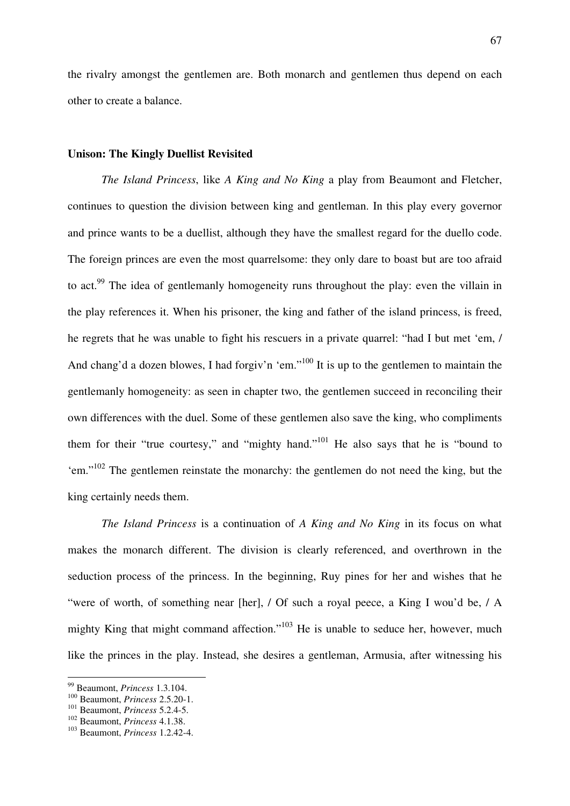the rivalry amongst the gentlemen are. Both monarch and gentlemen thus depend on each other to create a balance.

## **Unison: The Kingly Duellist Revisited**

*The Island Princess*, like *A King and No King* a play from Beaumont and Fletcher, continues to question the division between king and gentleman. In this play every governor and prince wants to be a duellist, although they have the smallest regard for the duello code. The foreign princes are even the most quarrelsome: they only dare to boast but are too afraid to act.<sup>99</sup> The idea of gentlemanly homogeneity runs throughout the play: even the villain in the play references it. When his prisoner, the king and father of the island princess, is freed, he regrets that he was unable to fight his rescuers in a private quarrel: "had I but met 'em, / And chang'd a dozen blowes, I had forgiv'n 'em."<sup>100</sup> It is up to the gentlemen to maintain the gentlemanly homogeneity: as seen in chapter two, the gentlemen succeed in reconciling their own differences with the duel. Some of these gentlemen also save the king, who compliments them for their "true courtesy," and "mighty hand."<sup>101</sup> He also says that he is "bound to 'em."<sup>102</sup> The gentlemen reinstate the monarchy: the gentlemen do not need the king, but the king certainly needs them.

*The Island Princess* is a continuation of *A King and No King* in its focus on what makes the monarch different. The division is clearly referenced, and overthrown in the seduction process of the princess. In the beginning, Ruy pines for her and wishes that he "were of worth, of something near [her], / Of such a royal peece, a King I wou'd be, / A mighty King that might command affection."<sup>103</sup> He is unable to seduce her, however, much like the princes in the play. Instead, she desires a gentleman, Armusia, after witnessing his

<sup>99</sup> Beaumont, *Princess* 1.3.104.

<sup>100</sup> Beaumont, *Princess* 2.5.20-1.

<sup>101</sup> Beaumont, *Princess* 5.2.4-5.

<sup>102</sup> Beaumont, *Princess* 4.1.38.

<sup>103</sup> Beaumont, *Princess* 1.2.42-4.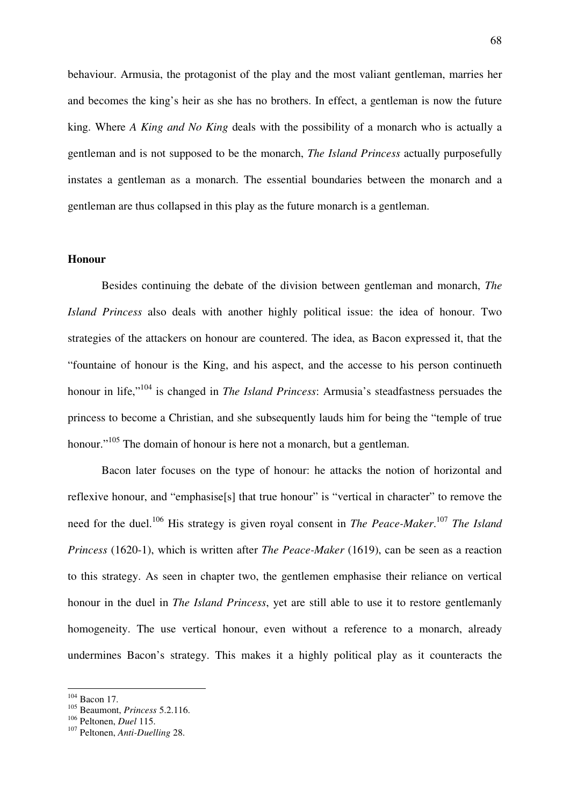behaviour. Armusia, the protagonist of the play and the most valiant gentleman, marries her and becomes the king's heir as she has no brothers. In effect, a gentleman is now the future king. Where *A King and No King* deals with the possibility of a monarch who is actually a gentleman and is not supposed to be the monarch, *The Island Princess* actually purposefully instates a gentleman as a monarch. The essential boundaries between the monarch and a gentleman are thus collapsed in this play as the future monarch is a gentleman.

## **Honour**

 Besides continuing the debate of the division between gentleman and monarch, *The Island Princess* also deals with another highly political issue: the idea of honour. Two strategies of the attackers on honour are countered. The idea, as Bacon expressed it, that the "fountaine of honour is the King, and his aspect, and the accesse to his person continueth honour in life,"<sup>104</sup> is changed in *The Island Princess*: Armusia's steadfastness persuades the princess to become a Christian, and she subsequently lauds him for being the "temple of true honour."<sup>105</sup> The domain of honour is here not a monarch, but a gentleman.

 Bacon later focuses on the type of honour: he attacks the notion of horizontal and reflexive honour, and "emphasise<sup>[s]</sup> that true honour" is "vertical in character" to remove the need for the duel.<sup>106</sup> His strategy is given royal consent in *The Peace-Maker*.<sup>107</sup> *The Island Princess* (1620-1), which is written after *The Peace-Maker* (1619), can be seen as a reaction to this strategy. As seen in chapter two, the gentlemen emphasise their reliance on vertical honour in the duel in *The Island Princess*, yet are still able to use it to restore gentlemanly homogeneity. The use vertical honour, even without a reference to a monarch, already undermines Bacon's strategy. This makes it a highly political play as it counteracts the

 $104$  Bacon 17.

<sup>105</sup> Beaumont, *Princess* 5.2.116.

<sup>106</sup> Peltonen, *Duel* 115.

<sup>107</sup> Peltonen, *Anti-Duelling* 28.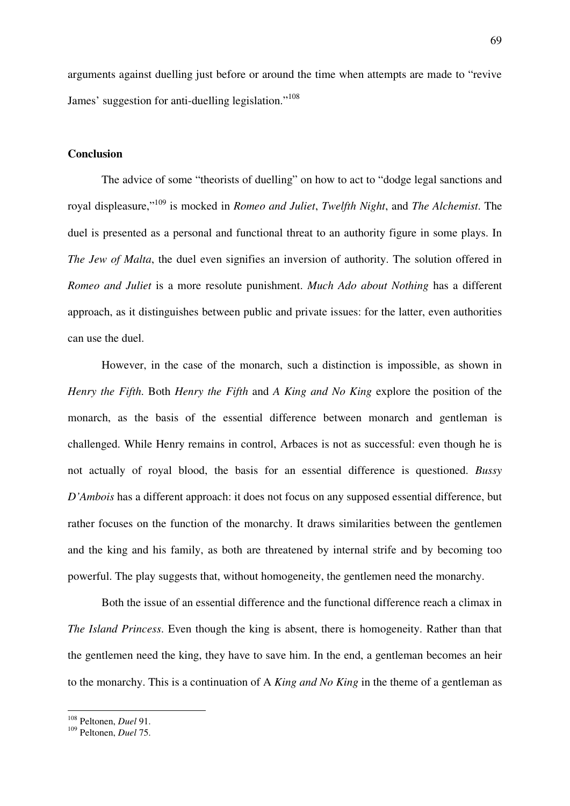arguments against duelling just before or around the time when attempts are made to "revive James' suggestion for anti-duelling legislation."<sup>108</sup>

## **Conclusion**

 The advice of some "theorists of duelling" on how to act to "dodge legal sanctions and royal displeasure,"<sup>109</sup> is mocked in *Romeo and Juliet*, *Twelfth Night*, and *The Alchemist*. The duel is presented as a personal and functional threat to an authority figure in some plays. In *The Jew of Malta*, the duel even signifies an inversion of authority. The solution offered in *Romeo and Juliet* is a more resolute punishment. *Much Ado about Nothing* has a different approach, as it distinguishes between public and private issues: for the latter, even authorities can use the duel.

 However, in the case of the monarch, such a distinction is impossible, as shown in *Henry the Fifth*. Both *Henry the Fifth* and *A King and No King* explore the position of the monarch, as the basis of the essential difference between monarch and gentleman is challenged. While Henry remains in control, Arbaces is not as successful: even though he is not actually of royal blood, the basis for an essential difference is questioned. *Bussy D'Ambois* has a different approach: it does not focus on any supposed essential difference, but rather focuses on the function of the monarchy. It draws similarities between the gentlemen and the king and his family, as both are threatened by internal strife and by becoming too powerful. The play suggests that, without homogeneity, the gentlemen need the monarchy.

 Both the issue of an essential difference and the functional difference reach a climax in *The Island Princess*. Even though the king is absent, there is homogeneity. Rather than that the gentlemen need the king, they have to save him. In the end, a gentleman becomes an heir to the monarchy. This is a continuation of A *King and No King* in the theme of a gentleman as

<sup>108</sup> Peltonen, *Duel* 91.

<sup>109</sup> Peltonen, *Duel* 75.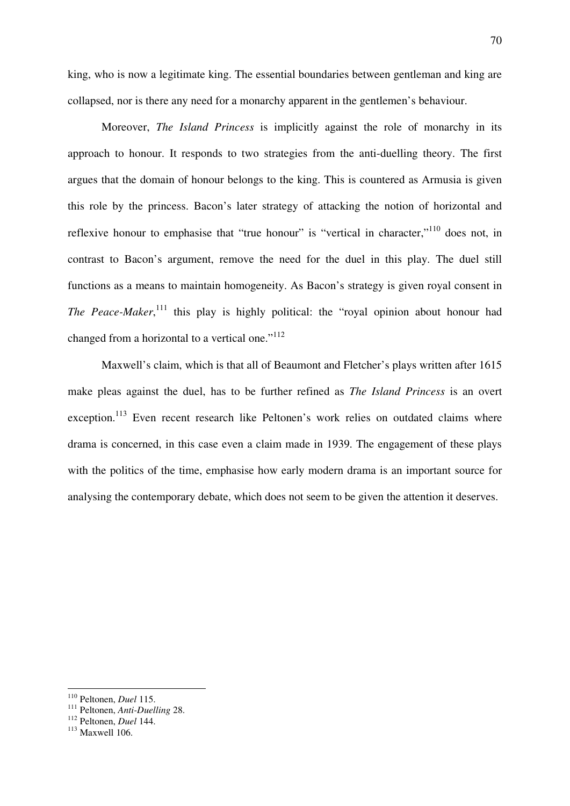king, who is now a legitimate king. The essential boundaries between gentleman and king are collapsed, nor is there any need for a monarchy apparent in the gentlemen's behaviour.

 Moreover, *The Island Princess* is implicitly against the role of monarchy in its approach to honour. It responds to two strategies from the anti-duelling theory. The first argues that the domain of honour belongs to the king. This is countered as Armusia is given this role by the princess. Bacon's later strategy of attacking the notion of horizontal and reflexive honour to emphasise that "true honour" is "vertical in character,"<sup>110</sup> does not, in contrast to Bacon's argument, remove the need for the duel in this play. The duel still functions as a means to maintain homogeneity. As Bacon's strategy is given royal consent in The Peace-Maker,<sup>111</sup> this play is highly political: the "royal opinion about honour had changed from a horizontal to a vertical one."<sup>112</sup>

 Maxwell's claim, which is that all of Beaumont and Fletcher's plays written after 1615 make pleas against the duel, has to be further refined as *The Island Princess* is an overt exception.<sup>113</sup> Even recent research like Peltonen's work relies on outdated claims where drama is concerned, in this case even a claim made in 1939. The engagement of these plays with the politics of the time, emphasise how early modern drama is an important source for analysing the contemporary debate, which does not seem to be given the attention it deserves.

<sup>110</sup> Peltonen, *Duel* 115.

<sup>111</sup> Peltonen, *Anti-Duelling* 28.

<sup>112</sup> Peltonen, *Duel* 144.

 $113$  Maxwell 106.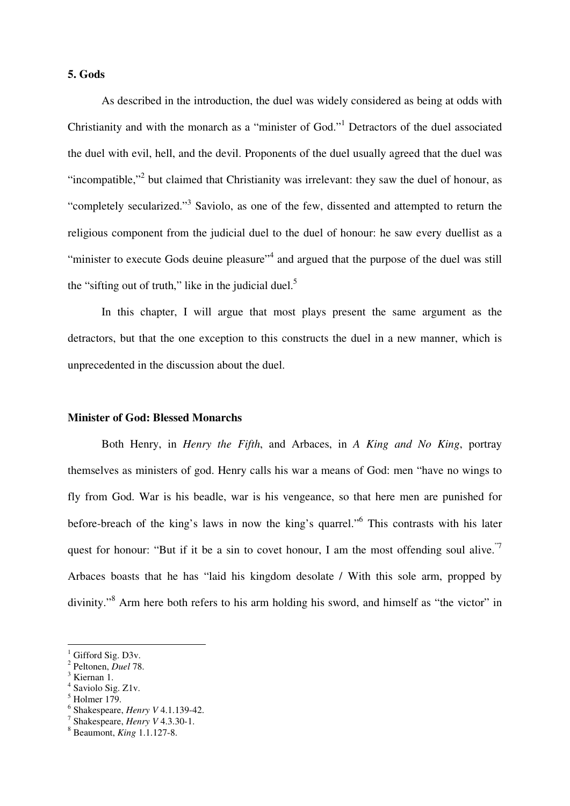# **5. Gods**

 As described in the introduction, the duel was widely considered as being at odds with Christianity and with the monarch as a "minister of God."<sup>1</sup> Detractors of the duel associated the duel with evil, hell, and the devil. Proponents of the duel usually agreed that the duel was "incompatible,"<sup>2</sup> but claimed that Christianity was irrelevant: they saw the duel of honour, as "completely secularized."<sup>3</sup> Saviolo, as one of the few, dissented and attempted to return the religious component from the judicial duel to the duel of honour: he saw every duellist as a "minister to execute Gods deuine pleasure"<sup>4</sup> and argued that the purpose of the duel was still the "sifting out of truth," like in the judicial duel.<sup>5</sup>

 In this chapter, I will argue that most plays present the same argument as the detractors, but that the one exception to this constructs the duel in a new manner, which is unprecedented in the discussion about the duel.

### **Minister of God: Blessed Monarchs**

 Both Henry, in *Henry the Fifth*, and Arbaces, in *A King and No King*, portray themselves as ministers of god. Henry calls his war a means of God: men "have no wings to fly from God. War is his beadle, war is his vengeance, so that here men are punished for before-breach of the king's laws in now the king's quarrel."<sup>6</sup> This contrasts with his later quest for honour: "But if it be a sin to covet honour, I am the most offending soul alive." Arbaces boasts that he has "laid his kingdom desolate / With this sole arm, propped by divinity."<sup>8</sup> Arm here both refers to his arm holding his sword, and himself as "the victor" in

<sup>1</sup> Gifford Sig. D3v.

<sup>2</sup> Peltonen, *Duel* 78.

<sup>&</sup>lt;sup>3</sup> Kiernan 1.

<sup>4</sup> Saviolo Sig. Z1v.

<sup>5</sup> Holmer 179.

<sup>6</sup> Shakespeare, *Henry V* 4.1.139-42.

<sup>7</sup> Shakespeare, *Henry V* 4.3.30-1.

<sup>8</sup> Beaumont, *King* 1.1.127-8.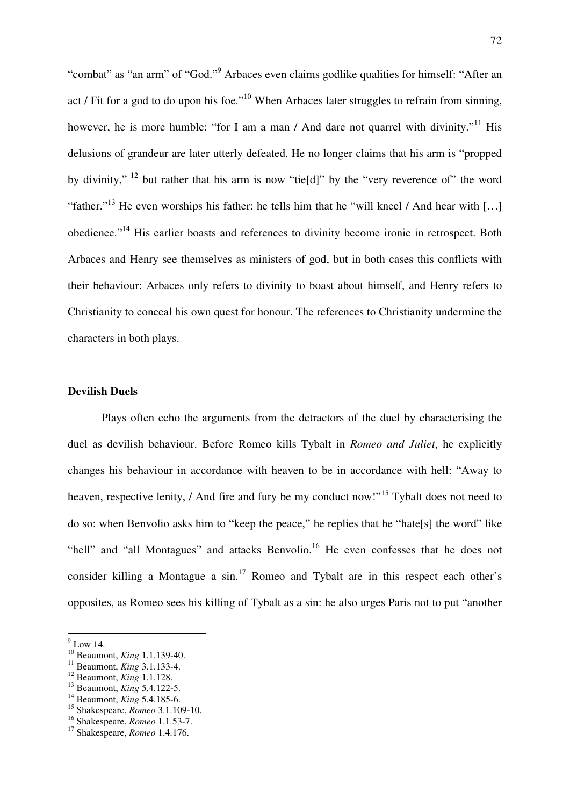"combat" as "an arm" of "God."<sup>9</sup> Arbaces even claims godlike qualities for himself: "After an act / Fit for a god to do upon his foe."<sup>10</sup> When Arbaces later struggles to refrain from sinning, however, he is more humble: "for I am a man / And dare not quarrel with divinity."<sup>11</sup> His delusions of grandeur are later utterly defeated. He no longer claims that his arm is "propped by divinity,"<sup>12</sup> but rather that his arm is now "tie[d]" by the "very reverence of" the word "father."<sup>13</sup> He even worships his father: he tells him that he "will kneel / And hear with [...] obedience."<sup>14</sup> His earlier boasts and references to divinity become ironic in retrospect. Both Arbaces and Henry see themselves as ministers of god, but in both cases this conflicts with their behaviour: Arbaces only refers to divinity to boast about himself, and Henry refers to Christianity to conceal his own quest for honour. The references to Christianity undermine the characters in both plays.

### **Devilish Duels**

Plays often echo the arguments from the detractors of the duel by characterising the duel as devilish behaviour. Before Romeo kills Tybalt in *Romeo and Juliet*, he explicitly changes his behaviour in accordance with heaven to be in accordance with hell: "Away to heaven, respective lenity, / And fire and fury be my conduct now!"<sup>15</sup> Tybalt does not need to do so: when Benvolio asks him to "keep the peace," he replies that he "hate[s] the word" like "hell" and "all Montagues" and attacks Benvolio.<sup>16</sup> He even confesses that he does not consider killing a Montague a  $\sin$ <sup>17</sup> Romeo and Tybalt are in this respect each other's opposites, as Romeo sees his killing of Tybalt as a sin: he also urges Paris not to put "another

 $9$  Low 14.

<sup>10</sup> Beaumont, *King* 1.1.139-40.

<sup>11</sup> Beaumont, *King* 3.1.133-4.

<sup>12</sup> Beaumont, *King* 1.1.128.

<sup>13</sup> Beaumont, *King* 5.4.122-5.

<sup>14</sup> Beaumont, *King* 5.4.185-6.

<sup>15</sup> Shakespeare, *Romeo* 3.1.109-10.

<sup>16</sup> Shakespeare, *Romeo* 1.1.53-7.

<sup>17</sup> Shakespeare, *Romeo* 1.4.176.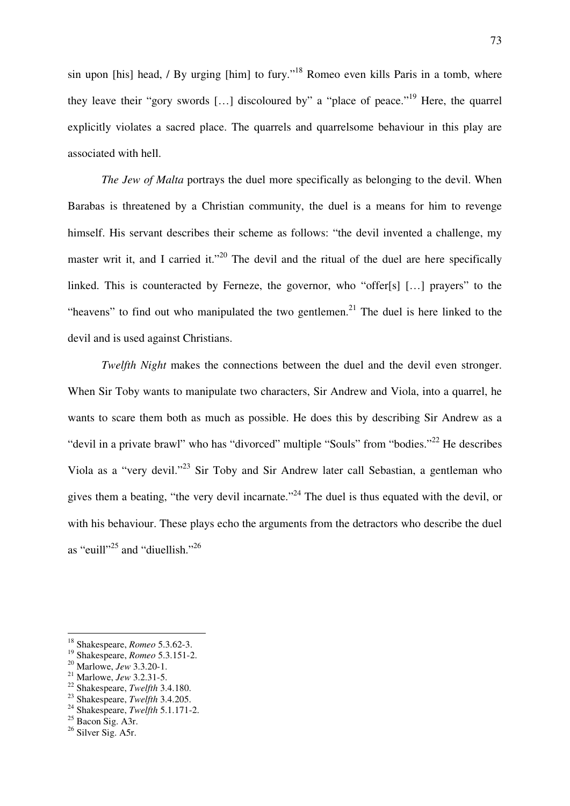sin upon [his] head, / By urging [him] to fury."<sup>18</sup> Romeo even kills Paris in a tomb, where they leave their "gory swords [...] discoloured by" a "place of peace."<sup>19</sup> Here, the quarrel explicitly violates a sacred place. The quarrels and quarrelsome behaviour in this play are associated with hell.

*The Jew of Malta* portrays the duel more specifically as belonging to the devil. When Barabas is threatened by a Christian community, the duel is a means for him to revenge himself. His servant describes their scheme as follows: "the devil invented a challenge, my master writ it, and I carried it."<sup>20</sup> The devil and the ritual of the duel are here specifically linked. This is counteracted by Ferneze, the governor, who "offer[s] [...] prayers" to the "heavens" to find out who manipulated the two gentlemen.<sup>21</sup> The duel is here linked to the devil and is used against Christians.

*Twelfth Night* makes the connections between the duel and the devil even stronger. When Sir Toby wants to manipulate two characters, Sir Andrew and Viola, into a quarrel, he wants to scare them both as much as possible. He does this by describing Sir Andrew as a "devil in a private brawl" who has "divorced" multiple "Souls" from "bodies."<sup>22</sup> He describes Viola as a "very devil."<sup>23</sup> Sir Toby and Sir Andrew later call Sebastian, a gentleman who gives them a beating, "the very devil incarnate."<sup>24</sup> The duel is thus equated with the devil, or with his behaviour. These plays echo the arguments from the detractors who describe the duel as "euill"<sup>25</sup> and "diuellish."<sup>26</sup>

- <sup>22</sup> Shakespeare, *Twelfth* 3.4.180.
- <sup>23</sup> Shakespeare, *Twelfth* 3.4.205.
- <sup>24</sup> Shakespeare, *Twelfth* 5.1.171-2.

 $\overline{a}$ 

<sup>26</sup> Silver Sig. A5r.

<sup>18</sup> Shakespeare, *Romeo* 5.3.62-3.

<sup>19</sup> Shakespeare, *Romeo* 5.3.151-2.

<sup>20</sup> Marlowe, *Jew* 3.3.20-1.

<sup>21</sup> Marlowe, *Jew* 3.2.31-5.

<sup>&</sup>lt;sup>25</sup> Bacon Sig. A3r.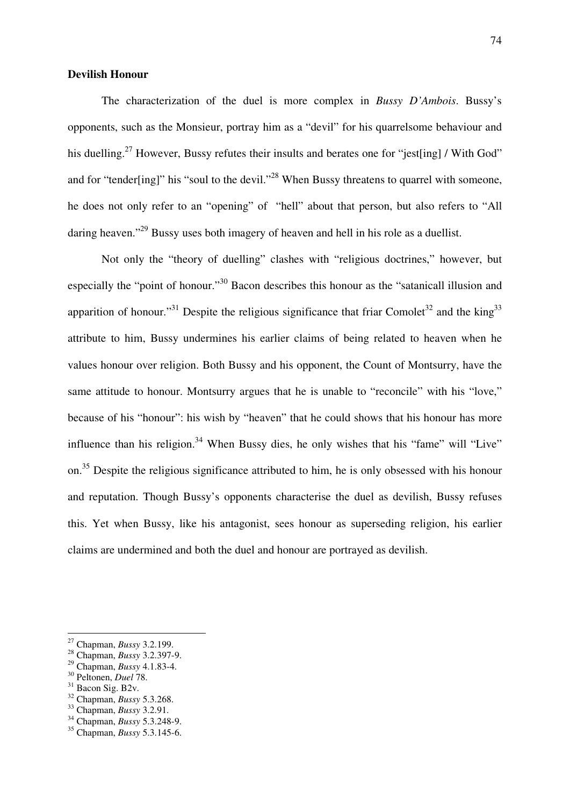## **Devilish Honour**

The characterization of the duel is more complex in *Bussy D'Ambois*. Bussy's opponents, such as the Monsieur, portray him as a "devil" for his quarrelsome behaviour and his duelling.<sup>27</sup> However, Bussy refutes their insults and berates one for "jest[ing] / With God" and for "tender[ing]" his "soul to the devil."<sup>28</sup> When Bussy threatens to quarrel with someone, he does not only refer to an "opening" of "hell" about that person, but also refers to "All daring heaven."<sup>29</sup> Bussy uses both imagery of heaven and hell in his role as a duellist.

 Not only the "theory of duelling" clashes with "religious doctrines," however, but especially the "point of honour."<sup>30</sup> Bacon describes this honour as the "satanicall illusion and apparition of honour."<sup>31</sup> Despite the religious significance that friar Comolet<sup>32</sup> and the king<sup>33</sup> attribute to him, Bussy undermines his earlier claims of being related to heaven when he values honour over religion. Both Bussy and his opponent, the Count of Montsurry, have the same attitude to honour. Montsurry argues that he is unable to "reconcile" with his "love," because of his "honour": his wish by "heaven" that he could shows that his honour has more influence than his religion. $34$  When Bussy dies, he only wishes that his "fame" will "Live" on.<sup>35</sup> Despite the religious significance attributed to him, he is only obsessed with his honour and reputation. Though Bussy's opponents characterise the duel as devilish, Bussy refuses this. Yet when Bussy, like his antagonist, sees honour as superseding religion, his earlier claims are undermined and both the duel and honour are portrayed as devilish.

 $\overline{a}$ 

<sup>32</sup> Chapman, *Bussy* 5.3.268.

<sup>27</sup> Chapman, *Bussy* 3.2.199.

<sup>28</sup> Chapman, *Bussy* 3.2.397-9.

<sup>29</sup> Chapman, *Bussy* 4.1.83-4.

<sup>30</sup> Peltonen, *Duel* 78.

<sup>&</sup>lt;sup>31</sup> Bacon Sig. B<sub>2v</sub>.

<sup>33</sup> Chapman, *Bussy* 3.2.91.

<sup>34</sup> Chapman, *Bussy* 5.3.248-9.

<sup>35</sup> Chapman, *Bussy* 5.3.145-6.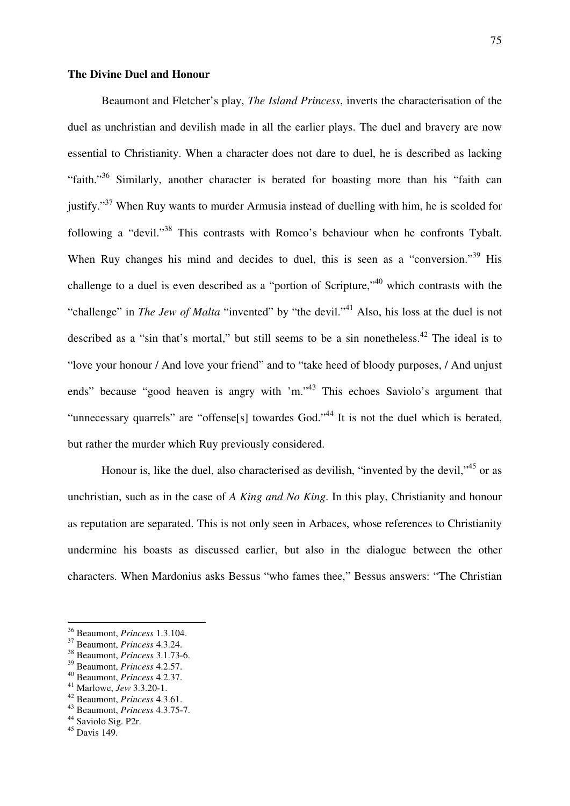## **The Divine Duel and Honour**

 Beaumont and Fletcher's play, *The Island Princess*, inverts the characterisation of the duel as unchristian and devilish made in all the earlier plays. The duel and bravery are now essential to Christianity. When a character does not dare to duel, he is described as lacking "faith."<sup>36</sup> Similarly, another character is berated for boasting more than his "faith can justify."<sup>37</sup> When Ruy wants to murder Armusia instead of duelling with him, he is scolded for following a "devil."<sup>38</sup> This contrasts with Romeo's behaviour when he confronts Tybalt. When Ruy changes his mind and decides to duel, this is seen as a "conversion."<sup>39</sup> His challenge to a duel is even described as a "portion of Scripture,"<sup>40</sup> which contrasts with the "challenge" in *The Jew of Malta* "invented" by "the devil."<sup>41</sup> Also, his loss at the duel is not described as a "sin that's mortal," but still seems to be a sin nonetheless.<sup>42</sup> The ideal is to "love your honour / And love your friend" and to "take heed of bloody purposes, / And unjust ends" because "good heaven is angry with 'm."<sup>43</sup> This echoes Saviolo's argument that "unnecessary quarrels" are "offense[s] towardes God."<sup>44</sup> It is not the duel which is berated, but rather the murder which Ruy previously considered.

Honour is, like the duel, also characterised as devilish, "invented by the devil,"<sup>45</sup> or as unchristian, such as in the case of *A King and No King*. In this play, Christianity and honour as reputation are separated. This is not only seen in Arbaces, whose references to Christianity undermine his boasts as discussed earlier, but also in the dialogue between the other characters. When Mardonius asks Bessus "who fames thee," Bessus answers: "The Christian

<sup>40</sup> Beaumont, *Princess* 4.2.37.

<sup>36</sup> Beaumont, *Princess* 1.3.104.

<sup>37</sup> Beaumont, *Princess* 4.3.24.

<sup>38</sup> Beaumont, *Princess* 3.1.73-6.

<sup>39</sup> Beaumont, *Princess* 4.2.57.

<sup>41</sup> Marlowe, *Jew* 3.3.20-1.

<sup>42</sup> Beaumont, *Princess* 4.3.61.

<sup>43</sup> Beaumont, *Princess* 4.3.75-7.

<sup>44</sup> Saviolo Sig. P2r.

 $45$  Davis 149.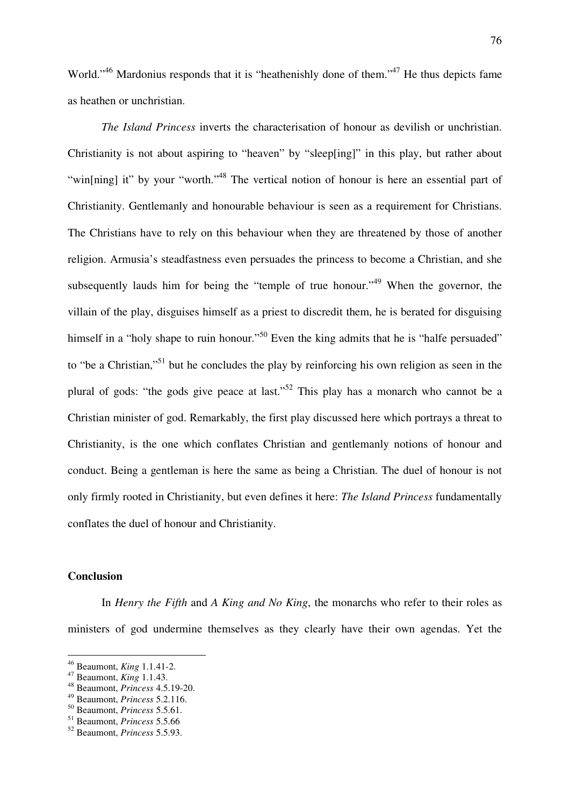World."<sup>46</sup> Mardonius responds that it is "heathenishly done of them."<sup>47</sup> He thus depicts fame as heathen or unchristian.

*The Island Princess* inverts the characterisation of honour as devilish or unchristian. Christianity is not about aspiring to "heaven" by "sleep[ing]" in this play, but rather about "win[ning] it" by your "worth."<sup>48</sup> The vertical notion of honour is here an essential part of Christianity. Gentlemanly and honourable behaviour is seen as a requirement for Christians. The Christians have to rely on this behaviour when they are threatened by those of another religion. Armusia's steadfastness even persuades the princess to become a Christian, and she subsequently lauds him for being the "temple of true honour."<sup>49</sup> When the governor, the villain of the play, disguises himself as a priest to discredit them, he is berated for disguising himself in a "holy shape to ruin honour."<sup>50</sup> Even the king admits that he is "halfe persuaded" to "be a Christian,"<sup>51</sup> but he concludes the play by reinforcing his own religion as seen in the plural of gods: "the gods give peace at last."<sup>52</sup> This play has a monarch who cannot be a Christian minister of god. Remarkably, the first play discussed here which portrays a threat to Christianity, is the one which conflates Christian and gentlemanly notions of honour and conduct. Being a gentleman is here the same as being a Christian. The duel of honour is not only firmly rooted in Christianity, but even defines it here: *The Island Princess* fundamentally conflates the duel of honour and Christianity.

### **Conclusion**

 $\overline{a}$ 

 In *Henry the Fifth* and *A King and No King*, the monarchs who refer to their roles as ministers of god undermine themselves as they clearly have their own agendas. Yet the

<sup>46</sup> Beaumont, *King* 1.1.41-2.

<sup>47</sup> Beaumont, *King* 1.1.43.

<sup>48</sup> Beaumont, *Princess* 4.5.19-20.

<sup>49</sup> Beaumont, *Princess* 5.2.116.

<sup>50</sup> Beaumont, *Princess* 5.5.61.

<sup>51</sup> Beaumont, *Princess* 5.5.66

<sup>52</sup> Beaumont, *Princess* 5.5.93.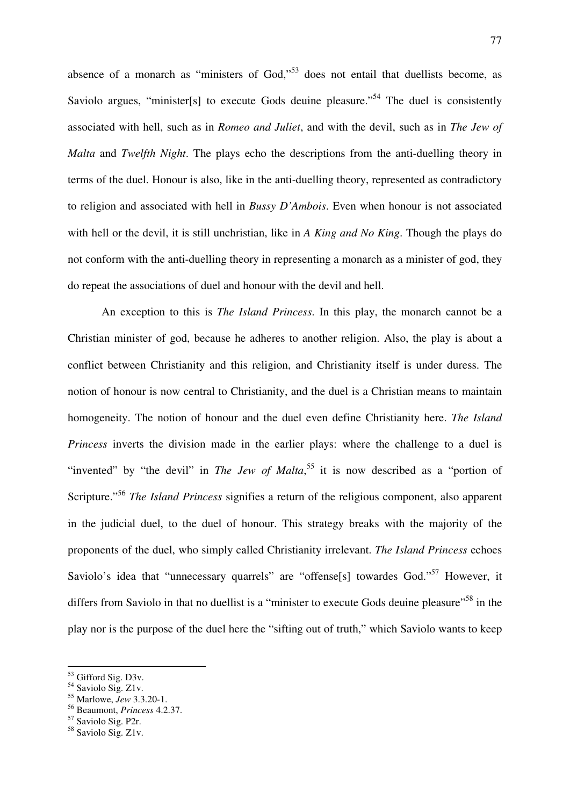absence of a monarch as "ministers of God,"<sup>53</sup> does not entail that duellists become, as Saviolo argues, "minister<sup>[s]</sup> to execute Gods deuine pleasure."<sup>54</sup> The duel is consistently associated with hell, such as in *Romeo and Juliet*, and with the devil, such as in *The Jew of Malta* and *Twelfth Night*. The plays echo the descriptions from the anti-duelling theory in terms of the duel. Honour is also, like in the anti-duelling theory, represented as contradictory to religion and associated with hell in *Bussy D'Ambois*. Even when honour is not associated with hell or the devil, it is still unchristian, like in *A King and No King*. Though the plays do not conform with the anti-duelling theory in representing a monarch as a minister of god, they do repeat the associations of duel and honour with the devil and hell.

 An exception to this is *The Island Princess*. In this play, the monarch cannot be a Christian minister of god, because he adheres to another religion. Also, the play is about a conflict between Christianity and this religion, and Christianity itself is under duress. The notion of honour is now central to Christianity, and the duel is a Christian means to maintain homogeneity. The notion of honour and the duel even define Christianity here. *The Island Princess* inverts the division made in the earlier plays: where the challenge to a duel is "invented" by "the devil" in *The Jew of Malta*,<sup>55</sup> it is now described as a "portion of Scripture."<sup>56</sup> *The Island Princess* signifies a return of the religious component, also apparent in the judicial duel, to the duel of honour. This strategy breaks with the majority of the proponents of the duel, who simply called Christianity irrelevant. *The Island Princess* echoes Saviolo's idea that "unnecessary quarrels" are "offense[s] towardes God."<sup>57</sup> However, it differs from Saviolo in that no duellist is a "minister to execute Gods deuine pleasure"<sup>58</sup> in the play nor is the purpose of the duel here the "sifting out of truth," which Saviolo wants to keep

<sup>53</sup> Gifford Sig. D3v.

<sup>&</sup>lt;sup>54</sup> Saviolo Sig. Z1v.

<sup>55</sup> Marlowe, *Jew* 3.3.20-1.

<sup>56</sup> Beaumont, *Princess* 4.2.37.

<sup>57</sup> Saviolo Sig. P2r.

<sup>58</sup> Saviolo Sig. Z1v.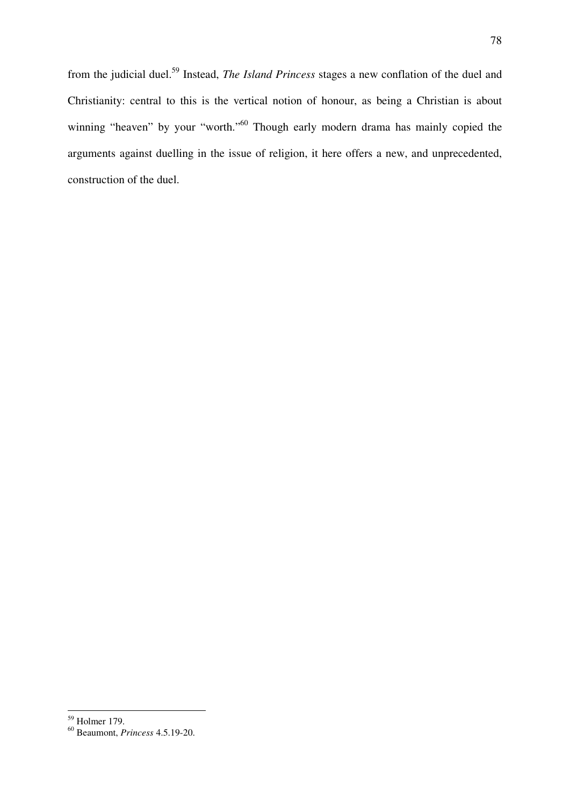from the judicial duel.<sup>59</sup> Instead, *The Island Princess* stages a new conflation of the duel and Christianity: central to this is the vertical notion of honour, as being a Christian is about winning "heaven" by your "worth."<sup>60</sup> Though early modern drama has mainly copied the arguments against duelling in the issue of religion, it here offers a new, and unprecedented, construction of the duel.

<sup>59</sup> Holmer 179.

<sup>60</sup> Beaumont, *Princess* 4.5.19-20.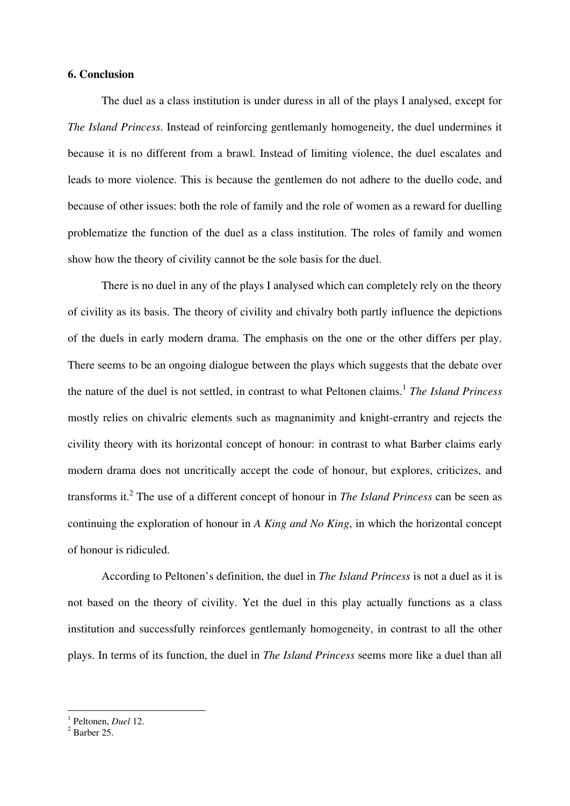# **6. Conclusion**

 The duel as a class institution is under duress in all of the plays I analysed, except for *The Island Princess*. Instead of reinforcing gentlemanly homogeneity, the duel undermines it because it is no different from a brawl. Instead of limiting violence, the duel escalates and leads to more violence. This is because the gentlemen do not adhere to the duello code, and because of other issues: both the role of family and the role of women as a reward for duelling problematize the function of the duel as a class institution. The roles of family and women show how the theory of civility cannot be the sole basis for the duel.

 There is no duel in any of the plays I analysed which can completely rely on the theory of civility as its basis. The theory of civility and chivalry both partly influence the depictions of the duels in early modern drama. The emphasis on the one or the other differs per play. There seems to be an ongoing dialogue between the plays which suggests that the debate over the nature of the duel is not settled, in contrast to what Peltonen claims.<sup>1</sup> The Island Princess mostly relies on chivalric elements such as magnanimity and knight-errantry and rejects the civility theory with its horizontal concept of honour: in contrast to what Barber claims early modern drama does not uncritically accept the code of honour, but explores, criticizes, and transforms it.<sup>2</sup> The use of a different concept of honour in *The Island Princess* can be seen as continuing the exploration of honour in *A King and No King*, in which the horizontal concept of honour is ridiculed.

 According to Peltonen's definition, the duel in *The Island Princess* is not a duel as it is not based on the theory of civility. Yet the duel in this play actually functions as a class institution and successfully reinforces gentlemanly homogeneity, in contrast to all the other plays. In terms of its function, the duel in *The Island Princess* seems more like a duel than all

<sup>1</sup> Peltonen, *Duel* 12.

 $<sup>2</sup>$  Barber 25.</sup>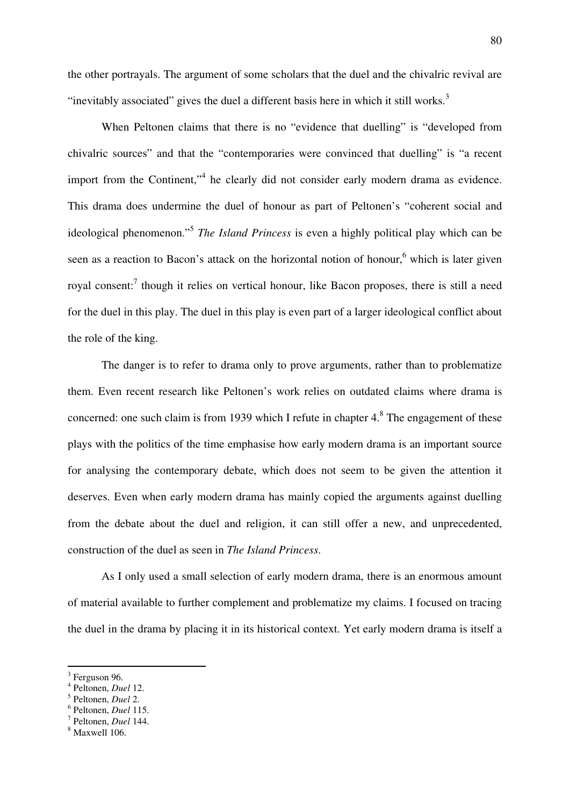the other portrayals. The argument of some scholars that the duel and the chivalric revival are "inevitably associated" gives the duel a different basis here in which it still works.<sup>3</sup>

 When Peltonen claims that there is no "evidence that duelling" is "developed from chivalric sources" and that the "contemporaries were convinced that duelling" is "a recent import from the Continent,"<sup>4</sup> he clearly did not consider early modern drama as evidence. This drama does undermine the duel of honour as part of Peltonen's "coherent social and ideological phenomenon."<sup>5</sup> *The Island Princess* is even a highly political play which can be seen as a reaction to Bacon's attack on the horizontal notion of honour,<sup>6</sup> which is later given royal consent:<sup>7</sup> though it relies on vertical honour, like Bacon proposes, there is still a need for the duel in this play. The duel in this play is even part of a larger ideological conflict about the role of the king.

 The danger is to refer to drama only to prove arguments, rather than to problematize them. Even recent research like Peltonen's work relies on outdated claims where drama is concerned: one such claim is from 1939 which I refute in chapter  $4<sup>8</sup>$  The engagement of these plays with the politics of the time emphasise how early modern drama is an important source for analysing the contemporary debate, which does not seem to be given the attention it deserves. Even when early modern drama has mainly copied the arguments against duelling from the debate about the duel and religion, it can still offer a new, and unprecedented, construction of the duel as seen in *The Island Princess*.

 As I only used a small selection of early modern drama, there is an enormous amount of material available to further complement and problematize my claims. I focused on tracing the duel in the drama by placing it in its historical context. Yet early modern drama is itself a

<sup>&</sup>lt;sup>3</sup> Ferguson 96.

<sup>4</sup> Peltonen, *Duel* 12.

<sup>5</sup> Peltonen, *Duel* 2.

<sup>6</sup> Peltonen, *Duel* 115.

<sup>7</sup> Peltonen, *Duel* 144.

<sup>8</sup> Maxwell 106.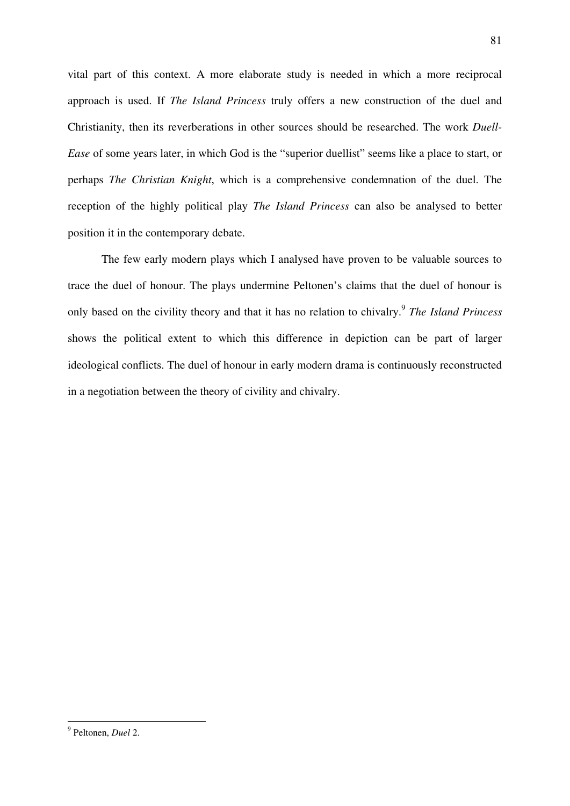vital part of this context. A more elaborate study is needed in which a more reciprocal approach is used. If *The Island Princess* truly offers a new construction of the duel and Christianity, then its reverberations in other sources should be researched. The work *Duell-Ease* of some years later, in which God is the "superior duellist" seems like a place to start, or perhaps *The Christian Knight*, which is a comprehensive condemnation of the duel. The reception of the highly political play *The Island Princess* can also be analysed to better position it in the contemporary debate.

 The few early modern plays which I analysed have proven to be valuable sources to trace the duel of honour. The plays undermine Peltonen's claims that the duel of honour is only based on the civility theory and that it has no relation to chivalry.<sup>9</sup> *The Island Princess* shows the political extent to which this difference in depiction can be part of larger ideological conflicts. The duel of honour in early modern drama is continuously reconstructed in a negotiation between the theory of civility and chivalry.

 9 Peltonen, *Duel* 2.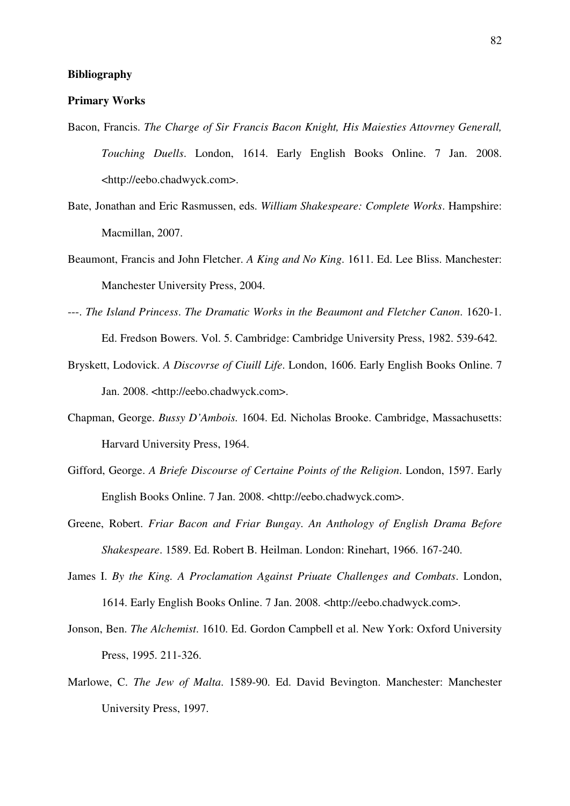### **Bibliography**

## **Primary Works**

- Bacon, Francis. *The Charge of Sir Francis Bacon Knight, His Maiesties Attovrney Generall, Touching Duells*. London, 1614. Early English Books Online. 7 Jan. 2008. <http://eebo.chadwyck.com>.
- Bate, Jonathan and Eric Rasmussen, eds. *William Shakespeare: Complete Works*. Hampshire: Macmillan, 2007.
- Beaumont, Francis and John Fletcher. *A King and No King*. 1611. Ed. Lee Bliss. Manchester: Manchester University Press, 2004.
- ---. *The Island Princess*. *The Dramatic Works in the Beaumont and Fletcher Canon*. 1620-1. Ed. Fredson Bowers. Vol. 5. Cambridge: Cambridge University Press, 1982. 539-642.
- Bryskett, Lodovick. *A Discovrse of Ciuill Life*. London, 1606. Early English Books Online. 7 Jan. 2008. <http://eebo.chadwyck.com>.
- Chapman, George. *Bussy D'Ambois.* 1604. Ed. Nicholas Brooke. Cambridge, Massachusetts: Harvard University Press, 1964.
- Gifford, George. *A Briefe Discourse of Certaine Points of the Religion*. London, 1597. Early English Books Online. 7 Jan. 2008. <http://eebo.chadwyck.com>.
- Greene, Robert. *Friar Bacon and Friar Bungay*. *An Anthology of English Drama Before Shakespeare*. 1589. Ed. Robert B. Heilman. London: Rinehart, 1966. 167-240.
- James I. *By the King. A Proclamation Against Priuate Challenges and Combats*. London, 1614. Early English Books Online. 7 Jan. 2008. <http://eebo.chadwyck.com>.
- Jonson, Ben. *The Alchemist*. 1610. Ed. Gordon Campbell et al. New York: Oxford University Press, 1995. 211-326.
- Marlowe, C. *The Jew of Malta*. 1589-90. Ed. David Bevington. Manchester: Manchester University Press, 1997.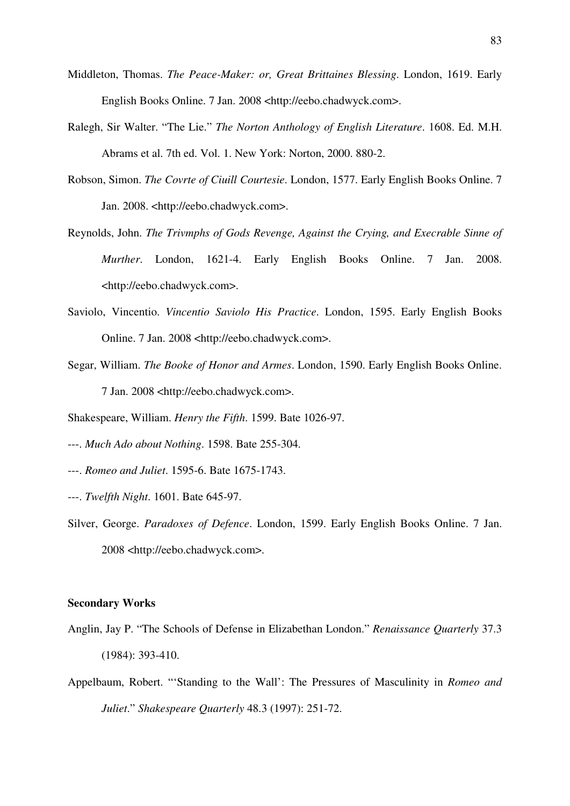- Middleton, Thomas. *The Peace-Maker: or, Great Brittaines Blessing*. London, 1619. Early English Books Online. 7 Jan. 2008 <http://eebo.chadwyck.com>.
- Ralegh, Sir Walter. "The Lie." *The Norton Anthology of English Literature*. 1608. Ed. M.H. Abrams et al. 7th ed. Vol. 1. New York: Norton, 2000. 880-2.
- Robson, Simon. *The Covrte of Ciuill Courtesie*. London, 1577. Early English Books Online. 7 Jan. 2008. <http://eebo.chadwyck.com>.
- Reynolds, John. *The Trivmphs of Gods Revenge, Against the Crying, and Execrable Sinne of Murther*. London, 1621-4. Early English Books Online. 7 Jan. 2008. <http://eebo.chadwyck.com>.
- Saviolo, Vincentio. *Vincentio Saviolo His Practice*. London, 1595. Early English Books Online. 7 Jan. 2008 <http://eebo.chadwyck.com>.
- Segar, William. *The Booke of Honor and Armes*. London, 1590. Early English Books Online. 7 Jan. 2008 <http://eebo.chadwyck.com>.
- Shakespeare, William. *Henry the Fifth*. 1599. Bate 1026-97.
- ---. *Much Ado about Nothing*. 1598. Bate 255-304.
- ---. *Romeo and Juliet*. 1595-6. Bate 1675-1743.
- ---. *Twelfth Night*. 1601. Bate 645-97.
- Silver, George. *Paradoxes of Defence*. London, 1599. Early English Books Online. 7 Jan. 2008 <http://eebo.chadwyck.com>.

### **Secondary Works**

- Anglin, Jay P. "The Schools of Defense in Elizabethan London." *Renaissance Quarterly* 37.3 (1984): 393-410.
- Appelbaum, Robert. "'Standing to the Wall': The Pressures of Masculinity in *Romeo and Juliet*." *Shakespeare Quarterly* 48.3 (1997): 251-72.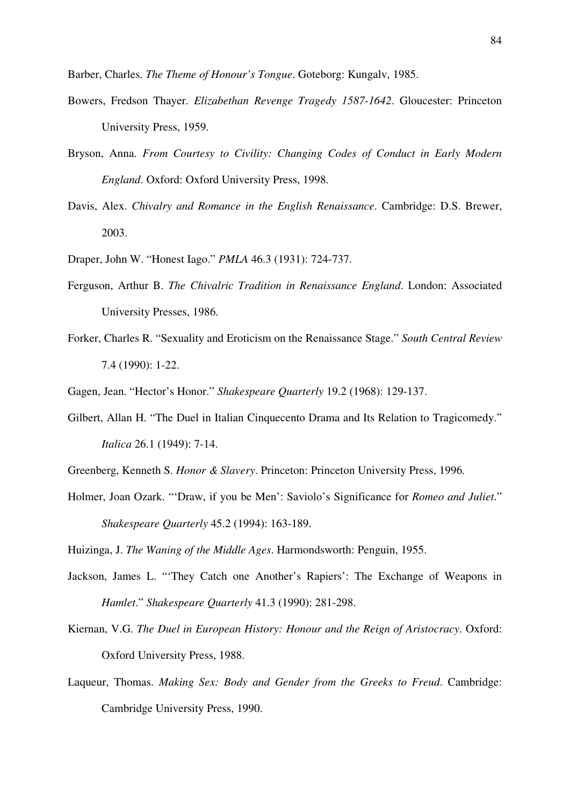Barber, Charles. *The Theme of Honour's Tongue*. Goteborg: Kungalv, 1985.

- Bowers, Fredson Thayer. *Elizabethan Revenge Tragedy 1587-1642*. Gloucester: Princeton University Press, 1959.
- Bryson, Anna. *From Courtesy to Civility: Changing Codes of Conduct in Early Modern England*. Oxford: Oxford University Press, 1998.
- Davis, Alex. *Chivalry and Romance in the English Renaissance*. Cambridge: D.S. Brewer, 2003.
- Draper, John W. "Honest Iago." *PMLA* 46.3 (1931): 724-737.
- Ferguson, Arthur B. *The Chivalric Tradition in Renaissance England*. London: Associated University Presses, 1986.
- Forker, Charles R. "Sexuality and Eroticism on the Renaissance Stage." *South Central Review*  7.4 (1990): 1-22.
- Gagen, Jean. "Hector's Honor." *Shakespeare Quarterly* 19.2 (1968): 129-137.
- Gilbert, Allan H. "The Duel in Italian Cinquecento Drama and Its Relation to Tragicomedy." *Italica* 26.1 (1949): 7-14.
- Greenberg, Kenneth S. *Honor & Slavery*. Princeton: Princeton University Press, 1996.
- Holmer, Joan Ozark. "'Draw, if you be Men': Saviolo's Significance for *Romeo and Juliet*." *Shakespeare Quarterly* 45.2 (1994): 163-189.

Huizinga, J. *The Waning of the Middle Ages*. Harmondsworth: Penguin, 1955.

- Jackson, James L. "'They Catch one Another's Rapiers': The Exchange of Weapons in *Hamlet*." *Shakespeare Quarterly* 41.3 (1990): 281-298.
- Kiernan, V.G. *The Duel in European History: Honour and the Reign of Aristocracy*. Oxford: Oxford University Press, 1988.
- Laqueur, Thomas. *Making Sex: Body and Gender from the Greeks to Freud*. Cambridge: Cambridge University Press, 1990.